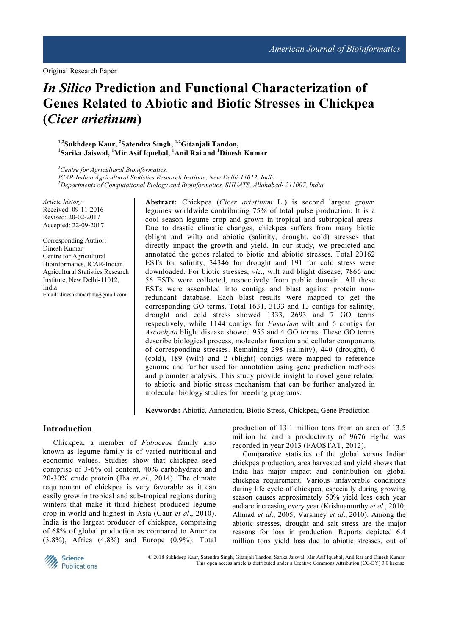# In Silico Prediction and Functional Characterization of Genes Related to Abiotic and Biotic Stresses in Chickpea (Cicer arietinum)

# <sup>1,2</sup>Sukhdeep Kaur, <sup>2</sup>Satendra Singh, <sup>1,2</sup>Gitanjali Tandon, <sup>1</sup>Sarika Jaiswal, <sup>1</sup>Mir Asif Iquebal, <sup>1</sup>Anil Rai and <sup>1</sup>Dinesh Kumar

 ${}^{1}$ Centre for Agricultural Bioinformatics, ICAR-Indian Agricultural Statistics Research Institute, New Delhi-11012, India <sup>2</sup>Departments of Computational Biology and Bioinformatics, SHUATS, Allahabad- 211007, India

Article history Received: 09-11-2016 Revised: 20-02-2017 Accepted: 22-09-2017

Corresponding Author: Dinesh Kumar Centre for Agricultural Bioinformatics, ICAR-Indian Agricultural Statistics Research Institute, New Delhi-11012, India Email: dineshkumarbhu@gmail.com

Abstract: Chickpea (Cicer arietinum L.) is second largest grown legumes worldwide contributing 75% of total pulse production. It is a cool season legume crop and grown in tropical and subtropical areas. Due to drastic climatic changes, chickpea suffers from many biotic (blight and wilt) and abiotic (salinity, drought, cold) stresses that directly impact the growth and yield. In our study, we predicted and annotated the genes related to biotic and abiotic stresses. Total 20162 ESTs for salinity, 34346 for drought and 191 for cold stress were downloaded. For biotic stresses, viz., wilt and blight disease, 7866 and 56 ESTs were collected, respectively from public domain. All these ESTs were assembled into contigs and blast against protein nonredundant database. Each blast results were mapped to get the corresponding GO terms. Total 1631, 3133 and 13 contigs for salinity, drought and cold stress showed 1333, 2693 and 7 GO terms respectively, while 1144 contigs for *Fusarium* wilt and 6 contigs for Ascochyta blight disease showed 955 and 4 GO terms. These GO terms describe biological process, molecular function and cellular components of corresponding stresses. Remaining 298 (salinity), 440 (drought), 6 (cold), 189 (wilt) and 2 (blight) contigs were mapped to reference genome and further used for annotation using gene prediction methods and promoter analysis. This study provide insight to novel gene related to abiotic and biotic stress mechanism that can be further analyzed in molecular biology studies for breeding programs.

Keywords: Abiotic, Annotation, Biotic Stress, Chickpea, Gene Prediction

# Introduction

Chickpea, a member of Fabaceae family also known as legume family is of varied nutritional and economic values. Studies show that chickpea seed comprise of 3-6% oil content, 40% carbohydrate and 20-30% crude protein (Jha et al., 2014). The climate requirement of chickpea is very favorable as it can easily grow in tropical and sub-tropical regions during winters that make it third highest produced legume crop in world and highest in Asia (Gaur et al., 2010). India is the largest producer of chickpea, comprising of 68% of global production as compared to America (3.8%), Africa (4.8%) and Europe (0.9%). Total

production of 13.1 million tons from an area of 13.5 million ha and a productivity of 9676 Hg/ha was recorded in year 2013 (FAOSTAT, 2012).

Comparative statistics of the global versus Indian chickpea production, area harvested and yield shows that India has major impact and contribution on global chickpea requirement. Various unfavorable conditions during life cycle of chickpea, especially during growing season causes approximately 50% yield loss each year and are increasing every year (Krishnamurthy et al., 2010; Ahmad et al., 2005; Varshney et al., 2010). Among the abiotic stresses, drought and salt stress are the major reasons for loss in production. Reports depicted 6.4 million tons yield loss due to abiotic stresses, out of



 © 2018 Sukhdeep Kaur, Satendra Singh, Gitanjali Tandon, Sarika Jaiswal, Mir Asif Iquebal, Anil Rai and Dinesh Kumar. This open access article is distributed under a Creative Commons Attribution (CC-BY) 3.0 license.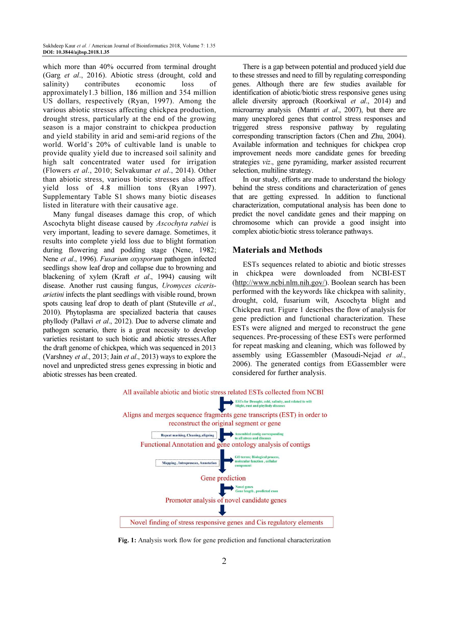which more than 40% occurred from terminal drought (Garg et al., 2016). Abiotic stress (drought, cold and salinity) contributes economic loss of approximately1.3 billion, 186 million and 354 million US dollars, respectively (Ryan, 1997). Among the various abiotic stresses affecting chickpea production, drought stress, particularly at the end of the growing season is a major constraint to chickpea production and yield stability in arid and semi-arid regions of the world. World's 20% of cultivable land is unable to provide quality yield due to increased soil salinity and high salt concentrated water used for irrigation (Flowers et al., 2010; Selvakumar et al., 2014). Other than abiotic stress, various biotic stresses also affect yield loss of 4.8 million tons (Ryan 1997). Supplementary Table S1 shows many biotic diseases listed in literature with their causative age.

Many fungal diseases damage this crop, of which Ascochyta blight disease caused by Ascochyta rabiei is very important, leading to severe damage. Sometimes, it results into complete yield loss due to blight formation during flowering and podding stage (Nene, 1982; Nene et al., 1996). Fusarium oxysporum pathogen infected seedlings show leaf drop and collapse due to browning and blackening of xylem (Kraft et al., 1994) causing wilt disease. Another rust causing fungus, Uromyces cicerisarietini infects the plant seedlings with visible round, brown spots causing leaf drop to death of plant (Stuteville et al., 2010). Phytoplasma are specialized bacteria that causes phyllody (Pallavi et al., 2012). Due to adverse climate and pathogen scenario, there is a great necessity to develop varieties resistant to such biotic and abiotic stresses.After the draft genome of chickpea, which was sequenced in 2013 (Varshney et al., 2013; Jain et al., 2013) ways to explore the novel and unpredicted stress genes expressing in biotic and abiotic stresses has been created.

There is a gap between potential and produced yield due to these stresses and need to fill by regulating corresponding genes. Although there are few studies available for identification of abiotic/biotic stress responsive genes using allele diversity approach (Roorkiwal et al., 2014) and microarray analysis (Mantri et al., 2007), but there are many unexplored genes that control stress responses and triggered stress responsive pathway by regulating corresponding transcription factors (Chen and Zhu, 2004). Available information and techniques for chickpea crop improvement needs more candidate genes for breeding strategies viz., gene pyramiding, marker assisted recurrent selection, multiline strategy.

In our study, efforts are made to understand the biology behind the stress conditions and characterization of genes that are getting expressed. In addition to functional characterization, computational analysis has been done to predict the novel candidate genes and their mapping on chromosome which can provide a good insight into complex abiotic/biotic stress tolerance pathways.

# Materials and Methods

ESTs sequences related to abiotic and biotic stresses in chickpea were downloaded from NCBI-EST (http://www.ncbi.nlm.nih.gov/). Boolean search has been performed with the keywords like chickpea with salinity, drought, cold, fusarium wilt, Ascochyta blight and Chickpea rust. Figure 1 describes the flow of analysis for gene prediction and functional characterization. These ESTs were aligned and merged to reconstruct the gene sequences. Pre-processing of these ESTs were performed for repeat masking and cleaning, which was followed by assembly using EGassembler (Masoudi-Nejad et al., 2006). The generated contigs from EGassembler were considered for further analysis.



Fig. 1: Analysis work flow for gene prediction and functional characterization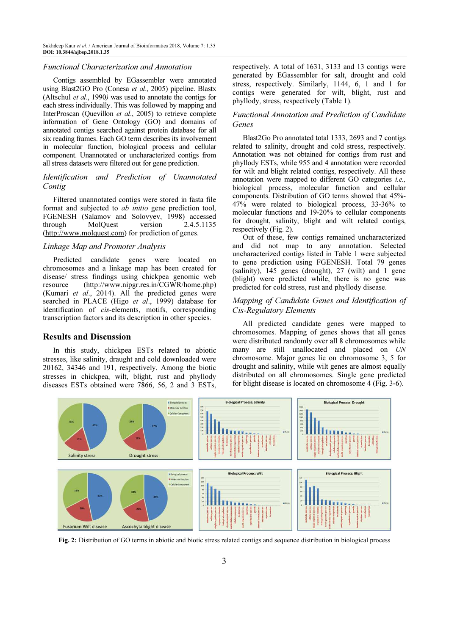Sukhdeep Kaur et al. / American Journal of Bioinformatics 2018, Volume 7: 1.35 DOI: 10.3844/ajbsp.2018.1.35

#### Functional Characterization and Annotation

Contigs assembled by EGassembler were annotated using Blast2GO Pro (Conesa et al., 2005) pipeline. Blastx (Altschul et al., 1990) was used to annotate the contigs for each stress individually. This was followed by mapping and InterProscan (Quevillon et al., 2005) to retrieve complete information of Gene Ontology (GO) and domains of annotated contigs searched against protein database for all six reading frames. Each GO term describes its involvement in molecular function, biological process and cellular component. Unannotated or uncharacterized contigs from all stress datasets were filtered out for gene prediction.

# Identification and Prediction of Unannotated Contig

Filtered unannotated contigs were stored in fasta file format and subjected to *ab initio* gene prediction tool, FGENESH (Salamov and Solovyev, 1998) accessed<br>through MolQuest version 2.4.5.1135 through MolQuest version 2.4.5.1135 (http://www.molquest.com) for prediction of genes.

### Linkage Map and Promoter Analysis

Predicted candidate genes were located on chromosomes and a linkage map has been created for disease/ stress findings using chickpea genomic web resource (http://www.nipgr.res.in/CGWR/home.php) (Kumari et al., 2014). All the predicted genes were searched in PLACE (Higo et al., 1999) database for identification of cis-elements, motifs, corresponding transcription factors and its description in other species.

# Results and Discussion

In this study, chickpea ESTs related to abiotic stresses, like salinity, draught and cold downloaded were 20162, 34346 and 191, respectively. Among the biotic stresses in chickpea, wilt, blight, rust and phyllody diseases ESTs obtained were 7866, 56, 2 and 3 ESTs, respectively. A total of 1631, 3133 and 13 contigs were generated by EGassembler for salt, drought and cold stress, respectively. Similarly, 1144, 6, 1 and 1 for contigs were generated for wilt, blight, rust and phyllody, stress, respectively (Table 1).

# Functional Annotation and Prediction of Candidate Genes

Blast2Go Pro annotated total 1333, 2693 and 7 contigs related to salinity, drought and cold stress, respectively. Annotation was not obtained for contigs from rust and phyllody ESTs, while 955 and 4 annotation were recorded for wilt and blight related contigs, respectively. All these annotation were mapped to different GO categories i.e., biological process, molecular function and cellular components. Distribution of GO terms showed that 45%- 47% were related to biological process, 33-36% to molecular functions and 19-20% to cellular components for drought, salinity, blight and wilt related contigs, respectively (Fig. 2).

Out of these, few contigs remained uncharacterized and did not map to any annotation. Selected uncharacterized contigs listed in Table 1 were subjected to gene prediction using FGENESH. Total 79 genes (salinity), 145 genes (drought), 27 (wilt) and 1 gene (blight) were predicted while, there is no gene was predicted for cold stress, rust and phyllody disease.

# Mapping of Candidate Genes and Identification of Cis-Regulatory Elements

All predicted candidate genes were mapped to chromosomes. Mapping of genes shows that all genes were distributed randomly over all 8 chromosomes while many are still unallocated and placed on UN chromosome. Major genes lie on chromosome 3, 5 for drought and salinity, while wilt genes are almost equally distributed on all chromosomes. Single gene predicted for blight disease is located on chromosome 4 (Fig. 3-6).



Fig. 2: Distribution of GO terms in abiotic and biotic stress related contigs and sequence distribution in biological process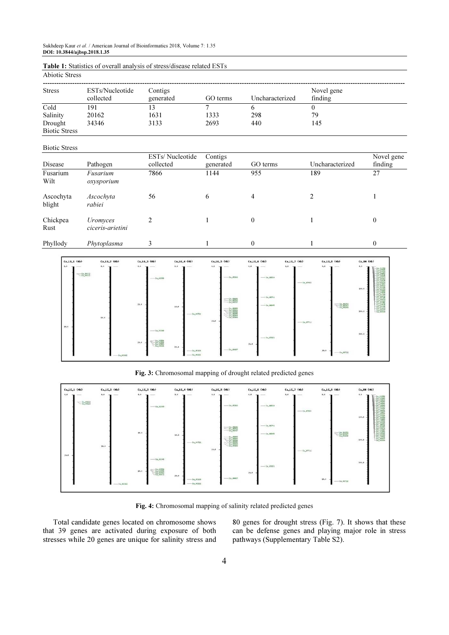Abiotic Stress

| <b>Stress</b>        | ESTs/Nucleotide<br>collected | Contigs<br>generated | GO terms | Uncharacterized | Novel gene<br>finding |
|----------------------|------------------------------|----------------------|----------|-----------------|-----------------------|
| Cold                 | 191                          | 13                   |          |                 |                       |
| Salinity             | 20162                        | 1631                 | 1333     | 298             | 79                    |
| Drought              | 34346                        | 3133                 | 2693     | 440             | 145                   |
| <b>Biotic Stress</b> |                              |                      |          |                 |                       |

#### Biotic Stress

| Disease             | Pathogen                            | ESTs/Nucleotide<br>collected | Contigs<br>generated | GO terms | Uncharacterized | Novel gene<br>finding |
|---------------------|-------------------------------------|------------------------------|----------------------|----------|-----------------|-----------------------|
| Fusarium<br>Wilt    | Fusarium<br>oxysporium              | 7866                         | 1144                 | 955      | 189             | 27                    |
| Ascochyta<br>blight | Ascochyta<br>rabiei                 | 56                           | 6                    | 4        |                 |                       |
| Chickpea<br>Rust    | <i>Uromyces</i><br>ciceris-arietini | 2                            |                      | $\theta$ |                 | $\theta$              |
| Phyllody            | Phytoplasma                         |                              |                      | 0        |                 | $\theta$              |



Fig. 3: Chromosomal mapping of drought related predicted genes



Fig. 4: Chromosomal mapping of salinity related predicted genes

Total candidate genes located on chromosome shows that 39 genes are activated during exposure of both stresses while 20 genes are unique for salinity stress and 80 genes for drought stress (Fig. 7). It shows that these can be defense genes and playing major role in stress pathways (Supplementary Table S2).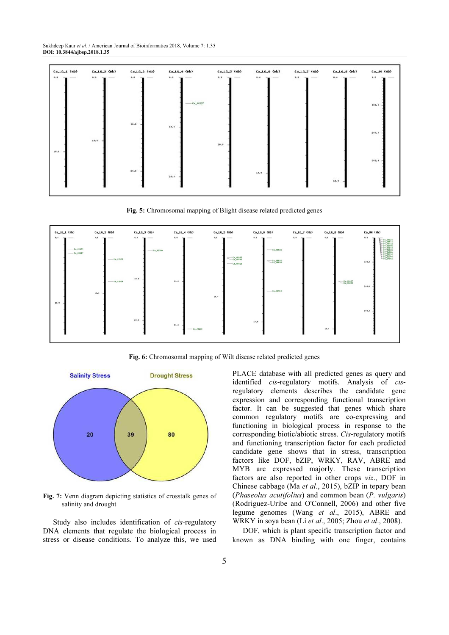Sukhdeep Kaur et al. / American Journal of Bioinformatics 2018, Volume 7: 1.35 DOI: 10.3844/ajbsp.2018.1.35

| $Ca_{1}LG_{2}1$ (Hb)     | $Ca_Ll.G_2$ (Hb)                 | $Ca_LLG_3$ (Hb)        | $Ca_LLG_4$ (Hb)   | $Ca_LLG_5$ (Hb)           | $Ca_LLG_G$ (Hb)                 | Ca_LG_7 (Hb)         | $Ca_Ll_6B$ (Hb)          | Ca_UN (Hb)                                                                                                                                                                                                                                                                                                                                                                                                                                                                            |
|--------------------------|----------------------------------|------------------------|-------------------|---------------------------|---------------------------------|----------------------|--------------------------|---------------------------------------------------------------------------------------------------------------------------------------------------------------------------------------------------------------------------------------------------------------------------------------------------------------------------------------------------------------------------------------------------------------------------------------------------------------------------------------|
| $0 - 0$<br>$\frac{1}{2}$ | $\Phi$ . $\Phi$<br>$\frac{1}{2}$ | $H_n$<br>$\frac{1}{2}$ | $0.0 -$<br>$\sim$ | $0 - 0$<br><b>COLLEGE</b> | $\theta = 0$ .<br>$\frac{1}{2}$ | 0.0<br>$\frac{1}{2}$ | $9 - 9$<br>$\frac{1}{2}$ | $8 - 9$<br>$\frac{1}{2} \left( \frac{1}{2} \right) \left( \frac{1}{2} \right) \left( \frac{1}{2} \right) \left( \frac{1}{2} \right) \left( \frac{1}{2} \right) \left( \frac{1}{2} \right) \left( \frac{1}{2} \right) \left( \frac{1}{2} \right) \left( \frac{1}{2} \right) \left( \frac{1}{2} \right) \left( \frac{1}{2} \right) \left( \frac{1}{2} \right) \left( \frac{1}{2} \right) \left( \frac{1}{2} \right) \left( \frac{1}{2} \right) \left( \frac{1}{2} \right) \left( \frac$ |
|                          |                                  |                        | $- 6a_{n}04237$   |                           |                                 |                      |                          | 140.0                                                                                                                                                                                                                                                                                                                                                                                                                                                                                 |
| 10.9.                    | 10.0                             | 10.9                   | 10,8              | 10.0                      |                                 |                      |                          | 200.0                                                                                                                                                                                                                                                                                                                                                                                                                                                                                 |
|                          |                                  | 20.8                   | 20.8              |                           | 10.8                            |                      |                          | 000.0                                                                                                                                                                                                                                                                                                                                                                                                                                                                                 |

Fig. 5: Chromosomal mapping of Blight disease related predicted genes



Fig. 6: Chromosomal mapping of Wilt disease related predicted genes



Fig. 7: Venn diagram depicting statistics of crosstalk genes of salinity and drought

Study also includes identification of cis-regulatory DNA elements that regulate the biological process in stress or disease conditions. To analyze this, we used PLACE database with all predicted genes as query and identified *cis-regulatory* motifs. Analysis of *cis*regulatory elements describes the candidate gene expression and corresponding functional transcription factor. It can be suggested that genes which share common regulatory motifs are co-expressing and functioning in biological process in response to the corresponding biotic/abiotic stress. Cis-regulatory motifs and functioning transcription factor for each predicted candidate gene shows that in stress, transcription factors like DOF, bZIP, WRKY, RAV, ABRE and MYB are expressed majorly. These transcription factors are also reported in other crops viz., DOF in Chinese cabbage (Ma et al., 2015), bZIP in tepary bean (Phaseolus acutifolius) and common bean (P. vulgaris) (Rodriguez-Uribe and O'Connell, 2006) and other five legume genomes (Wang et al., 2015), ABRE and WRKY in soya bean (Li et al., 2005; Zhou et al., 2008).

DOF, which is plant specific transcription factor and known as DNA binding with one finger, contains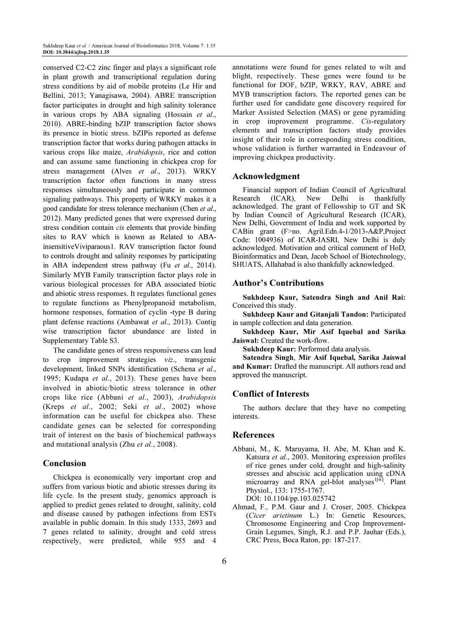conserved C2-C2 zinc finger and plays a significant role in plant growth and transcriptional regulation during stress conditions by aid of mobile proteins (Le Hir and Bellini, 2013; Yanagisawa, 2004). ABRE transcription factor participates in drought and high salinity tolerance in various crops by ABA signaling (Hossain et al., 2010). ABRE-binding bZIP transcription factor shows its presence in biotic stress. bZIPis reported as defense transcription factor that works during pathogen attacks in various crops like maize, Arabidopsis, rice and cotton and can assume same functioning in chickpea crop for stress management (Alves *et al.*, 2013). WRKY transcription factor often functions in many stress responses simultaneously and participate in common signaling pathways. This property of WRKY makes it a good candidate for stress tolerance mechanism (Chen et al., 2012). Many predicted genes that were expressed during stress condition contain *cis* elements that provide binding sites to RAV which is known as Related to ABAinsensitiveViviparaous1. RAV transcription factor found to controls drought and salinity responses by participating in ABA independent stress pathway (Fu et al., 2014). Similarly MYB Family transcription factor plays role in various biological processes for ABA associated biotic and abiotic stress responses. It regulates functional genes to regulate functions as Phenylpropanoid metabolism, hormone responses, formation of cyclin -type B during plant defense reactions (Ambawat et al., 2013). Contig wise transcription factor abundance are listed in Supplementary Table S3.

The candidate genes of stress responsiveness can lead to crop improvement strategies viz., transgenic development, linked SNPs identification (Schena et al., 1995; Kudapa et al., 2013). These genes have been involved in abiotic/biotic stress tolerance in other crops like rice (Abbani et al., 2003), Arabidopsis (Kreps et al., 2002; Seki et al., 2002) whose information can be useful for chickpea also. These candidate genes can be selected for corresponding trait of interest on the basis of biochemical pathways and mutational analysis (Zhu et al., 2008).

# Conclusion

Chickpea is economically very important crop and suffers from various biotic and abiotic stresses during its life cycle. In the present study, genomics approach is applied to predict genes related to drought, salinity, cold and disease caused by pathogen infections from ESTs available in public domain. In this study 1333, 2693 and 7 genes related to salinity, drought and cold stress respectively, were predicted, while 955 and 4

annotations were found for genes related to wilt and blight, respectively. These genes were found to be functional for DOF, bZIP, WRKY, RAV, ABRE and MYB transcription factors. The reported genes can be further used for candidate gene discovery required for Marker Assisted Selection (MAS) or gene pyramiding in crop improvement programme. Cis-regulatory elements and transcription factors study provides insight of their role in corresponding stress condition, whose validation is further warranted in Endeavour of improving chickpea productivity.

# Acknowledgment

Financial support of Indian Council of Agricultural Research (ICAR), New Delhi is thankfully acknowledged. The grant of Fellowship to GT and SK by Indian Council of Agricultural Research (ICAR), New Delhi, Government of India and work supported by CABin grant (F>no. Agril.Edn.4-1/2013-A&P,Project Code: 1004936) of ICAR-IASRI, New Delhi is duly acknowledged. Motivation and critical comment of HoD, Bioinformatics and Dean, Jacob School of Biotechnology, SHUATS, Allahabad is also thankfully acknowledged.

# Author's Contributions

Sukhdeep Kaur, Satendra Singh and Anil Rai: Conceived this study.

Sukhdeep Kaur and Gitanjali Tandon: Participated in sample collection and data generation.

Sukhdeep Kaur, Mir Asif Iquebal and Sarika Jaiswal: Created the work-flow.

Sukhdeep Kaur: Performed data analysis.

Satendra Singh, Mir Asif Iquebal, Sarika Jaiswal and Kumar: Drafted the manuscript. All authors read and approved the manuscript.

### Conflict of Interests

The authors declare that they have no competing interests.

### References

- Abbani, M., K. Maruyama, H. Abe, M. Khan and K. Katsura et al., 2003. Monitoring expression profiles of rice genes under cold, drought and high-salinity stresses and abscisic acid application using cDNA microarray and RNA gel-blot analyses<sup>1[w]</sup>. Plant Physiol., 133: 1755-1767. DOI: 10.1104/pp.103.025742
- Ahmad, F., P.M. Gaur and J. Croser, 2005. Chickpea (Cicer arietinum L.) In: Genetic Resources, Chromosome Engineering and Crop Improvement-Grain Legumes, Singh, R.J. and P.P. Jauhar (Eds.), CRC Press, Boca Raton, pp: 187-217.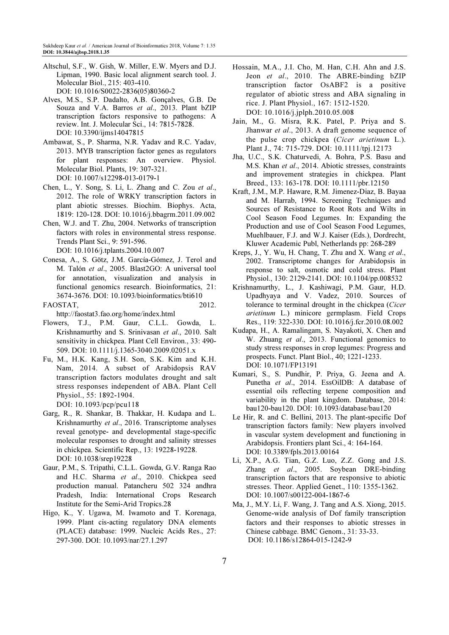- Altschul, S.F., W. Gish, W. Miller, E.W. Myers and D.J. Lipman, 1990. Basic local alignment search tool. J. Molecular Biol., 215: 403-410. DOI: 10.1016/S0022-2836(05)80360-2
- Alves, M.S., S.P. Dadalto, A.B. Gonçalves, G.B. De Souza and V.A. Barros et al., 2013. Plant bZIP transcription factors responsive to pathogens: A review. Int. J. Molecular Sci., 14: 7815-7828. DOI: 10.3390/ijms14047815
- Ambawat, S., P. Sharma, N.R. Yadav and R.C. Yadav, 2013. MYB transcription factor genes as regulators for plant responses: An overview. Physiol. Molecular Biol. Plants, 19: 307-321. DOI: 10.1007/s12298-013-0179-1
- Chen, L., Y. Song, S. Li, L. Zhang and C. Zou et al., 2012. The role of WRKY transcription factors in plant abiotic stresses. Biochim. Biophys. Acta, 1819: 120-128. DOI: 10.1016/j.bbagrm.2011.09.002
- Chen, W.J. and T. Zhu, 2004. Networks of transcription factors with roles in environmental stress response. Trends Plant Sci., 9: 591-596. DOI: 10.1016/j.tplants.2004.10.007
- Conesa, A., S. Götz, J.M. García-Gómez, J. Terol and M. Talón et al., 2005. Blast2GO: A universal tool for annotation, visualization and analysis in functional genomics research. Bioinformatics, 21: 3674-3676. DOI: 10.1093/bioinformatics/bti610
- FAOSTAT, 2012. http://faostat3.fao.org/home/index.html
- Flowers, T.J., P.M. Gaur, C.L.L. Gowda, L. Krishnamurthy and S. Srinivasan et al., 2010. Salt sensitivity in chickpea. Plant Cell Environ., 33: 490- 509. DOI: 10.1111/j.1365-3040.2009.02051.x
- Fu, M., H.K. Kang, S.H. Son, S.K. Kim and K.H. Nam, 2014. A subset of Arabidopsis RAV transcription factors modulates drought and salt stress responses independent of ABA. Plant Cell Physiol., 55: 1892-1904. DOI: 10.1093/pcp/pcu118
- Garg, R., R. Shankar, B. Thakkar, H. Kudapa and L. Krishnamurthy et al., 2016. Transcriptome analyses reveal genotype- and developmental stage-specific molecular responses to drought and salinity stresses in chickpea. Scientific Rep., 13: 19228-19228. DOI: 10.1038/srep19228
- Gaur, P.M., S. Tripathi, C.L.L. Gowda, G.V. Ranga Rao and H.C. Sharma et al., 2010. Chickpea seed production manual. Patancheru 502 324 andhra Pradesh, India: International Crops Research Institute for the Semi-Arid Tropics.28
- Higo, K., Y. Ugawa, M. Iwamoto and T. Korenaga, 1999. Plant cis-acting regulatory DNA elements (PLACE) database: 1999. Nucleic Acids Res., 27: 297-300. DOI: 10.1093/nar/27.1.297
- Hossain, M.A., J.I. Cho, M. Han, C.H. Ahn and J.S. Jeon et al., 2010. The ABRE-binding bZIP transcription factor OsABF2 is a positive regulator of abiotic stress and ABA signaling in rice. J. Plant Physiol., 167: 1512-1520. DOI: 10.1016/j.jplph.2010.05.008
- Jain, M., G. Misra, R.K. Patel, P. Priya and S. Jhanwar et al., 2013. A draft genome sequence of the pulse crop chickpea (Cicer arietinum L.). Plant J., 74: 715-729. DOI: 10.1111/tpj.12173
- Jha, U.C., S.K. Chaturvedi, A. Bohra, P.S. Basu and M.S. Khan et al., 2014. Abiotic stresses, constraints and improvement strategies in chickpea. Plant Breed., 133: 163-178. DOI: 10.1111/pbr.12150
- Kraft, J.M., M.P. Haware, R.M. Jimenez-Diaz, B. Bayaa and M. Harrab, 1994. Screening Techniques and Sources of Resistance to Root Rots and Wilts in Cool Season Food Legumes. In: Expanding the Production and use of Cool Season Food Legumes, Muehlbauer, F.J. and W.J. Kaiser (Eds.), Dordrecht, Kluwer Academic Publ, Netherlands pp: 268-289
- Kreps, J., Y. Wu, H. Chang, T. Zhu and X. Wang et al., 2002. Transcriptome changes for Arabidopsis in response to salt, osmotic and cold stress. Plant Physiol., 130: 2129-2141. DOI: 10.1104/pp.008532
- Krishnamurthy, L., J. Kashiwagi, P.M. Gaur, H.D. Upadhyaya and V. Vadez, 2010. Sources of tolerance to terminal drought in the chickpea (Cicer arietinum L.) minicore germplasm. Field Crops Res., 119: 322-330. DOI: 10.1016/j.fcr.2010.08.002
- Kudapa, H., A. Ramalingam, S. Nayakoti, X. Chen and W. Zhuang et al., 2013. Functional genomics to study stress responses in crop legumes: Progress and prospects. Funct. Plant Biol., 40; 1221-1233. DOI: 10.1071/FP13191
- Kumari, S., S. Pundhir, P. Priya, G. Jeena and A. Punetha et al., 2014. EssOilDB: A database of essential oils reflecting terpene composition and variability in the plant kingdom. Database, 2014: bau120-bau120. DOI: 10.1093/database/bau120
- Le Hir, R. and C. Bellini, 2013. The plant-specific Dof transcription factors family: New players involved in vascular system development and functioning in Arabidopsis. Frontiers plant Sci., 4: 164-164. DOI: 10.3389/fpls.2013.00164
- Li, X.P., A.G. Tian, G.Z. Luo, Z.Z. Gong and J.S. Zhang et al., 2005. Soybean DRE-binding transcription factors that are responsive to abiotic stresses. Theor. Applied Genet., 110: 1355-1362. DOI: 10.1007/s00122-004-1867-6
- Ma, J., M.Y. Li, F. Wang, J. Tang and A.S. Xiong, 2015. Genome-wide analysis of Dof family transcription factors and their responses to abiotic stresses in Chinese cabbage. BMC Genom., 31: 33-33. DOI: 10.1186/s12864-015-1242-9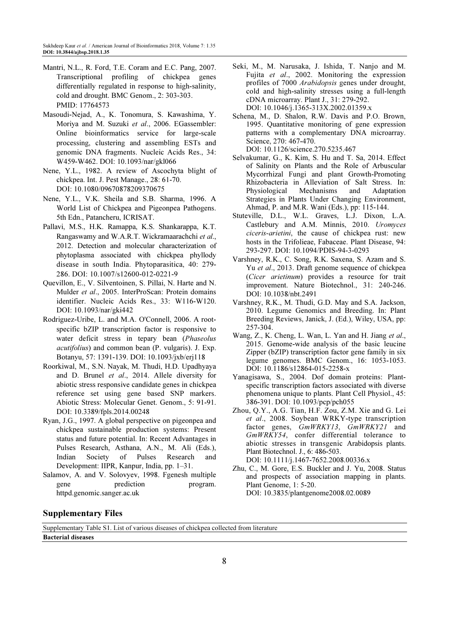- Mantri, N.L., R. Ford, T.E. Coram and E.C. Pang, 2007. Transcriptional profiling of chickpea genes differentially regulated in response to high-salinity, cold and drought. BMC Genom., 2: 303-303. PMID: 17764573
- Masoudi-Nejad, A., K. Tonomura, S. Kawashima, Y. Moriya and M. Suzuki et al., 2006. EGassembler: Online bioinformatics service for large-scale processing, clustering and assembling ESTs and genomic DNA fragments. Nucleic Acids Res., 34: W459-W462. DOI: 10.1093/nar/gkl066
- Nene, Y.L., 1982. A review of Ascochyta blight of chickpea. Int. J. Pest Manage., 28: 61-70. DOI: 10.1080/09670878209370675
- Nene, Y.L., V.K. Sheila and S.B. Sharma, 1996. A World List of Chickpea and Pigeonpea Pathogens. 5th Edn., Patancheru, ICRISAT.
- Pallavi, M.S., H.K. Ramappa, K.S. Shankarappa, K.T. Rangaswamy and W.A.R.T. Wickramaarachchi et al., 2012. Detection and molecular characterization of phytoplasma associated with chickpea phyllody disease in south India. Phytoparasitica, 40: 279- 286. DOI: 10.1007/s12600-012-0221-9
- Quevillon, E., V. Silventoinen, S. Pillai, N. Harte and N. Mulder et al., 2005. InterProScan: Protein domains identifier. Nucleic Acids Res., 33: W116-W120. DOI: 10.1093/nar/gki442
- Rodriguez-Uribe, L. and M.A. O'Connell, 2006. A rootspecific bZIP transcription factor is responsive to water deficit stress in tepary bean (Phaseolus acutifolius) and common bean (P. vulgaris). J. Exp. Botanyu, 57: 1391-139. DOI: 10.1093/jxb/erj118
- Roorkiwal, M., S.N. Nayak, M. Thudi, H.D. Upadhyaya and D. Brunel et al., 2014. Allele diversity for abiotic stress responsive candidate genes in chickpea reference set using gene based SNP markers. Abiotic Stress: Molecular Genet. Genom., 5: 91-91. DOI: 10.3389/fpls.2014.00248
- Ryan, J.G., 1997. A global perspective on pigeonpea and chickpea sustainable production systems: Present status and future potential. In: Recent Advantages in Pulses Research, Asthana, A.N., M. Ali (Eds.), Indian Society of Pulses Research and Development: IIPR, Kanpur, India, pp. 1–31.
- Salamov, A. and V. Solovyev, 1998. Fgenesh multiple gene prediction program. httpd.genomic.sanger.ac.uk
- Seki, M., M. Narusaka, J. Ishida, T. Nanjo and M. Fujita et al., 2002. Monitoring the expression profiles of 7000 Arabidopsis genes under drought, cold and high-salinity stresses using a full-length cDNA microarray. Plant J., 31: 279-292. DOI: 10.1046/j.1365-313X.2002.01359.x
- Schena, M., D. Shalon, R.W. Davis and P.O. Brown, 1995. Quantitative monitoring of gene expression patterns with a complementary DNA microarray. Science, 270: 467-470. DOI: 10.1126/science.270.5235.467
- Selvakumar, G., K. Kim, S. Hu and T. Sa, 2014. Effect of Salinity on Plants and the Role of Arbuscular Mycorrhizal Fungi and plant Growth-Promoting Rhizobacteria in Alleviation of Salt Stress. In: Physiological Mechanisms and Adaptation Strategies in Plants Under Changing Environment, Ahmad, P. and M.R. Wani (Eds.), pp: 115-144.
- Stuteville, D.L., W.L. Graves, L.J. Dixon, L.A. Castlebury and A.M. Minnis, 2010. Uromyces ciceris-arietini, the cause of chickpea rust: new hosts in the Trifolieae, Fabaceae. Plant Disease, 94: 293-297. DOI: 10.1094/PDIS-94-3-0293
- Varshney, R.K., C. Song, R.K. Saxena, S. Azam and S. Yu et al., 2013. Draft genome sequence of chickpea (Cicer arietinum) provides a resource for trait improvement. Nature Biotechnol., 31: 240-246. DOI: 10.1038/nbt.2491
- Varshney, R.K., M. Thudi, G.D. May and S.A. Jackson, 2010. Legume Genomics and Breeding. In: Plant Breeding Reviews, Janick, J. (Ed.), Wiley, USA, pp: 257-304.
- Wang, Z., K. Cheng, L. Wan, L. Yan and H. Jiang et al., 2015. Genome-wide analysis of the basic leucine Zipper (bZIP) transcription factor gene family in six legume genomes. BMC Genom., 16: 1053-1053. DOI: 10.1186/s12864-015-2258-x
- Yanagisawa, S., 2004. Dof domain proteins: Plantspecific transcription factors associated with diverse phenomena unique to plants. Plant Cell Physiol., 45: 386-391. DOI: 10.1093/pcp/pch055
- Zhou, Q.Y., A.G. Tian, H.F. Zou, Z.M. Xie and G. Lei et al., 2008. Soybean WRKY-type transcription factor genes,  $GmWRKY13$ ,  $GmWRKY21$  and GmWRKY54, confer differential tolerance to abiotic stresses in transgenic Arabidopsis plants. Plant Biotechnol. J., 6: 486-503. DOI: 10.1111/j.1467-7652.2008.00336.x
- Zhu, C., M. Gore, E.S. Buckler and J. Yu, 2008. Status and prospects of association mapping in plants. Plant Genome, 1: 5-20. DOI: 10.3835/plantgenome2008.02.0089

# Supplementary Files

Supplementary Table S1. List of various diseases of chickpea collected from literature Bacterial diseases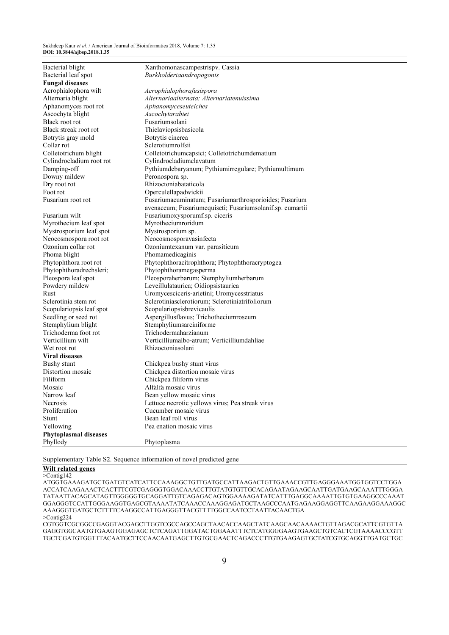| Bacterial leaf spot<br>Burkholderiaandropogonis<br><b>Fungal diseases</b><br>Acrophialophora wilt<br>Acrophialophorafusispora<br>Alternariaalternata; Alternariatenuissima<br>Alternaria blight<br>Aphanomyces root rot<br>Aphanomyceseuteiches<br>Ascochyta blight<br>Ascochytarabiei<br>Fusariumsolani<br>Black root rot<br>Black streak root rot<br>Thielaviopsisbasicola<br>Botrytis gray mold<br>Botrytis cinerea<br>Sclerotiumrolfsii<br>Collar rot<br>Colletotrichum blight<br>Colletotrichumcapsici; Colletotrichumdematium<br>Cylindrocladium root rot<br>Cylindrocladiumclavatum<br>Damping-off<br>Pythiumdebaryanum; Pythiumirregulare; Pythiumultimum<br>Peronospora sp.<br>Downy mildew<br>Rhizoctoniabataticola<br>Dry root rot<br>Foot rot<br>Operculellapadwickii<br>Fusarium root rot<br>Fusariumacuminatum; Fusariumarthrosporioides; Fusarium<br>avenaceum; Fusariumequiseti; Fusariumsolanif.sp. eumartii<br>Fusarium wilt<br>Fusariumoxysporumf.sp. ciceris<br>Myrothecium leaf spot<br>Myrotheciumroridum<br>Mystrosporium leaf spot<br>Mystrosporium sp.<br>Neocosmosporavasinfecta<br>Neocosmospora root rot<br>Ozonium collar rot<br>Ozoniumtexanum var. parasiticum<br>Phoma blight<br>Phomamedicaginis<br>Phytophthoracitrophthora; Phytophthoracryptogea<br>Phytophthora root rot<br>Phytophthoradrechsleri;<br>Phytophthoramegasperma<br>Pleosporaherbarum; Stemphyliumherbarum<br>Pleospora leaf spot<br>Powdery mildew<br>Leveillulataurica; Oidiopsistaurica<br>Rust<br>Uromycesciceris-arietini; Uromycesstriatus<br>Sclerotinia stem rot<br>Sclerotiniasclerotiorum: Sclerotiniatrifoliorum<br>Scopulariopsis leaf spot<br>Scopulariopsisbrevicaulis<br>Seedling or seed rot<br>Aspergillusflavus; Trichotheciumroseum<br>Stemphylium blight<br>Stemphyliumsarciniforme<br>Trichoderma foot rot<br>Trichodermaharzianum<br>Verticillium wilt<br>Verticilliumalbo-atrum; Verticilliumdahliae<br>Rhizoctoniasolani<br>Wet root rot<br><b>Viral diseases</b><br>Bushy stunt<br>Chickpea bushy stunt virus<br>Distortion mosaic<br>Chickpea distortion mosaic virus<br>Filiform<br>Chickpea filiform virus<br>Mosaic<br>Alfalfa mosaic virus<br>Bean yellow mosaic virus<br>Narrow leaf<br>Lettuce necrotic yellows virus; Pea streak virus<br>Necrosis<br>Proliferation<br>Cucumber mosaic virus<br>Bean leaf roll virus<br><b>Stunt</b><br>Pea enation mosaic virus<br>Yellowing<br><b>Phytoplasmal diseases</b><br>Phyllody<br>Phytoplasma | Bacterial blight | Xanthomonascampestrispy. Cassia |
|-----------------------------------------------------------------------------------------------------------------------------------------------------------------------------------------------------------------------------------------------------------------------------------------------------------------------------------------------------------------------------------------------------------------------------------------------------------------------------------------------------------------------------------------------------------------------------------------------------------------------------------------------------------------------------------------------------------------------------------------------------------------------------------------------------------------------------------------------------------------------------------------------------------------------------------------------------------------------------------------------------------------------------------------------------------------------------------------------------------------------------------------------------------------------------------------------------------------------------------------------------------------------------------------------------------------------------------------------------------------------------------------------------------------------------------------------------------------------------------------------------------------------------------------------------------------------------------------------------------------------------------------------------------------------------------------------------------------------------------------------------------------------------------------------------------------------------------------------------------------------------------------------------------------------------------------------------------------------------------------------------------------------------------------------------------------------------------------------------------------------------------------------------------------------------------------------------------------------------------------------------------------------------------------------------------------------------------------------------------------------------------------------------------------------------------------------------------------------------|------------------|---------------------------------|
|                                                                                                                                                                                                                                                                                                                                                                                                                                                                                                                                                                                                                                                                                                                                                                                                                                                                                                                                                                                                                                                                                                                                                                                                                                                                                                                                                                                                                                                                                                                                                                                                                                                                                                                                                                                                                                                                                                                                                                                                                                                                                                                                                                                                                                                                                                                                                                                                                                                                             |                  |                                 |
|                                                                                                                                                                                                                                                                                                                                                                                                                                                                                                                                                                                                                                                                                                                                                                                                                                                                                                                                                                                                                                                                                                                                                                                                                                                                                                                                                                                                                                                                                                                                                                                                                                                                                                                                                                                                                                                                                                                                                                                                                                                                                                                                                                                                                                                                                                                                                                                                                                                                             |                  |                                 |
|                                                                                                                                                                                                                                                                                                                                                                                                                                                                                                                                                                                                                                                                                                                                                                                                                                                                                                                                                                                                                                                                                                                                                                                                                                                                                                                                                                                                                                                                                                                                                                                                                                                                                                                                                                                                                                                                                                                                                                                                                                                                                                                                                                                                                                                                                                                                                                                                                                                                             |                  |                                 |
|                                                                                                                                                                                                                                                                                                                                                                                                                                                                                                                                                                                                                                                                                                                                                                                                                                                                                                                                                                                                                                                                                                                                                                                                                                                                                                                                                                                                                                                                                                                                                                                                                                                                                                                                                                                                                                                                                                                                                                                                                                                                                                                                                                                                                                                                                                                                                                                                                                                                             |                  |                                 |
|                                                                                                                                                                                                                                                                                                                                                                                                                                                                                                                                                                                                                                                                                                                                                                                                                                                                                                                                                                                                                                                                                                                                                                                                                                                                                                                                                                                                                                                                                                                                                                                                                                                                                                                                                                                                                                                                                                                                                                                                                                                                                                                                                                                                                                                                                                                                                                                                                                                                             |                  |                                 |
|                                                                                                                                                                                                                                                                                                                                                                                                                                                                                                                                                                                                                                                                                                                                                                                                                                                                                                                                                                                                                                                                                                                                                                                                                                                                                                                                                                                                                                                                                                                                                                                                                                                                                                                                                                                                                                                                                                                                                                                                                                                                                                                                                                                                                                                                                                                                                                                                                                                                             |                  |                                 |
|                                                                                                                                                                                                                                                                                                                                                                                                                                                                                                                                                                                                                                                                                                                                                                                                                                                                                                                                                                                                                                                                                                                                                                                                                                                                                                                                                                                                                                                                                                                                                                                                                                                                                                                                                                                                                                                                                                                                                                                                                                                                                                                                                                                                                                                                                                                                                                                                                                                                             |                  |                                 |
|                                                                                                                                                                                                                                                                                                                                                                                                                                                                                                                                                                                                                                                                                                                                                                                                                                                                                                                                                                                                                                                                                                                                                                                                                                                                                                                                                                                                                                                                                                                                                                                                                                                                                                                                                                                                                                                                                                                                                                                                                                                                                                                                                                                                                                                                                                                                                                                                                                                                             |                  |                                 |
|                                                                                                                                                                                                                                                                                                                                                                                                                                                                                                                                                                                                                                                                                                                                                                                                                                                                                                                                                                                                                                                                                                                                                                                                                                                                                                                                                                                                                                                                                                                                                                                                                                                                                                                                                                                                                                                                                                                                                                                                                                                                                                                                                                                                                                                                                                                                                                                                                                                                             |                  |                                 |
|                                                                                                                                                                                                                                                                                                                                                                                                                                                                                                                                                                                                                                                                                                                                                                                                                                                                                                                                                                                                                                                                                                                                                                                                                                                                                                                                                                                                                                                                                                                                                                                                                                                                                                                                                                                                                                                                                                                                                                                                                                                                                                                                                                                                                                                                                                                                                                                                                                                                             |                  |                                 |
|                                                                                                                                                                                                                                                                                                                                                                                                                                                                                                                                                                                                                                                                                                                                                                                                                                                                                                                                                                                                                                                                                                                                                                                                                                                                                                                                                                                                                                                                                                                                                                                                                                                                                                                                                                                                                                                                                                                                                                                                                                                                                                                                                                                                                                                                                                                                                                                                                                                                             |                  |                                 |
|                                                                                                                                                                                                                                                                                                                                                                                                                                                                                                                                                                                                                                                                                                                                                                                                                                                                                                                                                                                                                                                                                                                                                                                                                                                                                                                                                                                                                                                                                                                                                                                                                                                                                                                                                                                                                                                                                                                                                                                                                                                                                                                                                                                                                                                                                                                                                                                                                                                                             |                  |                                 |
|                                                                                                                                                                                                                                                                                                                                                                                                                                                                                                                                                                                                                                                                                                                                                                                                                                                                                                                                                                                                                                                                                                                                                                                                                                                                                                                                                                                                                                                                                                                                                                                                                                                                                                                                                                                                                                                                                                                                                                                                                                                                                                                                                                                                                                                                                                                                                                                                                                                                             |                  |                                 |
|                                                                                                                                                                                                                                                                                                                                                                                                                                                                                                                                                                                                                                                                                                                                                                                                                                                                                                                                                                                                                                                                                                                                                                                                                                                                                                                                                                                                                                                                                                                                                                                                                                                                                                                                                                                                                                                                                                                                                                                                                                                                                                                                                                                                                                                                                                                                                                                                                                                                             |                  |                                 |
|                                                                                                                                                                                                                                                                                                                                                                                                                                                                                                                                                                                                                                                                                                                                                                                                                                                                                                                                                                                                                                                                                                                                                                                                                                                                                                                                                                                                                                                                                                                                                                                                                                                                                                                                                                                                                                                                                                                                                                                                                                                                                                                                                                                                                                                                                                                                                                                                                                                                             |                  |                                 |
|                                                                                                                                                                                                                                                                                                                                                                                                                                                                                                                                                                                                                                                                                                                                                                                                                                                                                                                                                                                                                                                                                                                                                                                                                                                                                                                                                                                                                                                                                                                                                                                                                                                                                                                                                                                                                                                                                                                                                                                                                                                                                                                                                                                                                                                                                                                                                                                                                                                                             |                  |                                 |
|                                                                                                                                                                                                                                                                                                                                                                                                                                                                                                                                                                                                                                                                                                                                                                                                                                                                                                                                                                                                                                                                                                                                                                                                                                                                                                                                                                                                                                                                                                                                                                                                                                                                                                                                                                                                                                                                                                                                                                                                                                                                                                                                                                                                                                                                                                                                                                                                                                                                             |                  |                                 |
|                                                                                                                                                                                                                                                                                                                                                                                                                                                                                                                                                                                                                                                                                                                                                                                                                                                                                                                                                                                                                                                                                                                                                                                                                                                                                                                                                                                                                                                                                                                                                                                                                                                                                                                                                                                                                                                                                                                                                                                                                                                                                                                                                                                                                                                                                                                                                                                                                                                                             |                  |                                 |
|                                                                                                                                                                                                                                                                                                                                                                                                                                                                                                                                                                                                                                                                                                                                                                                                                                                                                                                                                                                                                                                                                                                                                                                                                                                                                                                                                                                                                                                                                                                                                                                                                                                                                                                                                                                                                                                                                                                                                                                                                                                                                                                                                                                                                                                                                                                                                                                                                                                                             |                  |                                 |
|                                                                                                                                                                                                                                                                                                                                                                                                                                                                                                                                                                                                                                                                                                                                                                                                                                                                                                                                                                                                                                                                                                                                                                                                                                                                                                                                                                                                                                                                                                                                                                                                                                                                                                                                                                                                                                                                                                                                                                                                                                                                                                                                                                                                                                                                                                                                                                                                                                                                             |                  |                                 |
|                                                                                                                                                                                                                                                                                                                                                                                                                                                                                                                                                                                                                                                                                                                                                                                                                                                                                                                                                                                                                                                                                                                                                                                                                                                                                                                                                                                                                                                                                                                                                                                                                                                                                                                                                                                                                                                                                                                                                                                                                                                                                                                                                                                                                                                                                                                                                                                                                                                                             |                  |                                 |
|                                                                                                                                                                                                                                                                                                                                                                                                                                                                                                                                                                                                                                                                                                                                                                                                                                                                                                                                                                                                                                                                                                                                                                                                                                                                                                                                                                                                                                                                                                                                                                                                                                                                                                                                                                                                                                                                                                                                                                                                                                                                                                                                                                                                                                                                                                                                                                                                                                                                             |                  |                                 |
|                                                                                                                                                                                                                                                                                                                                                                                                                                                                                                                                                                                                                                                                                                                                                                                                                                                                                                                                                                                                                                                                                                                                                                                                                                                                                                                                                                                                                                                                                                                                                                                                                                                                                                                                                                                                                                                                                                                                                                                                                                                                                                                                                                                                                                                                                                                                                                                                                                                                             |                  |                                 |
|                                                                                                                                                                                                                                                                                                                                                                                                                                                                                                                                                                                                                                                                                                                                                                                                                                                                                                                                                                                                                                                                                                                                                                                                                                                                                                                                                                                                                                                                                                                                                                                                                                                                                                                                                                                                                                                                                                                                                                                                                                                                                                                                                                                                                                                                                                                                                                                                                                                                             |                  |                                 |
|                                                                                                                                                                                                                                                                                                                                                                                                                                                                                                                                                                                                                                                                                                                                                                                                                                                                                                                                                                                                                                                                                                                                                                                                                                                                                                                                                                                                                                                                                                                                                                                                                                                                                                                                                                                                                                                                                                                                                                                                                                                                                                                                                                                                                                                                                                                                                                                                                                                                             |                  |                                 |
|                                                                                                                                                                                                                                                                                                                                                                                                                                                                                                                                                                                                                                                                                                                                                                                                                                                                                                                                                                                                                                                                                                                                                                                                                                                                                                                                                                                                                                                                                                                                                                                                                                                                                                                                                                                                                                                                                                                                                                                                                                                                                                                                                                                                                                                                                                                                                                                                                                                                             |                  |                                 |
|                                                                                                                                                                                                                                                                                                                                                                                                                                                                                                                                                                                                                                                                                                                                                                                                                                                                                                                                                                                                                                                                                                                                                                                                                                                                                                                                                                                                                                                                                                                                                                                                                                                                                                                                                                                                                                                                                                                                                                                                                                                                                                                                                                                                                                                                                                                                                                                                                                                                             |                  |                                 |
|                                                                                                                                                                                                                                                                                                                                                                                                                                                                                                                                                                                                                                                                                                                                                                                                                                                                                                                                                                                                                                                                                                                                                                                                                                                                                                                                                                                                                                                                                                                                                                                                                                                                                                                                                                                                                                                                                                                                                                                                                                                                                                                                                                                                                                                                                                                                                                                                                                                                             |                  |                                 |
|                                                                                                                                                                                                                                                                                                                                                                                                                                                                                                                                                                                                                                                                                                                                                                                                                                                                                                                                                                                                                                                                                                                                                                                                                                                                                                                                                                                                                                                                                                                                                                                                                                                                                                                                                                                                                                                                                                                                                                                                                                                                                                                                                                                                                                                                                                                                                                                                                                                                             |                  |                                 |
|                                                                                                                                                                                                                                                                                                                                                                                                                                                                                                                                                                                                                                                                                                                                                                                                                                                                                                                                                                                                                                                                                                                                                                                                                                                                                                                                                                                                                                                                                                                                                                                                                                                                                                                                                                                                                                                                                                                                                                                                                                                                                                                                                                                                                                                                                                                                                                                                                                                                             |                  |                                 |
|                                                                                                                                                                                                                                                                                                                                                                                                                                                                                                                                                                                                                                                                                                                                                                                                                                                                                                                                                                                                                                                                                                                                                                                                                                                                                                                                                                                                                                                                                                                                                                                                                                                                                                                                                                                                                                                                                                                                                                                                                                                                                                                                                                                                                                                                                                                                                                                                                                                                             |                  |                                 |
|                                                                                                                                                                                                                                                                                                                                                                                                                                                                                                                                                                                                                                                                                                                                                                                                                                                                                                                                                                                                                                                                                                                                                                                                                                                                                                                                                                                                                                                                                                                                                                                                                                                                                                                                                                                                                                                                                                                                                                                                                                                                                                                                                                                                                                                                                                                                                                                                                                                                             |                  |                                 |
|                                                                                                                                                                                                                                                                                                                                                                                                                                                                                                                                                                                                                                                                                                                                                                                                                                                                                                                                                                                                                                                                                                                                                                                                                                                                                                                                                                                                                                                                                                                                                                                                                                                                                                                                                                                                                                                                                                                                                                                                                                                                                                                                                                                                                                                                                                                                                                                                                                                                             |                  |                                 |
|                                                                                                                                                                                                                                                                                                                                                                                                                                                                                                                                                                                                                                                                                                                                                                                                                                                                                                                                                                                                                                                                                                                                                                                                                                                                                                                                                                                                                                                                                                                                                                                                                                                                                                                                                                                                                                                                                                                                                                                                                                                                                                                                                                                                                                                                                                                                                                                                                                                                             |                  |                                 |
|                                                                                                                                                                                                                                                                                                                                                                                                                                                                                                                                                                                                                                                                                                                                                                                                                                                                                                                                                                                                                                                                                                                                                                                                                                                                                                                                                                                                                                                                                                                                                                                                                                                                                                                                                                                                                                                                                                                                                                                                                                                                                                                                                                                                                                                                                                                                                                                                                                                                             |                  |                                 |
|                                                                                                                                                                                                                                                                                                                                                                                                                                                                                                                                                                                                                                                                                                                                                                                                                                                                                                                                                                                                                                                                                                                                                                                                                                                                                                                                                                                                                                                                                                                                                                                                                                                                                                                                                                                                                                                                                                                                                                                                                                                                                                                                                                                                                                                                                                                                                                                                                                                                             |                  |                                 |
|                                                                                                                                                                                                                                                                                                                                                                                                                                                                                                                                                                                                                                                                                                                                                                                                                                                                                                                                                                                                                                                                                                                                                                                                                                                                                                                                                                                                                                                                                                                                                                                                                                                                                                                                                                                                                                                                                                                                                                                                                                                                                                                                                                                                                                                                                                                                                                                                                                                                             |                  |                                 |
|                                                                                                                                                                                                                                                                                                                                                                                                                                                                                                                                                                                                                                                                                                                                                                                                                                                                                                                                                                                                                                                                                                                                                                                                                                                                                                                                                                                                                                                                                                                                                                                                                                                                                                                                                                                                                                                                                                                                                                                                                                                                                                                                                                                                                                                                                                                                                                                                                                                                             |                  |                                 |
|                                                                                                                                                                                                                                                                                                                                                                                                                                                                                                                                                                                                                                                                                                                                                                                                                                                                                                                                                                                                                                                                                                                                                                                                                                                                                                                                                                                                                                                                                                                                                                                                                                                                                                                                                                                                                                                                                                                                                                                                                                                                                                                                                                                                                                                                                                                                                                                                                                                                             |                  |                                 |
|                                                                                                                                                                                                                                                                                                                                                                                                                                                                                                                                                                                                                                                                                                                                                                                                                                                                                                                                                                                                                                                                                                                                                                                                                                                                                                                                                                                                                                                                                                                                                                                                                                                                                                                                                                                                                                                                                                                                                                                                                                                                                                                                                                                                                                                                                                                                                                                                                                                                             |                  |                                 |
|                                                                                                                                                                                                                                                                                                                                                                                                                                                                                                                                                                                                                                                                                                                                                                                                                                                                                                                                                                                                                                                                                                                                                                                                                                                                                                                                                                                                                                                                                                                                                                                                                                                                                                                                                                                                                                                                                                                                                                                                                                                                                                                                                                                                                                                                                                                                                                                                                                                                             |                  |                                 |
|                                                                                                                                                                                                                                                                                                                                                                                                                                                                                                                                                                                                                                                                                                                                                                                                                                                                                                                                                                                                                                                                                                                                                                                                                                                                                                                                                                                                                                                                                                                                                                                                                                                                                                                                                                                                                                                                                                                                                                                                                                                                                                                                                                                                                                                                                                                                                                                                                                                                             |                  |                                 |
|                                                                                                                                                                                                                                                                                                                                                                                                                                                                                                                                                                                                                                                                                                                                                                                                                                                                                                                                                                                                                                                                                                                                                                                                                                                                                                                                                                                                                                                                                                                                                                                                                                                                                                                                                                                                                                                                                                                                                                                                                                                                                                                                                                                                                                                                                                                                                                                                                                                                             |                  |                                 |
|                                                                                                                                                                                                                                                                                                                                                                                                                                                                                                                                                                                                                                                                                                                                                                                                                                                                                                                                                                                                                                                                                                                                                                                                                                                                                                                                                                                                                                                                                                                                                                                                                                                                                                                                                                                                                                                                                                                                                                                                                                                                                                                                                                                                                                                                                                                                                                                                                                                                             |                  |                                 |
|                                                                                                                                                                                                                                                                                                                                                                                                                                                                                                                                                                                                                                                                                                                                                                                                                                                                                                                                                                                                                                                                                                                                                                                                                                                                                                                                                                                                                                                                                                                                                                                                                                                                                                                                                                                                                                                                                                                                                                                                                                                                                                                                                                                                                                                                                                                                                                                                                                                                             |                  |                                 |
|                                                                                                                                                                                                                                                                                                                                                                                                                                                                                                                                                                                                                                                                                                                                                                                                                                                                                                                                                                                                                                                                                                                                                                                                                                                                                                                                                                                                                                                                                                                                                                                                                                                                                                                                                                                                                                                                                                                                                                                                                                                                                                                                                                                                                                                                                                                                                                                                                                                                             |                  |                                 |
|                                                                                                                                                                                                                                                                                                                                                                                                                                                                                                                                                                                                                                                                                                                                                                                                                                                                                                                                                                                                                                                                                                                                                                                                                                                                                                                                                                                                                                                                                                                                                                                                                                                                                                                                                                                                                                                                                                                                                                                                                                                                                                                                                                                                                                                                                                                                                                                                                                                                             |                  |                                 |
|                                                                                                                                                                                                                                                                                                                                                                                                                                                                                                                                                                                                                                                                                                                                                                                                                                                                                                                                                                                                                                                                                                                                                                                                                                                                                                                                                                                                                                                                                                                                                                                                                                                                                                                                                                                                                                                                                                                                                                                                                                                                                                                                                                                                                                                                                                                                                                                                                                                                             |                  |                                 |

Supplementary Table S2. Sequence information of novel predicted gene

# Wilt related genes

>Contig142

ATGGTGAAAGATGCTGATGTCATCATTCCAAAGGCTGTTGATGCCATTAAGACTGTTGAAACCGTTGAGGGAAATGGTGGTCCTGGA ACCATCAAGAAACTCACTTTCGTCGAGGGTGGACAAACCTTGTATGTGTTGCACAGAATAGAAGCAATTGATGAAGCAAATTTGGGA TATAATTACAGCATAGTTGGGGGTGCAGGATTGTCAGAGACAGTGGAAAAGATATCATTTGAGGCAAAATTGTGTGAAGGCCCAAAT GGAGGGTCCATTGGGAAGGTGAGCGTAAAATATCAAACCAAAGGAGATGCTAAGCCCAATGAGAAGGAGGTTCAAGAAGGAAAGGC AAAGGGTGATGCTCTTTTCAAGGCCATTGAGGGTTACGTTTTGGCCAATCCTAATTACAACTGA >Contig224

CGTGGTCGCGGCCGAGGTACGAGCTTGGTCGCCAGCCAGCTAACACCAAGCTATCAAGCAACAAAACTGTTAGACGCATTCGTGTTA GAGGTGGCAATGTGAAGTGGAGAGCTCTCAGATTGGATACTGGAAATTTCTCATGGGGAAGTGAAGCTGTCACTCGTAAAACCCGTT TGCTCGATGTGGTTTACAATGCTTCCAACAATGAGCTTGTGCGAACTCAGACCCTTGTGAAGAGTGCTATCGTGCAGGTTGATGCTGC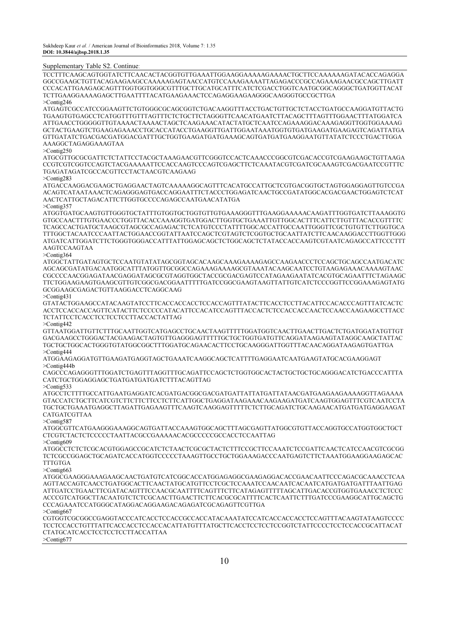#### Supplementary Table S2. Continue:

TCCTTTCAAGCAGTGGTATCTTCAACACTACGGTGTTGAAATTGGAAGGAAAAAGAAAACTGCTTCCAAAAAAGATACACCAGAGGA GGCCGAAGCTGTTACAGAAGAAGCCAAAAAGAGTAACCATGTCCAAAGAAAATTAGAGACCCGCCAGAAAGAACGCCAGCTTGATT CCCACATTGAAGAGCAGTTTGGTGGTGGGCGTTTGCTTGCATGCATTTCATCTCGACCTGGTCAATGCGGCAGGGCTGATGGTTACAT TCTTGAAGGAAAAGAGCTTGAATTTTACATGAAGAAACTCCAGAGGAAGAAGGGCAAGGGTGCCGCTTGA >Contig246

ATGAGTCGCCATCCGGAAGTTCTGTGGGCGCAGCGGTCTGACAAGGTTTACCTGACTGTTGCTCTACCTGATGCCAAGGATGTTACTG TGAAGTGTGAGCCTCATGGTTTGTTTAGTTTCTCTGCTTCTAGGGTTCAACATGAATCTTACAGCTTTAGTTTGGAACTTTATGGATCA ATTGAACCTGGGGGTTGTAAAACTAAAACTAGCTCAAGAAACATACTATGCTCAATCCAGAAAGGACAAAGAGGTTGGTGGAAAAG GCTACTGAAGTCTGAAGAGAAACCTGCACCATACCTGAAGGTTGATTGGAATAAATGGTGTGATGAAGATGAAGAGTCAGATTATGA GTTGATATCTGACGACGATGGACGATTTGCTGGTGAAGATGATGAAAGCAGTGATGATGAAGGAATGTTATATCTCCCTGACTTGGA AAAGGCTAGAGGAAAGTAA

>Contig250

ATGCGTTGCGCGATTCTCTATTCCTACGCTAAAGAACGTTCGGGTCCACTCAAACCCGGCGTCGACACCGTCGAAGAAGCTGTTAAGA CCGTCGTCGGTCCAGTCTACGAAAAATTCCACCAAGTCCCAGTCGAGCTTCTCAAATACGTCGATCGCAAAGTCGACGAATCCGTTTC TGAGATAGATCGCCACGTTCCTACTAACGTCAAGAAG

>Contig283

ATGACCAAGGACGAAGCTGAGGAACTAGTCAAAAAGGCAGTTTCACATGCCATTGCTCGTGACGGTGCTAGTGGAGGAGTTGTCCGA ACAGTCATAATAAACTCAGAGGGAGTGACCAGGAATTTCTACCCTGGAGATCAACTGCCGATATGGCACGACGAACTGGAGTCTCAT AACTCATTGCTAGACATTCTTGGTGCCCCAGAGCCAATGAACATATGA >Contig357

ATGGTGATGCAAGTGTTGGGTGCTATTTGTGGTGCTGGTGTTGTGAAAGGGTTTGAAGGAAAAACAAGATTTGGTGATCTTAAAGGTG GTGCCAACTTTGTGAACCCTGGTTACACCAAAGGTGATGGACTTGGTGCTGAAATTGTTGGCACTTTCATTCTTGTTTACACCGTTTTC TCAGCCACTGATGCTAAGCGTAGCGCCAGAGACTCTCATGTCCCTATTTTGGCACCATTGCCAATTGGGTTCGCTGTGTTCTTGGTGCA TTTGGCTACAATCCCAATTACTGGAACCGGTATTAATCCAGCTCGTAGTCTCGGTGCTGCAATTATCTTCAACAAGGACCTTGGTTGGG ATGATCATTGGATCTTCTGGGTGGGACCATTTATTGGAGCAGCTCTGGCAGCTCTATACCACCAAGTCGTAATCAGAGCCATTCCCTTT

AAGTCCAAGTAA >Contig364

ATGGCTATTGATAGTGCTCCAATGTATATAGCGGTAGCACAAGCAAAGAAAAGAGCCAAGAACCCTCCAGCTGCAGCCAATGACATC AGCAGCGATATGACAATGGCATTTATGGTTGCGGCCAGAAAGAAAAGCGTAAATACAAGCAATCCTGTAAGAGAAACAAAAGTAAC CGCCCCAACGGAGATAACGAGGATAGCGCGTAGGTGGCTACCGCGACGAGTCCATAGAAGAATATCACGTGCAGAATTTCTAGAAGC TTCTGGAAGAAGTGAAGCGTTGTCGGCGACGGAATTTTTGATCCGGCGAAGTAAGTTATTGTCATCTCCCGGTTCCGGAAAGAGTATG GCGGAAGCGAGACTGTTAAGGACCTCAGGCAAG

>Contig431

GTATACTGGAAGCCATACAAGTATCCTTCACCACCACCTCCACCAGTTTATACTTCACCTCCTTACATTCCACACCCAGTTTATCACTC ACCTCCACCACCAGTTCATACTTCTCCCCCATACATTCCACATCCAGTTTACCACTCTCCACCACCAACTCCAACCAAGAAGCCTTACC TCTATTCCTCACCTCCTCCTCCTTACCACTATTAG

>Contig442

GTTAATGGATTGTTCTTTGCAATTGGTCATGAGCCTGCAACTAAGTTTTTGGATGGTCAACTTGAACTTGACTCTGATGGATATGTTGT GACGAAGCCTGGGACTACGAAGACTAGTGTTGAGGGAGTTTTTGCTGCTGGTGATGTTCAGGATAAGAAGTATAGGCAAGCTATTAC TGCTGCTGGCACTGGGTGTATGGCGGCTTTGGATGCAGAACACTTCCTGCAAGGGATTGGTTTACAACAGGATAAGAGTGATTGA >Contig444

ATGGAAGAGGATGTTGAAGATGAGGTAGCTGAAATCAAGGCAGCTCATTTTGAGGAATCAATGAAGTATGCACGAAGGAGT >Contig444b

CAGCCCAGAGGGTTTGGATCTGAGTTTAGGTTTGCAGATTCCAGCTCTGGTGGCACTACTGCTGCTGCAGGGACATCTGACCCATTTA CATCTGCTGGAGGAGCTGATGATGATGATCTTTACAGTTAG

>Contig533

ATGCCTCTTTTGCCATTGAATGAGGATCACGATGACGGCGACGATGATTATTATGATTATAACGATGAAGAAGAAAAGGTTAGAAAA GTACCATCTGCTTCATCGTCTTCTTCTTCCTCTTCATTGGCTGAGGATAAGAAACAAGAAGATGATCAAGTGGAGTTTCGTCAATCCTA TGCTGCTGAAATGAGGCTTAGATTGAGAAGTTTCAAGTCAAGGAGTTTTTCTCTTGCAGATCTGCAAGAACATGATGATGAGGAAGAT CATGATCGTTAA

>Contig587

ATGGCGTTCATGAAGGGAAAGGCAGTGATTACCAAAGTGGCAGCTTTAGCGAGTTATGGCGTGTTACCAGGTGCCATGGTGGCTGCT CTCGTCTACTCTCCCCCTAATTACGCCGAAAAACACGCCCCCGCCACCTCCAATTAG >Contig609

ATGGCCTCTCTCGCACGTGGAGCCGCATCTCTAACTCGCGCTACTCTTTCCGCTTCCAAATCTCCGATTCAACTCATCCAACGTCGCGG TCTCGCCGGAGCTGCAGATCACCATGGTCCCCCTAAAGTTGCCTGCTGGAAAGACCCAATGAGTCTTCTAAATGGAAGGAAGAGCAC **TTTGTGA** 

>Contig663

ATGGCGAAGGGAAAGAAGCAACTGATGTCATCGGCACCATGGAGAGGCGAAGAGGACACCGAACAATTCCCAGACGCAAACCTCAA AGTTACCAGTCAACCTGATGGCACTTCAACTATGCATGTTCCTCGCTCCAAATCCAACAATCACAATCATGATGATGATTTAATTGAG ATTGATCCTGAACTTCGATACAGTTTCCAACGCAATTTTCAGTTTCTTCATAGAGTTTTTAGCATTGACACCGTGGTGAAACCTCTCCC ACCCGTCATGGCTTACAATGTCTCTCGCAACTTGAACTTCTTCACGCGCATTTTCACTCAATTCTTTGATCCCGAAGGCATTGCAGCTG CCCAGAAATCCATGGGCATAGGACAGGAAGACAGAGATCGCAGAGTTCGTTGA

>Contig667

CGTGGTCGCGGCCGAGGTACCCATCACCTCCACCGCCACCATACAAATATCCATCACCACCACCTCCAGTTTACAAGTATAAGTCCCC TCCTCCACCTGTTTATTCACCACCTCCACCACATTATGTTTATGCTTCACCTCCTCCTCCGGTCTATTCCCCTCCTCCACCGCATTACAT CTATGCATCACCTCCTCCTCCTTACCATTAA >Contig677

10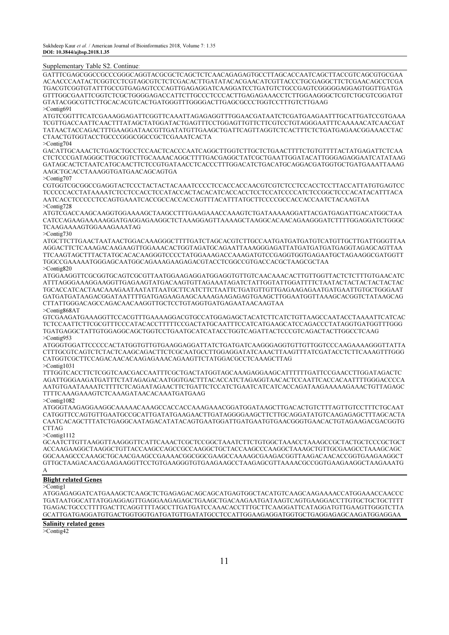#### Supplementary Table S2. Continue:

GATTTCGAGCGGCCGCCCGGGCAGGTACGCGCTCAGCTCTCAACAGAGAGTGCCTTAGCACCAATCAGCTTACCGTCAGCGTGCGAA ACAACCCAATACTCGGTCCTCGTAGCGTCTCTCGACACTTGATATACACGAACATCGTTACCCTGCGAGGCTTCTCGAACAGCCTCGA TGACGTCGGTGTATTTGCCGTGAGAGTCCCAGTTGAGAGGATCAAGGATCCTGATGTCTGCCGAGTCGGGGGAGGAGTGGTTGATGA GTTTGGCGAATTCGGTCTCGCTGGGGAGACCATTCTTGCCCTCCCACTTGAGAGAAACCTCTTGGAAGGGCTCGTCTGCGTCGGATGT GTATACGGCGTTCTTGCACACGTCACTGATGGGTTTGGGGACTTGAGCGCCCTGGTCCTTTGTCTTGAAG >Contig691

ATGTCGGTTTCATCGAAAGGAGATTCGGTTCAAATTAGAGAGGTTTGGAACGATAATCTCGATGAAGAATTTGCATTGATCCGTGAAA TCGTTGACCAATTCAACTTTATAGCTATGGATACTGAGTTTCCTGGAGTTGTTCTTCGTCCTGTAGGGAATTTCAAAAACATCAACGAT TATAACTACCAGACTTTGAAGGATAACGTTGATATGTTGAAGCTGATTCAGTTAGGTCTCACTTTCTCTGATGAGAACGGAAACCTAC CTAACTGTGGTACCTGCCCGGGCGGCCGCTCGAAATCACTA

>Contig704

GACATTGCAAACTCTGAGCTGCCTCCAACTCACCCAATCAGGCTTGGTCTTGCTCTGAACTTTTCTGTGTTTTACTATGAGATTCTCAA CTCTCCCGATAGGGCTTGCGGTCTTGCAAAACAGGCTTTTGACGAGGCTATCGCTGAATTGGATACATTGGGAGAGGAATCATATAAG GATAGCACTCTAATCATGCAACTTCTCCGTGATAACCTCACCCTTTGGACATCTGACATGCAGGACGATGGTGCTGATGAAATTAAAG AAGCTGCACCTAAAGGTGATGAACAGCAGTGA

>Contig707

CGTGGTCGCGGCCGAGGTACTCCCTACTACTACAAATCCCCTCCACCACCAACGTCGTCTCCTCCACCTCCTTACCATTATGTGAGTCC TCCCCCACCTATAAAATCTCCTCCACCTCCATACCACTACACATCACCACCTCCTCCATCCCCATCTCCGGCTCCCACATACATTTACA AATCACCTCCCCCTCCAGTGAAATCACCGCCACCACCAGTTTACATTTATGCTTCCCCGCCACCACCAATCTACAAGTAA >Contig728

ATGTCGACCAAGCAAGGTGGAAAAGCTAAGCCTTTGAAGAAACCAAAGTCTGATAAAAAGGATTACGATGAGATTGACATGGCTAA CATCCAGAAGAAAAAGGATGAGGAGAAGGCTCTAAAGGAGTTAAAAGCTAAGGCACAACAGAAGGGATCTTTTGGAGGATCTGGGC TCAAGAAAAGTGGAAAGAAATAG

#### >Contig730

ATGCTTCTTGAACTAATAACTGGACAAAGGGCTTTTGATCTAGCACGTCTTGCCAATGATGATGATGTCATGTTGCTTGATTGGGTTAA AGGACTTCTCAAAGACAAGAAGTTGGAAACACTGGTAGATGCAGAATTAAAGGGAGATTATGATGATGATGAGGTAGAGCAGTTAA TTCAAGTAGCTTTACTATGCACACAAGGGTCCCCTATGGAAAGACCAAAGATGTCCGAGGTGGTGAGAATGCTAGAAGGCGATGGTT TGGCCGAAAAATGGGAGCAATGGCAGAAAGAAGAGACGTACCTCGGCCGTGACCACGCTAAGCGCTAA >Contig820

ATGGAAGGTTCGCGGTGCAGTCGCGTTAATGGAAGAGGATGGAGGTGTTGTCAACAAACACTTGTTGGTTACTCTCTTTGTGAACATC ATTTAGGGAAAGGAAGGTTGAGAAGTATGACAAGTGTTAGAAATAGATCTATTGGTATTGGATTTTCTAATACTACTACTACTACTAC TGCACCATCACTAACAAAGAATAATATTAATGCTTCATCTTCTAATTCTGATGTTGTTGAGAAGAGAATGATGAATTGTGCTGGGAAT GATGATGATAAGACGGATAATTTTGATGAGAAGAAGCAAAAGAAGAGAGTGAAGCTTGGAATGGTTAAAGCACGGTCTATAAGCAG CTTATTGGGACAGCCAGACAACAAGGTTGCTCCTGTAGGTGATGAGAATAACAAGTAA

>Contig868AT

GTCGAAGATGAAAGGTTCCACGTTTGAAAAGGACGTGCCATGGAGAGCTACATCTTCATCTGTTAAGCCAATACCTAAAATTCATCAC TCTCCAATTCTTCGCGTTTCCCATACACCTTTTTCCGACTATGCAATTTCCATCATGAAGCATCCAGACCCTATAGGTGATGGTTTGGG TGATGAGGCTATTGTGGAGGCAGCTGGTCCTGAATGCATCATACCTGGTCAGATTACTCCCGTCAGACTACTTGGCCTCAAG >Contig953

ATGGGTGGATTCCCCCACTATGGTGTTGTGAAGGAGGATTATCTGATGATCAAGGGAGGTGTTGTTGGTCCCAAGAAAAGGGTTATTA CTTTGCGTCAGTCTCTACTCAAGCAGACTTCTCGCAATGCCTTGGAGGATATCAAACTTAAGTTTATCGATACCTCTTCAAAGTTTGGG CATGGTCGCTTCCAGACAACACAAGAGAAACAGAAGTTCTATGGACGCCTCAAAGCTTAG

>Contig1031

TTTGGTCACCTTCTCGGTCAACGACCAATTTCGCTGACTATGGTAGCAAAGAGGAAGCATTTTTTGATTCCGAACCTTGGATAGACTC AGATTGGGAAGATGATTTCTATAGAGACAATGGTGACTTTACACCATCTAGAGGTAACACTCCAATTCACCACAATTTTGGGACCCCA AATGTGAATAAAATCTTTTCTCAGAATAGAACTTCTGATTCTCCATCTGAATCATCATCACCAGATAAGAAAAAGAAACTGTTAGAGC TTTTCAAAGAAAGTCTCAAAGATAACACAAATGATGAAG

>Contig1082

ATGGGTAAGAGGAAGGCAAAAACAAAGCCACCACCAAAGAAACGGATGGATAAGCTTGACACTGTCTTTAGTTGTCCTTTCTGCAAT CATGGTTCCAGTGTTGAATGCCGCATTGATATGAAGAACTTGATAGGGGAAGCTTCTTGCAGGATATGTCAAGAGAGCTTTAGCACTA CAATCACAGCTTTATCTGAGGCAATAGACATATACAGTGAATGGATTGATGAATGTGAACGGGTGAACACTGTAGAAGACGACGGTG **CTTAG** 

>Contig1112

GCAATCTTGTTAAGGTTAAGGGTTCATTCAAACTCGCTCCGGCTAAATCTTCTGTGGCTAAACCTAAAGCCGCTACTGCTCCCGCTGCT ACCAAGAAGGCTAAGGCTGTTACCAAGCCAGCCGCCAAGGCTGCTACCAAGCCCAAGGCTAAAGCTGTTGCGAAGCCTAAAGCAGC GGCAAAGCCCAAAGCTGCAACGAAGCCGAAAACGGCGGCGAAGCCAAAAGCGAAGACGGTTAAGACAACACCGGTGAAGAAGGCT GTTGCTAAGACAACGAAGAAGGTTCCTGTGAAGGGTGTGAAGAAGCCTAAGAGCGTTAAAACGCCGGTGAAGAAGGCTAAGAAATG

### A

# Blight related Genes

>Contig1

ATGGAGAGGATCATGAAAGCTCAAGCTCTGAGAGACAGCAGCATGAGTGGCTACATGTCAAGCAAGAAAACCATGGAAACCAACCC TGATAATGGCATTATGGAGGAGTTGAGGAAGAGAGCTGAAGCTGACAAGAATGATAAGTCAGTGAAGGACCTTGTGCTGCTGCTTTT TGAGACTGCCCTTTTGACTTCAGGTTTTAGCCTTGATGATCCAAACACCTTTGCTTCAAGGATTCATAGGATGTTGAAGTTGGGTCTTA GCATTGATGAGGATGTGACTGGTGGTGATGATGTTGATATGCCTCCATTGGAAGAGGATGGTGCTGAGGAGAGCAAGATGGAGGAA

# Salinity related genes

>Contig42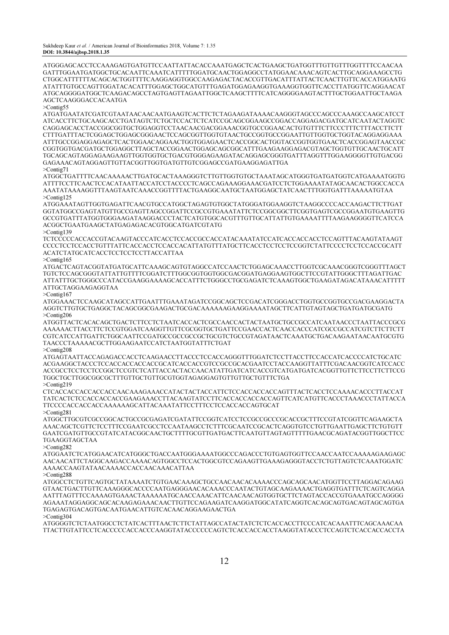ATGGGAGCACCTCCAAAGAGTGATGTTCCAATTATTACACCAAATGAGCTCACTGAAGCTGATGGTTTGTTGTTTGGTTTTCCAACAA GATTTGGAATGATGGCTGCACAATTCAAATCATTTTTGGATGCAACTGGAGGCCTATGGAACAAACAGTCACTTGCAGGAAAGCCTG CTGGCATTTTTTACAGCACTGGTTTTCAAGGAGGTGGCCAAGAGACTACACCGTTGACATTTATTACTCAACTTGTTCACCATGGAATG ATATTTGTGCCAGTTGGATACACATTTGGAGCTGGCATGTTTGAGATGGAGAAGGTGAAAGGTGGTTCACCTTATGGTTCAGGAACAT ATGCAGGGGATGGCTCAAGACAGCCTAGTGAGTTAGAATTGGCTCAAGCTTTTCATCAGGGGAAGTACTTTGCTGGAATTGCTAAGA AGCTCAAGGGACCACAATGA

>Contig55

ATGATGAATATCGATCGTAATAACAACAATGAAGTCACTTCTCTAGAAGATAAAACAAGGGTAGCCCAGCCCAAAGCCAAGCATCCT ATCACCTTCTGCAAGCACCTGATAGTCTCTGCTCCACTCTCATCCGCAGCGGAAGCCGGACCAGGAGACGATGCATCAATACTAGGTC CAGGAGCACCTACCGGCGGTGCTGGAGGTCCTAACAACGACGGAAACGGTGCCGGAACACTGTGTTTCTTCCCTTTCTTTACCTTCTT CTTTGATTTACTCGGAGCTGGAGCGGGAACTCCAGCGGTTGGTGTAACTGCCGGTGCCGGAATTGTTGGTGCTGGTACAGGAGGAAA ATTTGCCGGAGGAGAGCTCACTGGAACAGGAACTGGTGGAGAACTCACCGGCACTGGTACCGGTGGTGAACTCACCGGAGTAACCGC CGGTGGTGACGATGCTGGAGGCTTAGCTACCGGAACTGGAGCAGCGGCATTTGAAGAAGGAGACGTAGCTGGTGTTGCAACTGCATT TGCAGCAGTAGGAGAAGAAGTTGGTGGTGCTGACGTGGGAGAAGATACAGGAGCGGGTGATTTAGGTTTGGAAGGGGTTGTGACGG GAGAAACAGTAGGAGTTGTTACGGTTGGTGATGTTGTCGGAGCCGATGAAGGAGATTGA

>Contig71

ATGGCTGATTTTCAACAAAAACTTGATGCACTAAAGGGTCTTGTTGGTGTGCTAAATAGCATGGGTGATGATGGTCATGAAAATGGTG ATTTTCCTTCAACTCCACATAATTACCATCCTACCCCTCAGCCAGAAAGGAAACGATCCTCTGGAAAATATAGCAACACTGGCCACCA AAATATAAAAGGTTTAAGTAATCAAACCGGTTTTACTGAAGGCAATGCTAATGGAGCTATCAACTTTGGTGATTTAAAAATGTAA >Contig125

ATGGAAATAGTTGGTGAGATTCAACGTGCCATGGCTAGAGTGTGGCTATGGGATGGAAGGTCTAAGGCCCCACCAAGACTTCTTGAT GGTATGGCCGAGTATGTTGCCGAGTTAGCCGGATTCCGCCGTGAAATATTCTCCGGCGGCTTCGGTGAGTCGCCGGAATGTGAAGTTG GCCGTGATTTATGGTGGGAAGATAAGGACCCTACTCATGTGGCACGTTTGTTGCATTATTGTGAAAATTTTAAGAAGGGGTTCATCCA ACGGCTGAATGAAGCTATGAGAGACACGTGGCATGATCGTATG

>Contig139

TCTCCCCCACCACCGTACAAGTACCCATCACCTCCACCGCCACCATACAAATATCCATCACCACCACCTCCAGTTTACAAGTATAAGT CCCCTCCTCCACCTGTTTATTCACCACCTCCACCACATTATGTTTATGCTTCACCTCCTCCTCCGGTCTATTCCCCTCCTCCACCGCATT ACATCTATGCATCACCTCCTCCTCCTTACCATTAA

>Contig165

ATGACTCAGTACGGTATGATGCATTCAAAGCAGTGTAGGCCATCCAACTCTGGAGCAAACCTTGGTCGCAAACGGGTCGGGTTTAGCT TGTCTCCAGCGGGTATTATTGTTTTCGGATCTTTGGCGGTGGTGGCGACGGATGAGGAAGTGGCTTCCGTATTGGGCTTTAGATTGAC ATTATTTGCTGGGCCCATACCGAAGGAAAAGCACCATTTCTGGGCCTGCGAGATCTCAAAGTGGCTGAAGATAGACATAAACATTTTT ATTGCTAGGAAGAGGTAA

>Contig167

ATGGAAACTCCAAGCATAGCCATTGAATTTGAAATAGATCCGGCAGCTCCGACATCGGGACCTGGTGCCGGTGCCGACGAAGGACTA AGGTCTTGTGCTGAGGCTACAGCGGCGAAGACTGCGACAAAAAAGAAGGAAAATAGCTTCATTGTAGTAGCTGATGATGCGATG >Contig206

ATGGTTACTCACACAGCTGACTCTTCCTCTAATCACCACTCGCCAACCACTACTAATGCTGCCGCCATCAATAACCCTAATTACCCGCG AAAAAACTTACCTTCTCCGTGGATCAAGGTTGTTCGCGGTGCTGATTCCGAACCACTCAACCACCCATCGCCGCCATCGTCTTCTTCTT CGTCATCCATTGATTCTGGCAATTCCGATGCCGCCGCCGCTGCGTCTGCCGTAGATAACTCAAATGCTGACAAGAATAACAATGCGTG TAACCCTAAAAACGCTTGGAAGAATCCATCTAATGGTATTTCTGAT

>Contig208 ATGAGTAATTACCAGAGACCACCTCAAGAACCTTACCCTCCACCAGGGTTTGGATCTCCTTACCTTCCACCATCACCCCATCTGCATC ACGAAGGCTACCCTCCACCACCACCACCGCATCACCACCGTCCGCCGCACGAATCCTACCAAGGTTATTTCGACAACGGTCATCCACC ACCGCCTCCTCCTCCGGCTCCGTCTCATTACCACTACCAACATATTGATCATCACCGTCATGATGATCACGGTTGTTCTTCCTTCTTCCG TGGCTGCTTGGCGGCGCTTTGTTGCTGTTGCGTGGTAGAGGAGTGTTGTTGCTGTTTCTGA >Contig219

CTCACCACCACCACCACCAACAAAGAAACCATACTACTACCATTCTCCACCACCACCAGTTTACTCACCTCCAAAACACCCTTACCAT TATCACTCTCCACCACCACCGAAGAAACCTTACAAGTATCCTTCACCACCACCACCAGTTCATCATGTTCACCCTAAACCCTATTACCA TTCCCCACCACCACCAAAAAAGCATTACAAATATTCCTTTCCTCCACCACCAGTGCAT >Contig281

ATGGCTTGCGTCGCCGGCACTGCCGCGAGATCGATATTCCGGTCATCCTCCGCCGCCCGCACCGCTTTCCGTATCGGTTCAGAAGCTA AAACAGCTCGTTCTCCTTTCCGAATCGCCTCCAATAAGCCTCTTTCGCAATCCGCACTCAGGTGTCCTGTTGAATTGAGCTTCTGTGTT GAATCGATGTTGCCGTATCATACGGCAACTGCTTTTGCGTTGATGACTTCAATGTTAGTAGTTTTTGAACGCAGATACGGTTGGCTTCC TGAAGGTAGCTAA

>Contig282

ATGGAATCTCATGGAACATCATGGGCTGACCAATGGGAAAATGGCCCAGACCCTGTGAGTGGTTCCAACCAATCCAAAAAGAAGAGC AACAACATTCTAGGCAAGACCAAAACAGTGGCCTCCACTGGCGTCCAGAAGTTGAAAGAGGGTACCTCTGTTAGTCTCAAATGGATC AAAACCAAGTATAACAAAACCACCAACAAACATTAA

>Contig288

ATGGCCTCTGTTCAGTGCTATAAAATCTGTGAACAAAGCTGCCAACAACACAAAACCCAGCAGCAACATGGTTCCTTAGGACAGAAG GTAACTGACTTGTTCAAAGGGCACCCCAATGAGGGAACACAAACCCAATACTGTAGCAAGAAAACTGAGGTGATTTCTCAGTCAGGA AATTTAGTTTCCAAAAGTGAAACTAAAAAATGCAACCAAACATTCAACAACAGTGGTGCTTCTAGTACCACCGTGAAATGCCAGGGG AGAAATAGGAGGCAGCACAAGAGAAACAACTTGTTCCAGAAGATCAAGGATGGCATATCAGGTCACAGCAGTGACAGTAGCAGTGA TGAGAGTGACAGTGACAATGAACATTGTCACAACAGGAAGAACTGA

>Contig304

ATGGGGTCTCTAATGGCCTCTATCACTTTAACTCTTCTATTAGCCATACTATCTCTCACCACCTTCCCATCACAAATTTCAGCAAACAA TTACTTGTATTCCTCACCCCCACCACCCAAGGTATACCCCCCAGTCTCACCACCACCTAAGGTATACCCTCCAGTCTCACCACCACCTA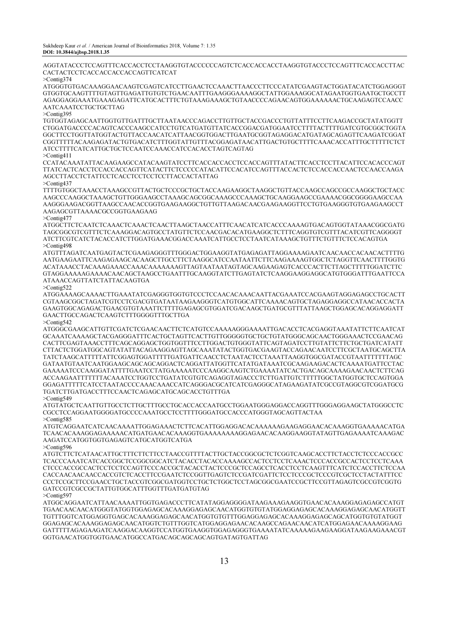AGGTATACCCTCCAGTTTCACCACCTCCTAAGGTGTACCCCCCAGTCTCACCACCACCTAAGGTGTACCCTCCAGTTTCACCACCTTAC CACTACTCCTCACCACCACCACCAGTTCATCAT

>Contig374

ATGGGTGTGACAAAGGAACAAGTCGAGTCATCCTTGAACTCCAAACTTAACCCTTCCCATATCGAAGTACTGGATACATCTGGAGGGT GTGGTGCAAGTTTTGTAGTTGAGATTGTGTCTGAACAATTTGAAGGGAAAAGGCTATTGGAAAGGCATAGAATGGTGAATGCTGCCTT AGAGGAGGAAATGAAAGAGATTCATGCACTTTCTGTAAAGAAAGCTGTAACCCCAGAACAGTGGAAAAAACTGCAAGAGTCCAACC AATCAAATCCTGCTGCTTAG

#### >Contig395

TGTGGTAGAGCAATTGGTGTTGATTTGCTTAATAACCCAGACCTTGTTGCTACCGACCCTGTTATTTCCTTCAAGACCGCTATATGGTT CTGGATGACCCCACAGTCACCCAAGCCATCCTGTCATGATGTTATCACCGGACGATGGAATCCTTTTACTTTTGATCGTGCGGCTGGTA GGCTTCCTGGTTATGGTACTGTTACCAACATCATTAACGGTGGACTTGAATGCGGTAGAGGACATGATAGCAGAGTTCAAGATCGGAT CGGTTTTTACAAGAGATACTGTGACATCTTTGGTATTGTTTACGGAGATAACATTGACTGTGCTTTTCAAACACCATTTGCTTTTTCTCT ATCCTTTTCATCATTGCTGCTCCAATCCAAACCATCCACACCTAGTCAGTAG

>Contig411

CCATACAAATATTACAAGAAGCCATACAAGTATCCTTCACCACCACCTCCACCAGTTTATACTTCACCTCCTTACATTCCACACCCAGT TTATCACTCACCTCCACCACCAGTTCATACTTCTCCCCCATACATTCCACATCCAGTTTACCACTCTCCACCACCAACTCCAACCAAGA AGCCTTACCTCTATTCCTCACCTCCTCCTCCTTACCACTATTAG

>Contig437

TTTTGTGGCTAAACCTAAAGCCGTTACTGCTCCCGCTGCTACCAAGAAGGCTAAGGCTGTTACCAAGCCAGCCGCCAAGGCTGCTACC AAGCCCAAGGCTAAAGCTGTTGGGAAGCCTAAAGCAGCGGCAAAGCCCAAAGCTGCAAGGAAGCCGAAAACGGCGGGGAAGCCAA AAGGGAAGACGGTTAAGCCAACACCGGTGAAGAAGGCTGTTGTTAAGACAACGAAGAAGGTTCCTGTGAAGGGTGTGAAGAAGCCT AAGAGCGTTAAAACGCCGGTGAAGAAG

>Contig477

ATGGCTTCTCAATCTCAAACTCAAACTCAACTTAAGCTAACCATTTCAACATCATCACCCAAAAGTGACAGTGGTATAAACGGCGATG TAGCGGCGTCGTTTCTCAAAGGACAGTGCCTATGTTCTCCAACGACACATGAAGGCTCTTTCAGGTGTCGTTTACATCGTTCAGGGGT ATCTTCGTCATCTACACCATCTTGGATGAAACGGACCAAATCATTGCCTCCTAATCATAAAGCTGTTTCTGTTTCTCCACAGTGA >Contig498

ATGTTTAGATCAATGAGTACTCGAAGAGGGTTTGGGACTGGAAGGTATGAGAGATTAGGAAAAGAATCAACAACCACAACACTTTTG AATGAAGAATTCAAGAGAAGCACAAGCTTGCCTTCTAAGGCATCCAATAATTCTTCAAGAAAAGTGGCTCTAGGTTCAACTTTTGGTG ACATAAACCTACAAAGAAACCAAACAAAAAAAGTTAGTAATAATAGTAGCAAGAAGAGTCACCCACTTCTTAGCTTTTTGGATCTTC GTAGGAAAAAGAAAACAACAGCTAAGCCTGAATTTGCAAGGTATCTTGAGTATCTCAAGGAAGGAGGCATGTGGGATTTGAATTCCA ATAAACCAGTTATCTATTACAAGTGA

>Contig522

ATGGAAAAGCAAAACTTGAAATATCGAGGGTGGTGTCCCTCCAACACAAACAATTACGAAATCCACGAAGTAGGAGAGCCTGCACTT CGTAAGCGGCTAGATCGTCCTCGACGTGATAATAAGAAGGGTCATGTGGCATTCAAAACAGTGCTAGAGGAGGCCATAACACCACTA GAAGTGGCAGAGACTGAACGTGTAAATTCTTTTGAGAGCGTGGATCGACAAGCTGATGCGTTTATTAAGCTGGAGCACAGGAGGATT GAACTTGCCAGACTCAAGTCTTTGGGGTTTGCTTGA

>Contig542

ATGGGCGAAGCATTGTTCGATCTCGAACAACTTCTCATGTCCAAAAAGGGAAAATTGACACCTCACGAGGTAAATATTCTTCAATCAT GCAAATCAAAAGCTACGAGGGATTTCACTGCTAGTTCACTTGTTGGGGGTGCTGCTGTATGGGCAGCAACTGGGAAACTCCGAACAG CACTTCGAGTAAACCTTTCAGCAGGAGCTGGTGGTTTCCTTGGACTGTGGGTATTCAGTAGATCCTTGTATTCTTCTGCTGATCATATT CTTACTCTGGATGGCAGTATATTACAGAAGGAGTTAGCAAATATACTGGTGACGAAGTACCAGAACAATCCTTCGCTAATGCAGCTTA TATCTAAGCATTTTTATTCGGAGTGGATTTTTGATGATTCAACCTCTAATACTCCTAAATTAAGGTGGCGATACCGTAATTTTTTTAGC GATAATGTAATCAATGGAAGCAGCAGCAGGACTCAGGATTATGGTTCATATGATAAATCGCAAGAAGACACTCAAAATGATTCCTAC GAAAAATCCCAAGGATATTTTGAATCCTATGAAAAATCCCAAGGCAAGTCTGAAAATATCACTGACAGCAAAAGAACAACTCTTCAG ACCAAGAATTTTTTTACAAATCCTGGTCCTGATATCGTGTCAGAGGTAGACCCTCTTGATTGTCTTTTTGGCTATGGTGCTCCAGTGGA GGAGATTTTTCATCCTAATACCCCAAACAAACCATCAGGGACGCATCATCGAGGGCATAGAAGATATCGCCGTAGGCGTCGGATGCG TGATCTTGATGACCTTTCCAACTCAGAGCATGCAGCACCTGTTTGA

>Contig549

ATGTATGCTCAATTGTTGCCTCTTGCTTTGCCTGCACCACCAATGCCTGGAATGGGAGGACCAGGTTTGGGAGGAAGCTATGGGCCTC CGCCTCCAGGAATGGGGATGCCCCAAATGCCTCCTTTTGGGATGCCACCCATGGGTAGCAGTTACTAA >Contig585

ATGTCAGGAATCATCAACAAAATTGGAGAAACTCTTCACATTGGAGGACACAAAAAAGAAGAGGAACACAAAGGTGAAAAACATGA TCAACACAAAGGAGAAAAACATGATGAACACAAAGGTGAAAAAAAAGGAGAACACAAGGAAGGTATAGTTGAGAAAATCAAAGAC AAGATCCATGGTGGTGAGAGTCATGCATGGTCATGA

>Contig596

ATGTCTTCTCATAACATTGCTTTCTTCTTCCTAACCGTTTTACTTGCTACCGGCGCTCTCGGTCAAGCACCTTCTACCTCTCCCACCGCC TCACCCAAATCATCACCGGCTCCGGCGGCATCTACACCTACACCAAAAGCCACTCCTCCTCAAACTCCCACCGCCACTCCTCCTCAAA CTCCCACCGCCACTCCTCCTCCAGTTCCCACCGCTACACCTACTCCCGCTCCAGCCTCACCTCCTCAAGTTTCATCTCCACCTTCTCCAA CACCAACAACAACCACCGTCTCACCTTCCGAATCTCCGGTTGAGTCTCCGATCGATTCTCCTCCCGCTCCCGTCGCTCCTACTATTTCC CCCTCCGCTTCCGAACCTGCTACCGTCGGCGATGGTCCTGCTCTGGCTCCTAGCGGCGAATCCGCTTCCGTTAGAGTCGCCGTCGGTG GATCCGTCGCCGCTATTGTGGCATTTGGTTTGATGATGTAG >Contig597

ATGGCAGGAATCATTAACAAAATTGGTGAGACCCTTCATATAGGAGGGGATAAGAAAGAAGGTGAACACAAAGGAGAGAGCCATGT TGAACAACAACATGGGTATGGTGGAGAGCACAAAGGAGAGCAACATGGTGTGTATGGAGGAGAGCACAAAGGAGAGCAACATGGTT TGTTTGGTCATGGAGGTGAGCACAAAGGAGAGCAACATGGTGTGTTTGGAGGAGAGCACAAAGGAGAGCAGCATGGTGTGTATGGT GGAGAGCACAAAGGAGAGCAACATGGTCTGTTTGGTCATGGAGGAGAACACAAGCCAGAACAACATCATGGAGAACAAAAGGAAG GATTTTTAGAGAAGATCAAGGACAAGGTCCATGGTGAAGGTGGAGAGGGTGAAAATATCAAAAAGAAGAAGGATAAGAAGAAACGT GGTGAACATGGTGGTGAACATGGCCATGACAGCAGCAGCAGTGATAGTGATTAG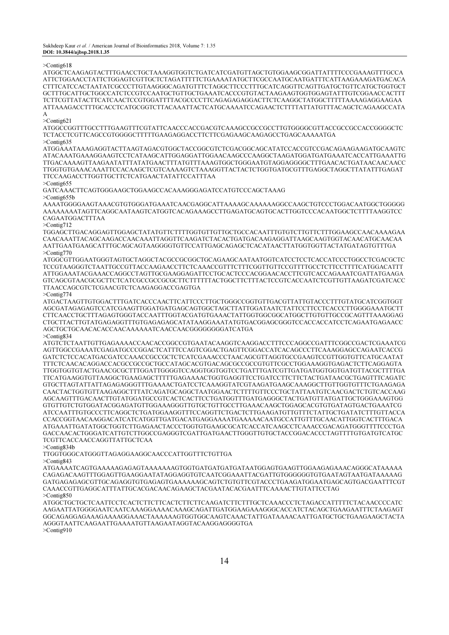>Contig618

ATGGCTCAAGAGTACTTTGAACCTGCTAAAGGTGGTCTGATCATCGATGTTAGCTGTGGAAGCGGATTATTTTCCCGAAAGTTTGCCA ATTCTGGAACCTATTCTGGAGTCGTTGCTCTAGATTTTTCTGAAAATATGCTTCGCCAATGCAATGATTTCATTAAGAAAGATGACACA CTTTCATCCACTAATATCGCCCTTGTAAGGGCAGATGTTTCTAGGCTTCCCTTTGCATCAGGTTCAGTTGATGCTGTTCATGCTGGTGCT GCTTTGCATTGCTGGCCATCTCCGTCCAATGCTGTTGCTGAAATCACCCGTGTACTAAGAAGTGGTGGAGTATTTGTCGGAACCACTTT TCTTCGTTATACTTCATCAACTCCGTGGATTTTACGCCCCTTCAGAGAGAGGACTTCTCAAGGCTATGGCTTTTTAAAAGAGGAAGAA ATTAAAGACCTTTGCACCTCATGCGGTCTTACAAATTACTCATGCAAAATCCAGAACTCTTTTATTATGTTTACAGCTCAGAAGCCATA A

>Contig621

ATGGCCGGTTTGCCTTTGAAGTTTCGTATTCAACCCACCGACGTCAAAGCCGCCGCCTTGTGGGGCGTTACCGCCGCCACCGGGGCTC TCTACCTCGTTCAGCCGTGGGGCTTTTTGAAGAGGACCTTCTTCGAGAAGCAAGAGCCTGAGCAAAAATGA

>Contig635

ATGGAAATAAAGAGGTACTTAAGTAGACGTGGCTACCGGCGTCTCGACGGCAGCATATCCACCGTCCGACAGAAGAAGATGCAAGTC ATACAAATGAAAGGAAGTCCTCATAAGCATTGGAGGATTGGAACAAGCCCAAGGCTAAGATGGATGATGAAATCACCATTGAAATTG TTGACAAAAGTTAAGAATATTTATATGAACTTTATGTTTAAAGTGGCTGGGAATGTAGGAGGGGCTTTGAACACTGATAACAACAACC TTGGTGTGAAACAAATTCCACAAGCTCGTCAAAAGTCTAAAGGTTACTACTCTGGTGATGCGTTTGAGGCTAGGCTTATATTTGAGAT TTCCAAGACCTTGGTTGCTTCTCATGAACTATATTCCATTTAA

>Contig655

GATCAAACTTCAGTGGGAAGCTGGAAGCCACAAAGGGAGATCCATGTCCCAGCTAAAG >Contig655b

AAAATGGGGAAGTAAACGTGTGGGATGAAATCAACGAGGCATTAAAAGCAAAAAAGGCCAAGCTGTCCCTGGACAATGGCTGGGGG AAAAAAAATAGTTCAGGCAATAAGTCATGGTCACAGAAAGCCTTGAGATGCAGTGCACTTGGTCCCACAATGGCTCTTTTAAGGTCC CAGAATGGACTTTAA

>Contig712

TGGAGCTTGACAGGAGTTGGAGCTATATGTTCTTTTGGTGTTGTTGCTGCCACAATTTGTGTCTTGTTCTTTGGAAGCCAACAAAAGAA CAACAAATTACAGCAAGACCAACAAATTAGGTTCAAGATCTACACTGATGACAAGAGGATTAAGCAAGTGGTACAACATGCAACAA AATTGAATGAAGCATTTGCAGCAGTAAGGGGTGTTCCATTGAGCAGAGCTCACATAACTTATGGTGGTTACTATGATAGTGTTTGA >Contig770

ATGGCGTTGGAATGGGTAGTGCTAGGCTACGCCGCGGCTGCAGAAGCAATAATGGTCATCCTCCTCACCATCCCTGGCCTCGACGCTC TCCGTAAGGGTCTAATTGCCGTTACCAAGAACCTTCTCAAACCGTTTCTTTCGGTTGTTCCGTTTTGCCTCTTCCTTTTCATGGACATTT ATTGGAAATACGAAACCAGGCCTAGTTGCGAAGGAGATTCCTGCACTCCCACGGAACACCTTCGTCACCAGAAATCGATTATGAAGA GTCAGCGTAACGCGCTTCTCATCGCCGCCGCGCTTCTTTTTTACTGGCTTCTTTACTCCGTCACCAATCTCGTTGTTAAGATCGATCACC TTAACCAGCGTCTCGAACGTCTCAAGAGGACCGAGTGA

>Contig774

ATGACTAAGTTGTGGACTTTGATCACCCAACTTCATTCCCTTGCTGGGCCGGTGTTGACGTTATTGTACCCTTTGTATGCATCGGTGGT AGCGATAGAGAGTCCATCGAAGTTGGATGATGAGCAGTGGCTAGCTTATTGGATAATCTATTCCTTCCTCACCCTTGGGGAAATGCTT CTTCAACCTGCTTTAGAGTGGGTACCAATTTGGTACGATGTGAAACTATTGGTGGCGGCATGGCTTGTGTTGCCGCAGTTTAAAGGAG CTGCTTACTTGTATGAGAGGTTTGTGAGAGAGCATATAAGGAAATATGTGACGGAGCGGGTCCACCACCATCCTCAGAATGAGAACC AGCTGCTGCAACACACCAACAAAAAATCAACCAACGGGGGGGGATCATGA >Contig834

ATGTCTCTAATTGTTGAGAAAACCAACACCGGCCGTGAATACAAGGTCAAGGACCTTTCCCAGGCCGATTTCGGCCGACTCGAAATCG AGTTGGCCGAAATCGAGATGCCCGGACTCATTTCCAGTCGGACTGAGTTCGGACCATCACAGCCCTTCAAAGGAGCCAGAATCACCG GATCTCTCCACATGACGATCCAAACCGCCGCTCTCATCGAAACCCTAACAGCGTTAGGTGCCGAAGTCCGTTGGTGTTCATGCAATAT TTTCTCAACACAGGACCACGCCGCCGCTGCCATAGCACGTGACAGCGCCGCCGTGTTCGCCTGGAAAGGTGAGACTCTTCAGGAGTA TTGGTGGTGTACTGAACGCGCTTTGGATTGGGGTCCAGGTGGTGGTCCTGATTTGATCGTTGATGATGGTGGTGATGTTACGCTTTTGA TTCATGAAGGTGTTAAGGCTGAAGAGCTTTTTGAGAAAACTGGTGAGGTTCCTGATCCTTCTTCTACTGATAACGCTGAGTTTCAGATC GTGCTTAGTATTATTAGAGAGGGTTTGAAAACTGATCCTCAAAGGTATCGTAAGATGAAGCAAAGGCTTGTTGGTGTTTCTGAAGAGA CAACTACTGGTGTTAAGAGGCTTTATCAGATGCAGGCTAATGGAACTCTTTTGTTCCCTGCTATTAATGTCAACGACTCTGTCACCAAG AGCAAGTTTGACAACTTGTATGGATGCCGTCACTCACTTCCTGATGGTTTGATGAGGGCTACTGATGTTATGATTGCTGGGAAAGTGG GTGTTGTCTGTGGATACGGAGATGTTGGAAAGGGTTGTGCTGTTGCCTTGAAACAAGCTGGAGCACGTGTGATAGTGACTGAAATCG ATCCAATTTGTGCCCTTCAGGCTCTGATGGAAGGTTTCCAGGTTCTGACTCTTGAAGATGTTGTTTCTATTGCTGATATCTTTGTTACCA CCACCGGTAACAAGGACATCATCATGGTTGATGACATGAGGAAAATGAAAAACAATGCCATTGTTTGCAACATTGGTCACTTTGACA ATGAAATTGATATGGCTGGTCTTGAGAACTACCCTGGTGTGAAGCGCATCACCATCAAGCCTCAAACCGACAGATGGGTTTTCCCTGA GACCAACACTGGGATCATTGTCTTGGCCGAGGGTCGATTGATGAACTTGGGTTGTGCTACCGGACACCCTAGTTTTGTGATGTCATGC TCGTTCACCAACCAGGTTATTGCTCAA

>Contig834b

TTGGTGGGCATGGGTTAGAGGAAGGCAACCCATTGGTTTCTGTTGA

>Contig843

ATGAAAATCAGTGAAAAAGAGAGTAAAAAAAGTGGTGATGATGATGATAATGGAGTGAAGTTGGAAGAGAAACAGGGCATAAAAA CAGAGACAAGTTTGGAGTTGAAGGAATATAGGAGGTGTCAATCGGAAATTACGATTGTGGGGGGTGTGAATAGTAATGATAAAAAG GATGAGAGAGCGTTGCAGAGGTGTGAGAGTGAAAAAAGCAGTCTGTGTTCGTACCCTGAAGATGGAATGAGCAGTGACGAATTTCGT CAAACCGTTGAGGCATTTATTGCACGACAACAGAAGCTACGAATACACGAATTTCAAAACTTGTATTCCTAG >Contig850

ATGGCTGCTGCTCAATTCCTCACTCTTCTTCACTCTTCTTCAAGATCTTCTTTGCTCAAACCCTCTAGACCATTTTTCTACAACCCCATC AAGAATTATGGGGAATCAATCAAAGGAAAACAAAGCAGATTGATGGAAGAAAGGGCACCATCTACAGCTGAAGAATTTCTAAGAGT GGCAGAGGAGAAAGAAAAGGAAACTAAAAAAGTGGTGGCAAGTCAAACTATTGATAAAACAATTGATGCTGCTGAAGAAGCTACTA AGGGTAATTCAAGAATTGAAAATGTTAAGAATAGGTACAAGGAGGGGTGA >Contig910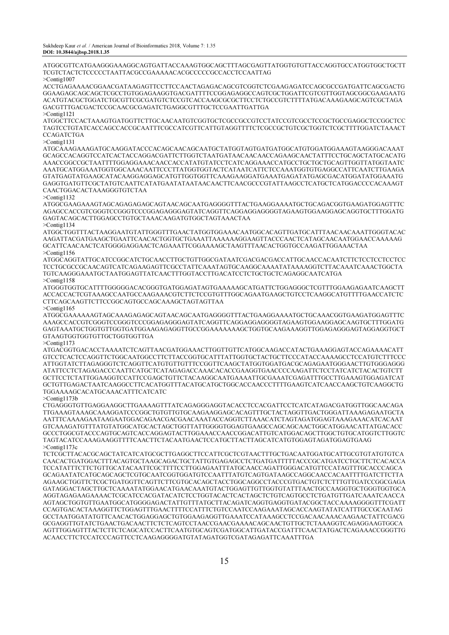ATGGCGTTCATGAAGGGAAAGGCAGTGATTACCAAAGTGGCAGCTTTAGCGAGTTATGGTGTGTTACCAGGTGCCATGGTGGCTGCTT TCGTCTACTCTCCCCCTAATTACGCCGAAAAACACGCCCCCGCCACCTCCAATTAG >Contig1007

ACCTGAGAAAACGGAACGATAAGAGTTCCTTCCAACTAGAGACAGCGTCGGTCTCGAAGAGATCCAGCGCCGATGATTCAGCGACTG GGAAGAGCAGCAGCTCGCCTGTGGAGAAGGTGACGATTTTCCGGAGAGGCCAGTCGCTGGATTCGTCGTTGGTAGCGGCGAAGAATG ACATGTACGCTGGATCTGCGTTCGCGATGTCTCCGTCACCAAGCGCGCTTCCTCTGCCGTCTTTTATGACAAAGAAGCAGTCGCTAGA GACGTTTGACGACTCCGCAACGCGAGATCTGAGGCGTTTGCTCCGAATTGATTGA

>Contig1121

ATGGCTTCCACTAAAGTGATGGTTCTTGCAACAATGTCGGTGCTCGCCGCCGTCCTATCCGTCGCCTCCGCTGCCGAGGCTCCGGCTCC TAGTCCTGTATCACCAGCCACCGCAATTTCGCCATCGTTCATTGTAGGTTTTCTCGCCGCTGTCGCTGGTCTCGCTTTTGGATCTAAACT **CCAGATCTGA** 

#### >Contig1131

ATGCAAAGAAAGATGCAAGGATACCCACAGCAACAGCAATGCTATGGTAGTGATGATGGCATGTGGATGGAAAGTAAGGGACAAAT GCAGCCACAGGTCCATCACTACCAGGACGATTCTTGGTCTAATGATAACAACAACCAGAAGCAACTATTTCCTGCAGCTATGCACATG AAACCGGCCGCTAATTTTGGAGGAAACAACCACCATATGTATCCTCATCAGGAAACCATGCCTGCTGCTGCAGTTGGTTATGGTAATC AAATGCATGGAAATGGTGGCAAACAATTCCCTTATGGTGGTACTCATAATCATTCTCCAAATGGTGTGAGGCCATTCAATCTTGAAGA GTATGAGTATGAAGCATACAAGGAGGAGCATGTTGGTGGTTCAAAGAAGGATGAAATGAGATATGAGCGACATGGATATGGAAATG GAGGTGATGTTCGCTATGTCAATTCATATGAATATAATAACAACTTCAACGCCCGTATTAAGCCTCATGCTCATGGACCCCACAAAGT CAACTGGACACTAAAGGGTGTCTAA

>Contig1132

ATGGCGAAGAAAGTAGCAGAGAGAGCAGTAACAGCAATGAGGGGTTTACTGAAGGAAAATGCTGCAGACGGTGAAGATGGAGTTTC AGAGCCACCGTCGGGTCCGGGTCCCGGAGAGGGAGTATCAGGTTCAGGAGGAGGGGTAGAAGTGGAAGGAGCAGGTGCTTTGGATG GAGTACAGCACTTGGAGCCTGTGCTAAACAAGATGTGGCTAGTAAACTAA >Contig1134

ATGGCTGGTTTACTAAGGAATGTATTGGGTTTGAACTATGGTGGAAACAATGGCACAGTTGATGCATTTAACAACAAATTGGGTACAC AAGATTACGATGAAGCTGAATTCAACACTGGTGCTGAAATTAAAAAAGGAAGTTACCCAACTCATAGCAACAATGGAACCAAAAAG GCATTCAACAACTCATGGGGAGGAACTCAGAAATTCGGAAAAGCTAAGTTTAACACTGGTGCCAAGATTGGAAACTAA >Contig1156

ATGGCAGGTATTGCATCCGGCATCTGCAACCTTGCTGTTGGCGATAATCGACGACGACCATTGCAACCACAATCTTCTCCTCCTCCTCC TCCTGCGCCGCAACAGTCATCAGAAGAGTTCGCCTATTCAAATAGTGCAAGGCAAAATATAAAAGGTCTTACAAATCAAACTGGCTA TGTCAAGGGAAATGCTAATGGAGTTATCAACTTTGGTACCTTGACATCCTCTGCTGCTCAGAGGCAATCATGA >Contig1158

ATGGGTGGTGCATTTTGGGGGACACGGGTGATGGAGATAGTGAAAAAGCATGATTCTGGAGGGCTCGTTTGGAAGAGAATCAAGCTT ACCACCACTCGTAAAGCCAATGCCAAGAAACGTCTTCTCCGTGTTTGGCAGAATGAAGCTGTCCTCAAGGCATGTTTTGAACCATCTC CTTCAGCAAGTTCTTCCGGCAGTGCCAGCAAAGCTAGTAGTTAA >Contig1165

ATGGCGAAAAAAGTAGCAAAGAGAGCAGTAACAGCAATGAGGGGTTTACTGAAGGAAAATGCTGCAAACGGTGAAGATGGAGTTTC AAAGCCACCGTCGGGTCCGGGTCCCGGAGAGGGAGTATCAGGTTCAGGAGGAGGGGTAGAAGTGGAAGGAGCAAGTGCTTTGGATG GAGTAAATGCTGGTGTTGGTGATGGAAGAGAGGTTGCCGGAAAAAAAGCTGGTGCAAGAAAGGTTGGAGAGGGAGTAGGAGGTGCT GTAAGTGGTGGTGTTGCTGGTGGTTGA

>Contig1173

ATGACGGTGACACCTAAAATCTCAGTTAACGATGGAAACTTGGTTGTTCATGGCAAGACCATACTGAAAGGAGTACCAGAAAACATT GTCCTCACTCCAGGTTCTGGCAATGGCCTTCTTACCGGTGCATTTATTGGTGCTACTGCTTCCCATACCAAAAGCCTCCATGTCTTTCCC ATTGGTATCTTAGAGGGTCTCAGGTTCATGTGTTGTTTCCGGTTCAAGCTATGGTGGATGACGCAGAGAATGGGAACTTGTGGGAGGG ATATTCCTCTAGAGACCCAATTCATGCTCATAGAGACCAAACACACCGAAGGTGAACCCCAAGATTCTCCTATCATCTACACTGTCTT GCTTCCTCTATTGGAAGGTCCATTCCGAGCTGTTCTACAAGGCAATGAAAATTGCGAAATCGAGATTTGCCTTGAAAGTGGAGATCAT GCTGTTGAGACTAATCAAGGCCTTCACATGGTTTACATGCATGCTGGCACCAACCCTTTTGAAGTCATCAACCAAGCTGTCAAGGCTG TGGAAAAGCACATGCAAACATTTCATCATC

>Contig1173b

CTGAGGGTGTTGAGGAAGGCTTGAAAAGTTTATCAGAGGGAGGTACACCTCCACGATTCCTCATCATAGACGATGGTTGGCAACAGA TTGAAAGTAAAGCAAAGGATCCCGGCTGTGTTGTGCAAGAAGGAGCACAGTTTGCTACTAGGTTGACTGGGATTAAAGAGAATGCTA AATTTCAAAAGAATAAGAATGGACAGAACGACGAACAAATACCAGGTCTTAAACATCTAGTAGATGGAGTAAAGAAACATCACAAT GTCAAAGATGTTTATGTATGGCATGCACTAGCTGGTTATTGGGGTGGAGTGAAGCCAGCAGCAACTGGCATGGAACATTATGACACC GCCCTGGCGTACCCAGTGCAGTCACCAGGAGTACTTGGAAACCAACCGGACATTGTCATGGACAGCTTGGCTGTGCATGGTCTTGGTC TAGTACATCCAAAGAAGGTTTTCAACTTCTACAATGAACTCCATGCTTACTTAGCATCATGTGGAGTAGATGGAGTGAAG >Contig1173c

TCTCGCTTACACGCAGCTATCATCATGCGCTTGAGGCTTCCATTCGCTCGTAACTTTGCTGACAATGGATGCATTGCGTGTATGTGTCA CAACACTGATGGACTTTACAGTGCTAAGCAGACTGCTATTGTGAGAGCCTCTGATGATTTTTACCCGCATGATCCTGCTTCTCACACCA TCCATATTTCTTCTGTTGCATACAATTCGCTTTTCCTTGGAGAATTTATGCAACCAGATTGGGACATGTTCCATAGTTTGCACCCAGCA GCAGAATATCATGCAGCAGCTCGTGCAATCGGTGGATGTCCAATTTATGTCAGTGATAAGCCAGGCAACCACAATTTTGATCTTCTTA AGAAGCTGGTTCTCGCTGATGGTTCAGTTCTTCGTGCACAGCTACCTGGCAGGCCTACCCGTGACTGTCTCTTTGTTGATCCGGCGAGA GATAGGACTAGCTTGCTCAAAATATGGAACATGAACAAATGTACTGGAGTTGTTGGTGTATTTAACTGCCAAGGTGCTGGGTGGTGCA AGGTAGAGAAGAAAACTCGCATCCACGATACATCTCCTGGTACACTCACTAGCTCTGTCAGTGCCTCTGATGTTGATCAAATCAACCA AGTAGCTGGTGTTGAATGGCATGGGGAGACTATTGTTTATGCTTACAGATCAGGTGAGGTGATACGGCTACCAAAAGGGGTTTCGATT CCAGTGACACTAAAGGTTCTGGAGTTTGAACTTTTCCATTTCTGTCCAATCCAAGAAATAGCACCAAGTATATCATTTGCCGCAATAG GCCTAATGGATATGTTCAACACTGGAGGAGCTGTGGAAGAGGTTGAAATCCATAAAGCCTCCGACAACAAACAAGAACTATTCGACG GCGAGGTTGTATCTGAACTGACAACTTCTCTCAGTCCTAACCGAACGAAAACAGCAACTGTTGCTCTAAAGGTCAGAGGAAGTGGCA AGTTTGGAGTTTACTCTTCTCAGCATCCACTTCAATGTGCAGTCGATGGCATTGATACCGATTTCAACTATGACTCAGAAACCGGGTTG ACAACCTTCTCCATCCCAGTTCCTCAAGAGGGGATGTATAGATGGTCGATAGAGATTCAAATTTGA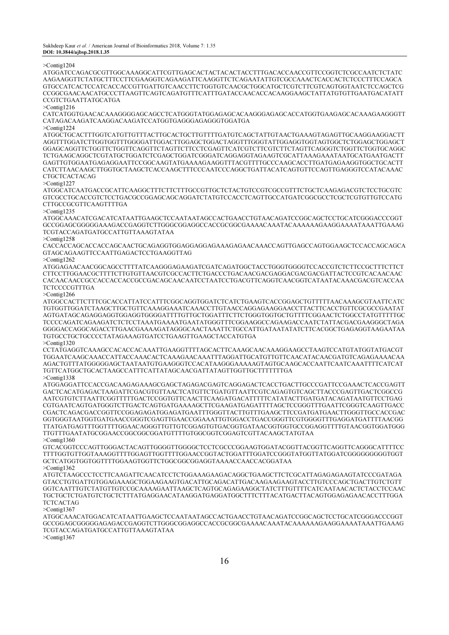>Contig1204

ATGGATCCAGACGCGTTGGCAAAGGCATTCGTTGAGCACTACTACACTACCTTTGACACCAACCGTTCCGGTCTCGCCAATCTCTATC AAGAAGGTTCTATGCTTTCCTTCGAAGGTCAGAAGATTCAAGGTTCTCAGAATATTGTCGCCAAACTCACCACTCTCCCTTTCCAGCA GTGCCATCACTCCATCACCACCGTTGATTGTCAACCTTCTGGTGTCAACGCTGGCATGCTCGTCTTCGTCAGTGGTAATCTCCAGCTCG CCGGCGAACAACATGCCCTTAAGTTCAGTCAGATGTTTCATTTGATACCAACACCACAAGGAAGCTATTATGTGTTGAATGACATATT CCGTCTGAATTATGCATGA

>Contig1216

CATCATGGTGAACACAAAGGGGAGCAGCCTCATGGGTATGGAGAGCACAAGGGAGAGCACCATGGTGAAGAGCACAAAGAAGGGTT CATAGACAAGATCAAGGACAAGATCCATGGTGAGGGAGAGGGTGGATGA

>Contig1224

ATGGCTGCACTTTGGTCATGTTGTTTACTTGCACTGCTTGTTTTGATGTCAGCTATTGTAACTGAAAGTAGAGTTGCAAGGAAGGACTT AGGTTTGGATCTTGGTGGTTTGGGGATTGGACTTGGAGCTGGACTAGGTTTGGGTATTGGAGGTGGTAGTGGCTCTGGAGCTGGAGCT GGAGCAGGTTCTGGTTCTGGTTCAGGTTCTAGTTCTTCCTCGAGTTCATCGTCTTCGTCTTCTAGTTCAGGGTCTGGTTCTGGTGCAGGC TCTGAAGCAGGCTCGTATGCTGGATCTCGAGCTGGATCGGGATCAGGAGGTAGAAGTCGCATTAAAGAAATAATGCATGAATGACTT GAGTTGTGGAATGAGAGGAATTCCGGCAAGTATGAAAAGAAGGTTTACGTTTTGCCCAAGCACCTTGATGAGAAGGTGGCTGCACTT CATCTTAACAAGCTTGGTGCTAAGCTCACCAAGCTTTCCCAATCCCAGGCTGATTACATCAGTGTTCCAGTTGAGGGTCCATACAAAC CTGCTCACTACAG

>Contig1227

ATGGCATCAATGACCGCATTCAAGGCTTTCTTCTTTGCCGTTGCTCTACTGTCCGTCGCCGTTTCTGCTCAAGAGACGTCTCCTGCGTC GTCGCCTGCACCGTCTCCTGACGCCGGAGCAGCAGGATCTATGTCCACCTCAGTTGCCATGATCGGCGCCTCGCTCGTGTTGTCCATG CTTGCCGCGTTCAAGTTTTGA

>Contig1235

ATGGCAAACATCGACATCATAATTGAAGCTCCAATAATAGCCACTGAACCTGTAACAGATCCGGCAGCTCCTGCATCGGGACCCGGT GCCGGAGCGGGGGAAAGACCGAGGTCTTGGGCGGAGGCCACCGCGGCGAAAACAAATACAAAAAAGAAGGAAAATAAATTGAAAG TCGTACCAGATGATGCCATTGTTAAAGTATAA

>Contig1258

CACCACCAGCACCACCAGCAACTGCAGAGGTGGAGGAGGAGAAAGAGAACAAACCAGTTGAGCCAGTGGAAGCTCCACCAGCAGCA GTAGCAGAAGTTCCAATTGAGACTCCTGAAGGTTAG

>Contig1262

ATGGAGAACAACGGCAGCCTTTTATCAAGGGAGAAGATCGATCAGATGGCTACCTGGGTGGGGTCCACCGTCTCTTCCGCTTTCTTCT CTTCCTTGGAACGCTTTTCTTGTGTTAACGTCGCCACTTCTGACCCTGACAACGACGAGGACGACGACGATTACTCCGTCACAACAAC CACAACAACCGCCACCACCACCGCCGACAGCAACAATCCTAATCCTGACGTTCAGGTCAACGGTCATAATACAAACGACGTCACCAA **TCTCCCCGTTTGA** 

>Contig1266

ATGGCCACTTCTTTCGCACCATTATCCATTTCGGCAGGTGGATCTCATCTGAAGTCACCGGAGCTGTTTTTAACAAAGCGTAATTCATC TGTGGTTGGATCTAAGCTTGCTGTTCAAAGGAAATCAAACCTTGTAACCAGGAGAAGGAACCTTACTTCACCTGTTCGCGCCGAATAT AGTGATAGCAGAGGAGGTGGAGGTGGGGATTTTGTTGCTGGATTTCTTCTGGGTGGTGCTGTTTTCGGAACTCTGGCCTATGTTTTTGC TCCCCAGATCAGAAGATCTCTCCTAAATGAAAATGAATATGGGTTTCGGAAGGCCAGAAGACCAATCTATTACGACGAAGGGCTAGA GGGGACCAGGCAGACCTTGAACGAAAAGATAGGGCAACTAAATTCTGCCATTGATAATATATCTTCACGGCTGAGAGGTAAGAATAA TGTGCCTGCTGCCCCTATAGAAAGTGATCCTGAAGTTGAAGCTACCATGTGA >Contig1320

CCTATGAGGTCAAAGCCACACCACAAATTGAAGGTTTTAGCACTTCAAAGCAACAAAGGAAGCCTAAGTCCATGTATGGTATGACGT TGGAATCAAGCAAACCATTACCAAACACTCAAAGAACAAATTTAGGATTGCATGTTGTTCAACATACAACGATGTCAGAGAAAACAA AGACTGTTTATGGGGGAGCTAATAATGTGAAGGGTCCACATAAGGGAAAAAGTAGTGCAAGCACCAATTCAATCAAATTTTCATCAT TGTTCATGGCTGCACTAAGCCATTTCATTATAGCAACGATTATAGTTGGTTGCTTTTTTTGA  $>Conti\sigma1338$ 

ATGGAGGATTCCACCGACAAGAGAAAGCGAGCTAGAGACGAGTCAGGAGACTCACCTGACTTGCCCGATTCCGAAACTCACCGAGTT GACTCACATGAGACTAAGATTCGACGTGTTAACTCATGTTCTGATGTTAATTCGTCAGAGTGTCAGCTTACCCGAGTTGACTCGGCCG AATCGTGTCTTAATTCGGTTTTTGACTCCGGTGTTCAACTTCAAGATGACATTTTTCATATACTTGATGATACAGATAATGTTCCTGAG CGTGAATCAGTGATGGGTCTTGACTCAGTGATGAAAAGCTTCGAAGATGAGATTTTAGCTCCGGGTTTGAATTCGGGTCAAGTTGACC CGACTCAGACGACCGGTTCCGGAGAGATGGAGATGAATTTGGGTTACTTGTTTGAAGCTTCCGATGATGAACTTGGGTTGCCACCGAC GGTGGGTAATGGTGATGAACCGGGTCGAGTTGAACCGGAAATTGTGGACCTGACCGGGTTCGTGGGGTTTGAGGATGATTTTAACGG TTATGATGAGTTTGGTTTTGGAACAGGGTTGTTGTCGGAGTGTGACGGTGATAACGGTGGTGCCGGAGGTTTTGTAACGGTGGATGGG TTGTTTGAATATGCGGAACCGGCGGCGGATGTTTTGTGGCGGTCGGAGTCGTTACAAGCTATGTAA >Contig1360

GTCACGGTCCCAGTTGGGACTACAGTTGGGGTTGGGGCTCCTCGCCCGGAAGTGGATACGGTTACGGTTCAGGTTCAGGGCATTTTCC TTTTGGTGTTGGTAAAGGTTTTGGAGTTGGTTTTGGAACCGGTACTGGATTTGGATCCGGGTATGGTTATGGATCGGGGGGGGGTGGT GCTCATGGTGGTGGTTTTGGAAGTGGTTCTGGCGGCGGAGGTAAAACCAACCACGGATAA >Contig1362

ATGTCTAAGCCCTCCTTCAAGATTCAACATCCTCTGGAAAGAAGACAGGCTGAAGCTTCTCGCATTAGAGAGAAGTATCCCGATAGA GTACCTGTGATTGTGGAGAAAGCTGGAAGAAGTGACATTGCAGACATTGACAAGAAGAAGTACCTTGTCCCAGCTGACTTGTCTGTT GGTCAATTTGTCTATGTTGTCCGCAAAAGAATTAAGCTCAGTGCAGAGAAGGCTATCTTTGTTTTCATCAATAACACTCTACCTCCAAC TGCTGCTCTGATGTCTGCTCTTTATGAGGAACATAAGGATGAGGATGGCTTTCTTTACATGACTTACAGTGGAGAGAACACCTTTGGA **TCTCACTAG** 

>Contig1367

ATGGCAAACATGGACATCATAATTGAAGCTCCAATAATAGCCACTGAACCTGTAACAGATCCGGCAGCTCCTGCATCGGGACCCGGT GCCGGAGCGGGGGAGAGACCGAGGTCTTGGGCGGAGGCCACCGCGGCGAAAACAAATACAAAAAAGAAGGAAAATAAATTGAAAG TCGTACCAGATGATGCCATTGTTAAAGTATAA

>Contig1367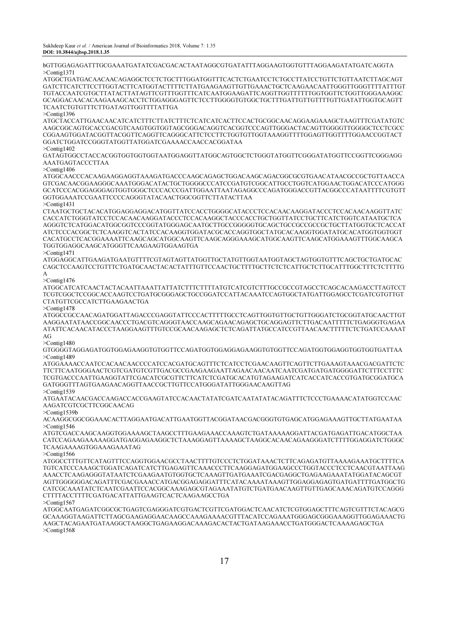bGTTGGAGAGATTTGCGAAATGATATCGACGACACTAATAGGCGTGATATTTAGGAAGTGGTGTTTAGGAAGATATGATCAGGTA >Contig1371

ATGGCTGATGACAACAACAGAGGCTCCTCTGCTTTGGATGGTTTCACTCTGAATCCTCTGCCTTATCCTGTTCTGTTAATCTTAGCAGT GATCTTCATCTTCCTTGGTACTTCATGGTACTTTTCTTATGAAGAAGTTGTTGAAACTGCTCAAGAACAATTGGGTTGGGTTTTATTTGT TGTACCAATCGTGCTTATACTTATAGTTCGTTTGGTTTCATCAATGGAAGATTCAGGTTGGTTTTTTGGTGGTTCTGGTTGGGAAAGGC GCAGGACAACACAAGAAAGCACCTCTGGAGGGAGTTCTCCTTGGGGTGTGGCTGCTTTGATTGTTGTTTTGTTGATATTGGTGCAGTT TCAATCTGTGTTTCTTGATAGTTGGTTTTATTGA

>Contig1396

ATGCTACCATTGAACAACATCATCTTTCTTATCTTTCTCATCATCACTTCCACTGCGGCAACAGGAAGAAAGCTAAGTTTCGATATGTC AAGCGGCAGTGCACCGACGTCAAGTGGTGGTAGCGGGACAGGTCACGGTCCCAGTTGGGACTACAGTTGGGGTTGGGGCTCCTCGCC CGGAAGTGGATACGGTTACGGTTCAGGTTCAGGGCATTCTCCTTCTGGTGTTGGTAAAGGTTTTGGAGTTGGTTTTGGAACCGGTACT GGATCTGGATCCGGGTATGGTTATGGATCGAAAACCAACCACGGATAA >Contig1402

GATAGTGGCCTACCACGGTGGTGGTGGTAATGGAGGTTATGGCAGTGGCTCTGGGTATGGTTCGGGATATGGTTCCGGTTCGGGAGG AAATGAGTACCCTTAA

>Contig1406

ATGGCAACCCACAAGAAGGAGGTAAAGATGACCCAAGCAGAGCTGGACAAGCAGACGGCGCGTGAACATAACGCCGCTGTTAACCA GTCGACAACGGAAGGGCAAATGGGACATACTGCTGGGGCCCATCCGATGTCGGCATTGCCTGGTCATGGAACTGGACATCCCATGGG GCATCCCACGGAGGGAGTGGTGGGCTCCCACCCGATTGGAATTAATAGAGGCCCAGATGGGACCGTTACGGCCCATAATTTTCGTGTT GGTGGAAATCCGAATTCCCCAGGGTATACAACTGGCGGTTCTTATACTTAA >Contig1431

CTAATGCTGCTACACATGGAGGAGGACATGGTTATCCACCTGGGGCATACCCTCCACAACAAGGATACCCTCCACAACAAGGTTATC CACCATCTGGGTATCCTCCACAACAAGGATACCCTCCACAAGGCTACCCACCTGCTGGTTATCCTGCTTCATCTGGTCATAATGCTCA AGGGTCTCATGGACATGGCGGTCCCGGTATGGGAGCAATGCTTGCCGGGGGTGCAGCTGCCGCCGCCGCTGCTTATGGTGCTCACCAT ATCTCCCACGGCTCTCAAGGTCACTATCCACAAGGTGGATACGCACCAGGTGGCTATGCACAAGGTGGATATGCACATGGTGGTGGT CACATGCCTCACGGAAAATTCAAGCAGCATGGCAAGTTCAAGCAGGGAAAGCATGGCAAGTTCAAGCATGGAAAGTTTGGCAAGCA TGGTGGAGGCAAGCATGGGTTCAAGAAGTGGAAGTGA

>Contig1471

ATGGAGGCATTGAAGATGAATGTTTTCGTAGTAGTTATGGTTGCTATGTTGGTAATGGTAGCTAGTGGTGTTTCAGCTGCTGATGCAC CAGCTCCAAGTCCTGTTTCTGATGCAACTACACTATTTGTTCCAACTGCTTTTGCTTCTCTCATTGCTCTTGCATTTGGCTTTCTCTTTTG A

>Contig1476

ATGGCATCATCAACTACTACAATTAAATTATTATCTTTCTTTTATGTCATCGTCTTTGCCGCCGTAGCCTCAGCACAAGACCTTAGTCCT TCGTCGGCTCCGGCACCAAGTCCTGATGCGGGAGCTGCCGGATCCATTACAAATCCAGTGGCTATGATTGGAGCCTCGATCGTGTTGT CTATGTTCGCCATCTTGAAGAACTGA

>Contig1478

ATGGCCGCCAACAGATGGATTAGACCCGAGGTATTCCCACTTTTTGCCTCAGTTGGTGTTGCTGTTGGGATCTGCGGTATGCAACTTGT AAGGAATATAACCGGCAACCCTGACGTCAGGGTAACCAAGCAGAACAGAGCTGCAGGAGTTCTTGACAATTTTTCTGAGGGTGAGAA ATATTCACAACATACCCTAAGGAAGTTTGTCCGCAACAAGAGCTCTCAGATTATGCCATCCGTTAACAACTTTTTCTCTGATCCAAAAT AG

>Contig1480

GTGGGGTAGGAGATGGTGGAGAAGGTGTGGTTCCAGATGGTGGAGGAGAAGGTGTGGTTCCAGATGGTGGAGGTGGTGGTGATTAA >Contig1489

ATGGAAAACCAATCCACAACAACCCCATCCACGATGCAGTTTCTCATCCTCGAACAAGTTCAGTTCTTGAAAGTAAACGACGATTCTC TTCTTCAATGGGAACTCGTCGATGTCGTTGACGCCGAAGAAGAATTAGAACAACAATCAATCGATGATGATGGGGATTCTTTCCTTTC TCGTGACCCAATTGAAGGTATTCGACATCGCGTTCTTCATCTCGATGCACATGTAGAAGATCATCACCATCACCGTGATGCGGATGCA GATGGGTTTAGTGAAGAACAGGTTAACCGCTTGTTCCATGGGATATTGGGAACAAGTTAG

>Contig1539

ATGAATACAACGACCAAGACCACCGAAGTATCCACAACTATATCGATCAATATATACAGATTTCTCCCTGAAAACATATGGTCCAAC AAGATCGTCGCTTCGGCAACAG

>Contig1539b

ACAAGGCGGCGGAAACACTTAGGAATGACATTGAATGGTTACGGATAACGACGGGTGTGAGCATGGAGAAAGTTGCTTATGAATAA >Contig1546

ATGTCGACCAAGCAAGGTGGAAAAGCTAAGCCTTTGAAGAAACCAAAGTCTGATAAAAAGGATTACGATGAGATTGACATGGCTAA CATCCAGAAGAAAAAGGATGAGGAGAAGGCTCTAAAGGAGTTAAAAGCTAAGGCACAACAGAAGGGATCTTTTGGAGGATCTGGGC TCAAGAAAAGTGGAAAGAAATAG

>Contig1566

ATGGCCTTTGTTCATAGTTTCCAGGTGGAACGCCTAACTTTTGTCCCTCTGGATAAACTCTTCAGAGATGTTAAAAGAAATGCTTTTCA TGTCATCCCAAAGCTGGATCAGATCATCTTGAGAGTTCAAACCCTTCAAGGAGATGGAAGCCCTGGTACCCTCCTCAACGTAATTAAG AAACCTCAAGAGGGTATAATCTCGAAGAATGTGGTGCTCAAAGTTGATGAAATCGACGAGGCTGAGAAGAAATATGGATACAGCGT AGTTGGGGGGACAGATTTCGACGAAACCATGACGGAGAGGATTTCATACAAAATAAAGTTGGAGGAGAGTGATGATTTTGATGGCTG CATCGCAAATATCTCAATCGAATTCCACGGCAAAGAGCGTAGAAATATGTCTGATGAACAAGTTGTTGAGCAAACAGATGTCCAGGG CTTTTACCTTTTCGATGACATTATTGAAGTCACTCAAGAAGCCTGA

 $>$ Contig1567

ATGGCAATGAGATCGGCGCTGAGTCGAGGGATCGTGACTCGTTCGATGGACTCAACATCTCGTGGAGCTTTCAGTCGTTTCTACAGCG GCAAAGGTAAGATTCTTAGCGAAGAGGAACAAGCCAAAGAAAACGTTTACATCCAGAAATGGGAGCGGGAAAGGTTGGAGAAACTG AAGCTACAGAATGATAAGGCTAAGGCTGAGAAGGACAAAGACACTACTGATAAGAAACCTGATGGGACTCAAAAGAGCTGA >Contig1568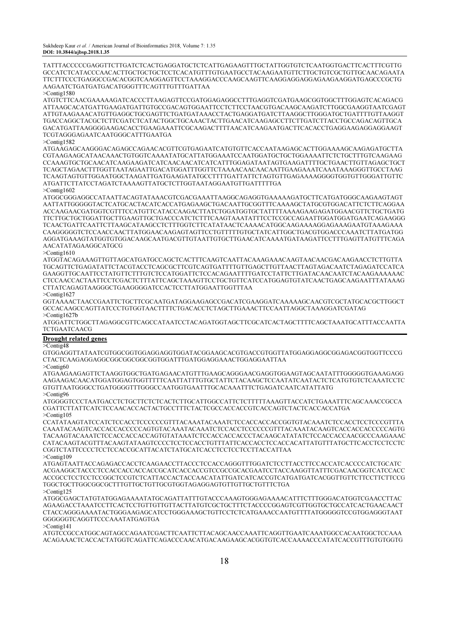TATTTACCCCCGAGGTTCTTGATCTCACTGAGGATGCTCTCATTGAGAAGTTTGCTATTGGTGTCTCAATGGTGACTTCACTTTCGTTG GCCATCTCATACCCAACACTTGCTGCTGCTCCTCACATGTTTGTGAATGCCTACAAGAATGTTCTTGCTGTCGCTGTTGCAACAGAATA TTCTTTCCCTGAGGCCGACACGGTCAAGGAGTTCCTAAAGGACCCAAGCAAGTTCAAGGAGGAGGAGAAGAAGGATGAGCCCGCTG AAGAATCTGATGATGACATGGGTTTCAGTTTGTTTGATTAA

>Contig1580

ATGTCTTCAACGAAAAAGATCACCCTTAAGAGTTCCGATGGAGAGGCCTTTGAGGTCGATGAAGCGGTGGCTTTGGAGTCACAGACG ATTAAGCACATGATTGAAGATGATTGTGCCGACAGTGGAATTCCTCTTCCTAACGTGACAAGCAAGATCTTGGCGAAGGTAATCGAGT ATTGTAAGAAACATGTTGAGGCTGCGAGTTCTGATGATAAACCTACTGAGGATGATCTTAAGGCTTGGGATGCTGATTTTGTTAAGGT TGACCAGGCTACGCTCTTCGATCTCATACTGGCTGCAAACTACTTGAACATCAAGAGCCTTCTTGATCTTACCTGCCAGACAGTTGCA GACATGATTAAGGGGAAGACACCTGAAGAAATTCGCAAGACTTTTAACATCAAGAATGACTTCACACCTGAGGAAGAGGAGGAAGT TCGTAGGGAGAATCAATGGGCATTTGAATGA

#### >Contig1582

ATGAAGAGCAAGGGACAGAGCCAGAACACGTTCGTGAGAATCATGTGTTCACCAATAAGAGCACTTGGAAAAGCAAGAGATGCTTA CGTAAGAAGCATAACAAACTGTGGTCAAAATATGCATTATGGAAATCCAATGGATGCTGCTGGAAAATTCTCTGCTTTGTCAAGAAG CCAAAGTGCTGCAACATCAAGAAGATCATCAACAACATCATCATTTGGAGATAATAGTGAAGATTTTGCTGAACTTGTTAGAGCTGCT TCAGCTAGAACTTTGGTTAATAGAATTGACATGGATTTGGTTCTAAAACAACAACAATTGAAGAAATCAAATAAAGGGTTGCCTAAG TCAAGTAGTGTTGGAATGGCTAAGATTGATGAAGATATGCCTTTTGATTATTCTAGTGTTGAGAAAAGGGGTGGTGTTGGGATTGTTC ATGATTCTTATCCTAGATCTAAAAGTTATGCTCTTGGTAATAGGAATGTTGATTTTTGA

>Contig1602

ATGGCGGGAGGCCATAATTACAGTATAAACGTCGACGAAATTAAGGCAGAGGTGAAAAAGATGCTTCATGATGGGCAAGAAGTAGT AATTATTGGGGGTACTCATGCACTACATCACCATGAGAAGCTGACAATTGCGGTTTCAAAAGCTATGCGTGGACATTCTCTTCAGGAA ACCAAGAACGATGGTCGTTTCCATGTTCATACCAAGACTTATCTGGATGGTGCTATTTTAAAAGAAGAGATGGAACGTTCTGCTGATG TTCTTGCTGCTGGATTGCTTGAAGTTGCTGACCCATCTCTTTCAAGTAAATATTTCCTCCGCCAGAATTGGATGGATGAATCAGAAGGG TCAACTGATTCAATTCTTAAGCATAAGCCTCTTTGGTCTTCATATAACTCAAAACATGGCAAGAAAAGGAGAAAGAATGTAAAGAAA CAAGGGGGTCTCCAACCAACTTATGGAACAAGAGTAGTTCCTGTTTTTGTGCTATCATTGGCTGACGTGGACCCAAATCTTATGATGG AGGATGAAAGTATGGTGTGGACAAGCAATGACGTTGTAATTGTGCTTGAACATCAAAATGATAAGATTCCTTTGAGTTATGTTTCAGA AACATATAGAAGGCATGCG

>Contig1610

ATGGTACAGAAAGTTGTTAGCATGATGCCAGCTCACTTTCAAGTCAATTACAAAGAAACAAGTAACAACGACAAGAACCTCTTGTTA TGCAGTTCTGAGATATTCTACGTACCTCAGCGCTTCGTCAGTGATTTTGTTGAGCTTGTTAACTTAGTAGACAATCTAGAGATCCATCA GAAGGTTGCAATTCCTATGTTCTTTGTCTCCATGGATTCTCCACAGAATTTTGATCCTATTCTTGATACAACAATCTACAAGAAAAAAC CTCCAACCACTAATTCCTCGACTCTTTATTCAGCTAAAGTTCCTGCTGTTCATCCATGGAGTGTATCAACTGAGCAAGAATTTATAAAG CTTATCAGAGTAAGGGCTGAAGGGGATCCACTCCTTATGGAATTGGTTTAA

>Contig1627

GGTAAAACTAACCGAATTCTGCTTCGCAATGATAGGAAGAGCCGACATCGAAGGATCAAAAAGCAACGTCGCTATGCACGCTTGGCT GCCACAAGCCAGTTATCCCTGTGGTAACTTTTCTGACACCTCTAGCTTGAAACTTCCAATTAGGCTAAAGGATCGATAG >Contig1627b

ATGGATTCTGGCTTAGAGGCGTTCAGCCATAATCCTACAGATGGTAGCTTCGCATCACTAGCTTTTCAGCTAAATGCATTTACCAATTA TCTGAATCAACG

# Drought related genes

 $>Conti\sigma 48$ 

GTGGAGGTTATAATCGTGGCGGTGGAGGAGGTGGATACGGAAGCACGTGACCGTGGTTATGGAGGAGGCGGAGACGGTGGTTCCCG CTACTCAAGAGGAGGCGGCGGCGGCGGTGGATTTGATGGAGGAAACTGGAGGAATTAA >Contig60

ATGAAGAAGAGTTCTAAGGTGGCTGATGAGAACATGTTTGAAGCAGGGAACGAGGTGGAAGTAGCAATATTTGGGGGTGAAAGAGG AAGAAGACAACATGGATGGAGTGGTTTTTCAATTATTTGTGCTATTCTACAAGCTCCAATATCAATACTCTCATGTGTCTCAAATCCTC GTGTTAATGGGCCTGATGGGGTTTGGGCCAATGGTGAATTTGCACAAATTTCTGAGATCAATCATATTATG >Contig96

ATGGGGTCCCTAATGACCTCTGCTTCTCTCACTCTTGCATTGGCCATTCTCTTTTTAAAGTTACCATCTGAAATTTCAGCAAACCGCCA CGATTCTTATTCATCTCCAACACCACTACTGCCTTTCTACTCGCCACCACCGTCACCAGTCTACTCACCACCATGA >Contig105

CCATATAAGTATCCATCTCCACCTCCCCCCGTTTACAAATACAAATCTCCACCACCACCGGTGTACAAATCTCCACCTCCTCCCGTTTA CAAATACAAGTCACCACCACCCCCAGTGTACAAATACAAATCTCCACCTCCCCCCGTTTACAAATACAAGTCACCACCACCCCCAGTG TACAAGTACAAATCTCCACCACCACCAGTGTATAAATCTCCACCACCACCCTACAAGCATATATCTCCACCACCAACGCCCAAGAAAC CATACAAGTACGTTTACAAGTATAAGTCCCCTCCTCCACCTGTTTATTCACCACCTCCACCACATTATGTTTATGCTTCACCTCCTCCTC CGGTCTATTCCCCTCCTCCACCGCATTACATCTATGCATCACCTCCTCCTCCTTACCATTAA >Contig109

ATGAGTAATTACCAGAGACCACCTCAAGAACCTTACCCTCCACCAGGGTTTGGATCTCCTTACCTTCCACCATCACCCCATCTGCATC ACGAAGGCTACCCTCCACCACCACCACCGCATCACCACCGTCCGCCGCACGAATCCTACCAAGGTTATTTCGACAACGGTCATCCACC ACCGCCTCCTCCTCCGGCTCCGTCTCATTACCACTACCAACATATTGATCATCACCGTCATGATGATCACGGTTGTTCTTCCTTCTTCCG TGGCTGCTTGGCGGCGCTTTGTTGCTGTTGCGTGGTAGAGGAGTGTTGTTGCTGTTTCTGA >Contig125

ATGGCGAGCTATGTATGGAGAAAATATGCAGATTATTTGTACCCAAAGTGGGAGAAAACATTTCTTTGGGACATGGTCGAACCTTAC AGAAGACCTAAATCCTTCACTCCTGTTGTTGTTACTTATGTCGCTGCTTTCTACCCCGGAGTCGTTGGTGCTGCCATCACTGAACAACT CTACCAGGGAAAATACTGGGAAGAGCATCCTGGGAAAGCTGTTCCTCTCATGAAACCAATGTTTTATGGGGGTCCGTGGAGGGTAAT GGGGGGTCAGGTTCCCAAATATGAGTGA

>Contig141

ATGTCCGCCATGGCAGTAGCCAGAATCGACTTCAATTCTTACAGCAACCAAATTCAGGTTGAATCAAATGGCCACAATGGCTCCAAA ACAGAAACTCACCACTATGGTCAGATTCAGACCCAACATGACAAGAAGCACGGTGTCACCAAAACCCATATCACCGTTTGTGTGGTG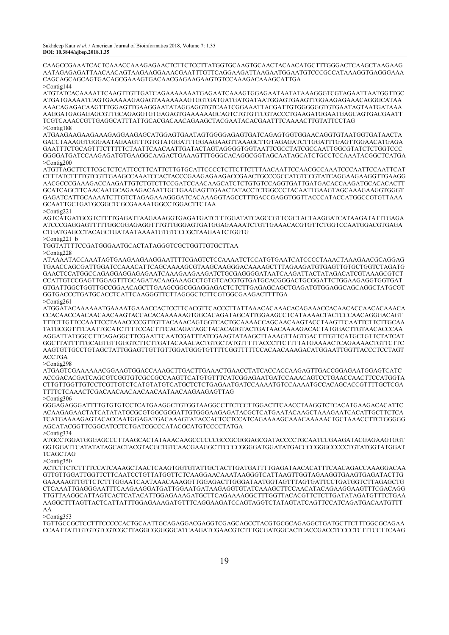CAAGCCGAAATCACTCAAACCAAAGAGAACTCTTCTCCTTATGGTGCAAGTGCAACTACAACATGCTTTGGGACTCAAGCTAAGAAG AATAGAGAGATTAACAACAGTAAGAAGGAAACGAATTTGTTCAGGAAGATTAAGAATGGAATGTCCCGCCATAAAGGTGAGGGAAA CAGCAGCAGCAGTGACAGCGAAAGTGACAACGAGAAGAAGTGTCCAAAGACAAAGCATTGA >Contig144

ATGTATCACAAAATTCAAGTTGTTGATCAGAAAAAAATGAGAATCAAAGTGGAGAATAATATAAAGGGTCGTAGAATTAATGGTTGC ATGATGAAAATCAGTGAAAAAGAGAGTAAAAAAAGTGGTGATGATGATGATAATGGAGTGAAGTTGGAAGAGAAACAGGGCATAA AAACAGAGACAAGTTTGGAGTTGAAGGAATATAGGAGGTGTCAATCGGAAATTACGATTGTGGGGGGTGTGAATAGTAATGATAAA AAGGATGAGAGAGCGTTGCAGAGGTGTGAGAGTGAAAAAAGCAGTCTGTGTTCGTACCCTGAAGATGGAATGAGCAGTGACGAATT TCGTCAAACCGTTGAGGCATTTATTGCACGACAACAGAAGCTACGAATACACGAATTTCAAAACTTGTATTCCTAG >Contig188

ATGAAGAAGAAGAAAGAGGAAGAGCATGGAGTGAATAGTGGGGAGAGTGATCAGAGTGGTGGAACAGGTGTAATGGTGATAACTA GACCTAAAGGTGGGAATAGAAGTTTGTGTATGGATTTGGAAGAAGTTAAAGCTTGTAGAGATCTTGGATTTGAGTTGGAACATGAGA GAATTTCTGCAGTTTCTTTTTCTAATTCAACAATTGATACTAGTAGGGGTGGTAATTCGCCTATCGCCAATTGGCGTATCTCTGGTCCC GGGGATGATCCAAGAGATGTGAAGGCAAGACTGAAAGTTTGGGCACAGGCGGTAGCAATAGCATCTGCCTCCAAATACGGCTCATGA >Contig200

ATGTTAGCTTCTTCGCTCTCATTCCTTCATTCTTGTGCATTCCCCTCTTCTTCTTTAACAATTCCAACGCCAAATCCCAATTCCAATTCAT CTTTATCTTTTGTCGTTGAAGCCAAATCCACTACCCGAAGAGAAGACCGAACTGCCCGCCATGTCCGTATCAGGAAGAAGGTTGAAGG AACGCCCGAAAGACCAAGATTGTCTGTCTTCCGATCCAACAAGCATCTCTGTGTCCAGGTGATTGATGACACCAAGATGCACACACTT GCATCAGCTTCAACAATGCAGAAGACAATTGCTGAAGAGTTGAACTATACCTCTGGCCCTACAATTGAAGTAGCAAAGAAGGTGGGT GAGATCATTGCAAAATCTTGTCTAGAGAAAGGGATCACAAAGGTAGCCTTTGACCGAGGTGGTTACCCATACCATGGCCGTGTTAAA GCAATTGCTGATGCGGCTCGCGAAAATGGCCTGGACTTCTAA

>Contig221

AGTCATGATGCGTCTTTTGAGATTAAGAAAGGTGAGATGATCTTTGGATATCAGCCGTTCGCTACTAAGGATCATAAGATATTTGAGA ATCCCGAGGAGTTTTTGGCGGAGAGGTTTGTTGGGAGTGATGGAGAAAATCTGTTGAAACACGTGTTCTGGTCCAATGGACGTGAGA CTGATGAGCCTACAGCTGATAATAAAATGTGTCCCGCTAAGAATCTGGTG >Contig221\_b

TGGTATTTTCCGATGGGAATGCACTATAGGGTCGCTGGTTGTGCTTAA

>Contig228

ATAAAATACCAAATAGTGAAGAAGAAGGAATTTTCGAGTCTCCAAAATCTCCATGTGAATCATCCCCTAAACTAAAGAACGCAGGAG TGAACCAGCGATTGGATCCAAACATTCAGCAAAAGCGTAAGCAAGGGACAAAAGCTTTAGAAGATGTGAGTTGTGCTGGTCTAGATG GAACTCCATGGCCAGAGGAGGAGAGAATCAAAGAAGAAGATCTGCGAGGGGATAATCAAGATTACTATAGACATCGTAAAGCGTCT CCATTGTCCGAGTTGGAGTTTGCAGATACAAGAAAGCCTGTGTCACGTGTGATGCACGGGACTGCGGATTCTGGAAGAGGTGGTGAT GTGATTGGCTGGTTGCCGGAACAGCTTGAAGCGGCGGAGGAGACTCTCTTGAGAGCAGCTGAGATGTGGAGGCAGCAGGCTATGCGT GGTGACCCTGATGCACCTCATTCAAGGGTTCTTAGGGCTCTTCGTGGCGAAGACTTTTGA

>Contig261

ATGGATACAAAAAATGAAAATGAAACCACTCCTTCACGTTCACCCTTATTAAACACAAACACAGAAACCACAACACCAACACAAACA CCACAACCAACAACAACAAGTACCACACAAAAAAGTGGCACAGATAGCATTGGAAGCCTCATAAAACTACTCCCAACAGGGACAGT TTTCTTGTTCCAATTCCTAAACCCCGTTGTTACAAACAGTGGTCACTGCAAAACCAGCAACAAGTACCTAAGTTCAATTCTTCTTGCAA TATGCGGTTTCAATTGCATCTTTTCCACTTTCACAGATAGCTACACAGGTACTGATAACAAAAGACACTATGGACTTGTAACACCCAA AGGATTATGGCCTTCAGAGGCTTCGAATTCAATCGATTTATCGAAGTATAAGCTTAAAGTTAGTGACTTTGTTCATGCTGTTCTATCAT GGCTTATTTTTGCAGTGTTGGGTCTTCTTGATACAAACACTGTGCTATGTTTTTACCCTTCTTTTATGAAAACTCAGAAAACTGTTCTTC AAGTGTTGCCTGTAGCTATTGGAGTTGTTGTTGGATGGGTGTTTTCGGTTTTTCCACAACAAAGACATGGAATTGGTTACCCTCCTAGT ACCTGA

>Contig298

ATGAGTCGAAAAAACGGAAGTGGACCAAAGCTTGACTTGAAACTGAACCTATCACCACCAAGAGTTGACCGGAGAATGGAGTCATC ACCGACACGATCAGCGTCGGTGTCGCCGCCAAGTTCATGTGTTTCATCGGAGAATGATCCAAACAGTCCTGAACCAACTTCCATGGTA CTTGTTGGTTGTCCTCGTTGTCTCATGTATGTCATGCTCTCTGAGAATGATCCAAAATGTCCAAAATGCCACAGCACCGTTTTGCTCGA TTTTCTCAAACTCGACAACAACAACAACAATAACAAGAAGAGTTAG

>Contig306

GGGAGAGGGATTTTGTGTGTCCTCATGAAGGCTGTGGTAAGGCCTTCTCCTTGGACTTCAACCTAAGGTCTCACATGAAGACACATTC ACAAGAGAACTATCATATATGCGCGTGGCGGGATTGTGGGAAGAGATACGCTCATGAATACAAGCTAAAGAATCACATTGCTTCTCA TCATGAAAAGAGTACACCAATGGAGATGACAAAGTATACCACTCCTCCATCAGAAAAGCAAACAAAAACTGCTAAACCTTCTGGGGG AGCATACGGTTCGGCATCCTCTGATCGCCCATACGCATGTCCCCTATGA >Contig334

ATGCCTGGATGGGAGCCCTTAAGCACTATAAACAAGCCCCCCGCCGCGGGAGCGATACCCCTGCAATCCGAAGATACGAGAAGTGGT GGTGGATTCATATATAGCACTACGTACGCTGTCAACGAAGGCTTCCCCGGGGATGGATATGACCCCGGGCCCCCTGTATGGTATGGAT TCAGCTAG

>Contig350

ACTCTTCTCTTTTCCATCAAAGCTAACTCAAGTGGTGTATTGCTACTTGATGATTTTGAGATAACACATTTCAACAGACCAAAGGACAA GTTGTTGGATTGGTTCTTCAATCCTGTTATGGTTCTCAAGGAACAAATAAGGGTCATTAAGTTGGTAGAAGGTGAAGTGAGATACTTG GAAAAAGTTGTTCTCTTTGGAATCAATAAACAAAGGTTGGAGACTTGGGATAATGGTAGTTTAGTGATTCCTGATGGTCTTAGAGCTG CTCAAATTGAGGGAATTTCAAGAAGGATGATTGGAATGATAAGAGGTGTATCAAAGCTTCCAACATACAGAAGGAAGTTTCGACAGG TTGTTAAGGCATTAGTCACTCATACATTGGAGAAAGATGCTTCAGAAAAGGCTTTGGTTACACGTTCTCTTGATATAGATGTTTCTGAA AAGGCTTTAGTTACTCATTATTTGGAGAAAGATGTTTCAGGAAGATCCAGTAGGTCTATAGTATCAGTTCCATCAGATGACAATGTTT AA

>Contig353

TGTTGCCGCTCCTTTCCCCCACTGCAATTGCAGAGGACGAGGTCGAGCAGCCTACGTGCGCAGAGGCTGATGCTTCTTTGGCGCAGAA CCAATTATTGTGTGTCGTCGCTTAGGCGGGGGCATCAAGATCGAACGTCTTTGCGATGGCACTCACCGACCTCCCCTCTTTCCTTCAAG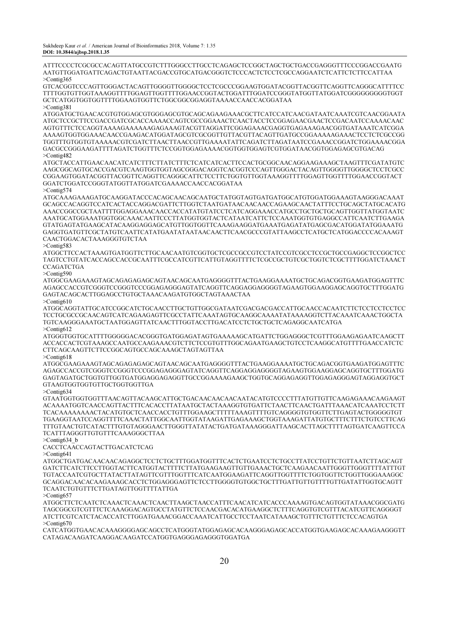ATTTCCCCTCGCGCCACAGTTATGCCGTCTTTGGGCCTTGCCTCAGAGCTCCGGCTAGCTGCTGACCGAGGGTTTCCCGGACCGAATG AATGTTGGATGATTCAGACTGTAATTACGACCGTGCATGACGGGTCTCCCACTCTCCTCGCCAGGAATCTCATTCTCTTCCATTAA >Contig365

GTCACGGTCCCAGTTGGGACTACAGTTGGGGTTGGGGCTCCTCGCCCGGAAGTGGATACGGTTACGGTTCAGGTTCAGGGCATTTTCC TTTTGGTGTTGGTAAAGGTTTTGGAGTTGGTTTTGGAACCGGTACTGGATTTGGATCCGGGTATGGTTATGGATCGGGGGGGGGTGGT GCTCATGGTGGTGGTTTTGGAAGTGGTTCTGGCGGCGGAGGTAAAACCAACCACGGATAA >Contig381

ATGGATGCTGAACACGTGTGGAGCGTGGGAGCGTGCAGCAGAAGAAACGCTTCATCCATCAACGATAATCAAATCGTCAACGGAATA ATGCTCCGCTTCCGACCGATCGCACCAAAACCAGTCGCCGGAAACTCAACTACCTCCGGAGAACGAACTCCGACAATCCAAAACAAC AGTGTTTCTCCAGGTAAAAGAAAAAAGAGAAAGTACGTTAGGATTCGGAGAAACGAGGTGAGAAAGAACGGTGATAAATCATCGGA AAAAGTGGTGGAAACAACCGAAGACATGGATAGCGTCGCGGTTGTTACGTTACAGTTGATGCCGGAAAAAGAAACTCCTCTCGCCGG TGGTTTGTGGTGTAAAAACGTCGATCTTAACTTAACCGTTGAAAATATTCAGATCTTAGATAATCCGAAACCGGATCTGGAAAACGGA GACGCCGGGAAGATTTTAGATCTGGTTTCTCCGGTGGAGAAAACGGTGGTGGAGTCGTGGATAACGGTGGAGAGCGTGACAG  $>$ Contig482

ATGCTACCATTGAACAACATCATCTTTCTTATCTTTCTCATCATCACTTCCACTGCGGCAACAGGAAGAAAGCTAAGTTTCGATATGTC AAGCGGCAGTGCACCGACGTCAAGTGGTGGTAGCGGGACAGGTCACGGTCCCAGTTGGGACTACAGTTGGGGTTGGGGCTCCTCGCC CGGAAGTGGATACGGTTACGGTTCAGGTTCAGGGCATTCTCCTTCTGGTGTTGGTAAAGGTTTTGGAGTTGGTTTTGGAACCGGTACT GGATCTGGATCCGGGTATGGTTATGGATCGAAAACCAACCACGGATAA >Contig574

ATGCAAAGAAAGATGCAAGGATACCCACAGCAACAGCAATGCTATGGTAGTGATGATGGCATGTGGATGGAAAGTAAGGGACAAAT

GCAGCCACAGGTCCATCACTACCAGGACGATTCTTGGTCTAATGATAACAACAACCAGAAGCAACTATTTCCTGCAGCTATGCACATG AAACCGGCCGCTAATTTTGGAGGAAACAACCACCATATGTATCCTCATCAGGAAACCATGCCTGCTGCTGCAGTTGGTTATGGTAATC AAATGCATGGAAATGGTGGCAAACAATTCCCTTATGGTGGTACTCATAATCATTCTCCAAATGGTGTGAGGCCATTCAATCTTGAAGA GTATGAGTATGAAGCATACAAGGAGGAGCATGTTGGTGGTTCAAAGAAGGATGAAATGAGATATGAGCGACATGGATATGGAAATG GAGGTGATGTTCGCTATGTCAATTCATATGAATATAATAACAACTTCAACGCCCGTATTAAGCCTCATGCTCATGGACCCCACAAAGT CAACTGGACACTAAAGGGTGTCTAA

>Contig583

ATGGCTTCCACTAAAGTGATGGTTCTTGCAACAATGTCGGTGCTCGCCGCCGTCCTATCCGTCGCCTCCGCTGCCGAGGCTCCGGCTCC TAGTCCTGTATCACCAGCCACCGCAATTTCGCCATCGTTCATTGTAGGTTTTCTCGCCGCTGTCGCTGGTCTCGCTTTTGGATCTAAACT **CCAGATCTGA** 

 $>Conti\sigma$ 590

ATGGCGAAGAAAGTAGCAGAGAGAGCAGTAACAGCAATGAGGGGTTTACTGAAGGAAAATGCTGCAGACGGTGAAGATGGAGTTTC AGAGCCACCGTCGGGTCCGGGTCCCGGAGAGGGAGTATCAGGTTCAGGAGGAGGGGTAGAAGTGGAAGGAGCAGGTGCTTTGGATG GAGTACAGCACTTGGAGCCTGTGCTAAACAAGATGTGGCTAGTAAACTAA

>Contig610

ATGGCAGGTATTGCATCCGGCATCTGCAACCTTGCTGTTGGCGATAATCGACGACGACCATTGCAACCACAATCTTCTCCTCCTCCTCC TCCTGCGCCGCAACAGTCATCAGAAGAGTTCGCCTATTCAAATAGTGCAAGGCAAAATATAAAAGGTCTTACAAATCAAACTGGCTA TGTCAAGGGAAATGCTAATGGAGTTATCAACTTTGGTACCTTGACATCCTCTGCTGCTCAGAGGCAATCATGA  $>$ Contig612

ATGGGTGGTGCATTTTGGGGGACACGGGTGATGGAGATAGTGAAAAAGCATGATTCTGGAGGGCTCGTTTGGAAGAGAATCAAGCTT ACCACCACTCGTAAAGCCAATGCCAAGAAACGTCTTCTCCGTGTTTGGCAGAATGAAGCTGTCCTCAAGGCATGTTTTGAACCATCTC CTTCAGCAAGTTCTTCCGGCAGTGCCAGCAAAGCTAGTAGTTAA

>Contig618 ATGGCGAAGAAAGTAGCAGAGAGAGCAGTAACAGCAATGAGGGGTTTACTGAAGGAAAATGCTGCAGACGGTGAAGATGGAGTTTC AGAGCCACCGTCGGGTCCGGGTCCCGGAGAGGGAGTATCAGGTTCAGGAGGAGGGGTAGAAGTGGAAGGAGCAGGTGCTTTGGATG GAGTAGATGCTGGTGTTGGTGATGGAGGAGAGGTTGCCGGAAAAGAAGCTGGTGCAGGAGAGGTTGGAGAGGGAGTAGGAGGTGCT GTAAGTGGTGGTGTTGCTGGTGGTTGA

>Contig634

GTAATGGTGGTGGTTTAACAGTTACAAGCATTGCTGACAACAACAACAATACATGTCCCCTTTATGTTGTTCAAGAGAAACAAGAAGT ACAAAATGGTCAACCAGTTACTTTCACACCTTATAATGCTACTAAAGGTGTGATTCTAACTTCAACTGATTTAAACATCAAATCCTCTT TCACAAAAAAAACTACATGTGCTCAACCACCTGTTTGGAAGCTTTTTAAAGTTTTGTCAGGGGTGTGGTTCTTGAGTACTGGGGGTGT TGAAGGTAATCCAGGTTTTCAAACTATTGGCAATTGGTATAAGATTGAGAAAGCTGGTAAAGATTATGTGCTTTCTTTCTGTCCTTCAG TTTGTAACTGTCATACTTTGTGTAGGGAACTTGGGTTATATACTGATGATAAAGGGATTAAGCACTTAGCTTTTAGTGATCAAGTTCCA TCATTTAGGGTTGTGTTTCAAAGGGCTTAA

>Contig634\_b CACCTCAACCAGTACTTGACATCTCAG

>Contig641

ATGGCTGATGACAACAACAGAGGCTCCTCTGCTTTGGATGGTTTCACTCTGAATCCTCTGCCTTATCCTGTTCTGTTAATCTTAGCAGT GATCTTCATCTTCCTTGGTACTTCATGGTACTTTTCTTATGAAGAAGTTGTTGAAACTGCTCAAGAACAATTGGGTTGGGTTTTATTTGT TGTACCAATCGTGCTTATACTTATAGTTCGTTTGGTTTCATCAATGGAAGATTCAGGTTGGTTTTCTGGTGGTTCTGGTTGGGAAAGGC GCAGGACAACACAAGAAAGCACCTCTGGAGGGAGTTCTCCTTGGGGTGTGGCTGCTTTGATTGTTGTTTTGTTGATATTGGTGCAGTT TCAATCTGTGTTTCTTGATAGTTGGTTTTATTGA

>Contig657

ATGGCTTCTCAATCTCAAACTCAAACTCAACTTAAGCTAACCATTTCAACATCATCACCCAAAAGTGACAGTGGTATAAACGGCGATG TAGCGGCGTCGTTTCTCAAAGGACAGTGCCTATGTTCTCCAACGACACATGAAGGCTCTTTCAGGTGTCGTTTACATCGTTCAGGGGT ATCTTCGTCATCTACACCATCTTGGATGAAACGGACCAAATCATTGCCTCCTAATCATAAAGCTGTTTCTGTTTCTCCACAGTGA >Contig670

CATCATGGTGAACACAAAGGGGAGCAGCCTCATGGGTATGGAGAGCACAAGGGAGAGCACCATGGTGAAGAGCACAAAGAAGGGTT CATAGACAAGATCAAGGACAAGATCCATGGTGAGGGAGAGGGTGGATGA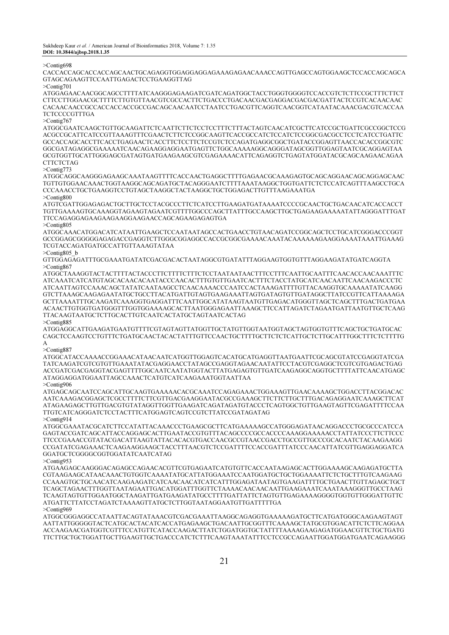>Contig698

CACCACCAGCACCACCAGCAACTGCAGAGGTGGAGGAGGAGAAAGAGAACAAACCAGTTGAGCCAGTGGAAGCTCCACCAGCAGCA GTAGCAGAAGTTCCAATTGAGACTCCTGAAGGTTAG

>Contig701

ATGGAGAACAACGGCAGCCTTTTATCAAGGGAGAAGATCGATCAGATGGCTACCTGGGTGGGGTCCACCGTCTCTTCCGCTTTCTTCT CTTCCTTGGAACGCTTTTCTTGTGTTAACGTCGCCACTTCTGACCCTGACAACGACGAGGACGACGACGATTACTCCGTCACAACAAC CACAACAACCGCCACCACCACCGCCGACAGCAACAATCCTAATCCTGACGTTCAGGTCAACGGTCATAATACAAACGACGTCACCAA TCTCCCCGTTTGA

>Contig767

ATGGCGAATCAAGCTGTTGCAAGATTCTCAATTCTTCTCCTCCTTTCTTTACTAGTCAACATCGCTTCATCCGCTGATTCGCCGGCTCCG ACGCCGCATTCATCCGTTAAAGTTTCGAACTCTTCTCCGGCAAGTTCACCGCCATCTCCATCTCCGGCGACGCCTCCTCATCCTGATTC GCCACCAGCACCTTCACCTGAGAACTCACCTTCTCCTTCTCCGTCTCCAGATGAGGCGGCTGATACCGGAGTTAACCACACCGGCGTC GGCGATAGAGGCGAAAAATCAACAGAAGGAGGAATGAGTTCTGGCAAAAAGGCAGGGATAGCGGTTGGAGTAATCGCAGGAGTAA GCGTGGTTGCATTGGGAGCGATAGTGATGAAGAAGCGTCGAGAAAACATTCAGAGGTCTGAGTATGGATACGCAGCAAGAACAGAA **CTTCTCTAG** 

#### >Contig773

ATGGCAGGCAAGGGAGAAGCAAATAAGTTTTCACCAACTGAGGCTTTTGAGAACGCAAAGAGTGCAGCAGGAACAGCAGGAGCAAC TGTTGTGGAACAAACTGGTAAGGCAGCAGATGCTACAGGGAATCTTTTAAATAAGGCTGGTGATTCTCTCCATCAGTTTAAGCCTGCA CCCAAACCTGCTGAAGGTCCTGTAGCTAAGGCTACTAAGGCTGCTGGAGACTTGTTTAAGAAATGA >Contig800

ATGTCGATTGGAGAGACTGCTTGCTCCTACGCCCTTCTCATCCTTGAAGATGATAAAATCCCCGCAACTGCTGACAACATCACCACCT TGTTGAAAAGTGCAAAGGTAGAAGTAGAATCGTTTTGGCCCAGCTTATTTGCCAAGCTTGCTGAGAAGAAAAATATTAGGGATTTGAT TTCCAGAGGAGAAGAAGAAGGAAGAACCAGCAGAAGAGAGTGA >Contig805

ATGGCAAACATGGACATCATAATTGAAGCTCCAATAATAGCCACTGAACCTGTAACAGATCCGGCAGCTCCTGCATCGGGACCCGGT GCCGGAGCGGGGGAGAGACCGAGGTCTTGGGCGGAGGCCACCGCGGCGAAAACAAATACAAAAAAGAAGGAAAATAAATTGAAAG TCGTACCAGATGATGCCATTGTTAAAGTATAA

>Contig805\_b

GTTGGAGAGATTTGCGAAATGATATCGACGACACTAATAGGCGTGATATTTAGGAAGTGGTGTTTAGGAAGATATGATCAGGTA >Contig867

ATGGCTAAAGGTACTACTTTTACTACCCTTCTTTTCTTTCTCCTAATAATAACTTTCCTTTCAATTGCAATTTCAACACCAACAAATTTC ATCAAATCATCATGTAGCACAACACAATACCCAACACTTTGTGTTGAATCACTTTCTACCTATGCATCAACAATTCAACAAGACCCTC ATCAATTAGTCCAAACAGCTATATCAATAAGCCTCAACAAAACCCAATCCACTAAAGATTTTGTTACAAGGTGCAAAAATATCAAGG GTCTTAAAGCAAGAGAATATGCTGCCTTACATGATTGTAGTGAAGAAATTAGTGATAGTGTTGATAGGCTTATCCGTTCATTAAAAGA GCTTAAAATTTGCAAGATCAAAGGTGAGGATTTCAATTGGCATATAAGTAATGTTGAGACATGGGTTAGCTCAGCTTTGACTGATGAA ACAACTTGTGGTGATGGGTTTGGTGGAAAAGCACTTAATGGGAGAATTAAAGCTTCCATTAGATCTAGAATGATTAATGTTGCTCAAG TTACAAGTAATGCTCTTGCACTTGTCAATCACTATGCTAGTAATCACTAG >Contig885

ATGGAGGCATTGAAGATGAATGTTTTCGTAGTAGTTATGGTTGCTATGTTGGTAATGGTAGCTAGTGGTGTTTCAGCTGCTGATGCAC CAGCTCCAAGTCCTGTTTCTGATGCAACTACACTATTTGTTCCAACTGCTTTTGCTTCTCTCATTGCTCTTGCATTTGGCTTTCTCTTTTG A

#### >Contig887

ATGGCATACCAAAACCGGAAACATAACAATCATGGTTGGAGTCACATGCATGAGGTTAATGAATTCGCAGCGTATCCGAGGTATCGA TATCAAGATCGTCGTGTTGAAATATACGAGGAACCTATAGCCGAGGTAGAACAATATTCCTACGTCGAGGCTCGTCGTGAGACTGAG ACCGATCGACGAGGTACGAGTTTTGGCAATCAATATGGTACTTATGAGAGTGTTGATCAAGAGGCAGGTGCTTTTATTCAACATGAGC ATAGGAGGATGGAATTAGCCAAACTCATGTCATCAAGAAATGGTAATTAA >Contig906

ATGAGCAGCAATCCAGCATTGCAAGTGAAAAACACGCAAATCCAGAGAAACTGGAAAGTTGAACAAAAGCTGGACCTTACGGACAC AATCAAAGACGGAGCTCGCCTTTTCTTCGTTGACGAAGGAATACGCCGAAAGCTTCTTCTTGCTTTGACAGAGGAATCAAAGCTTCAT ATAGAAGAGCTTGTTGACGTGTATAGGTTGGTTGAAGATCAGATAGATGTACCCTCAGTGGCTGTTGAAGTAGTTCGAGATTTTCCAA TTGTCATCAGGGATCTCCTACTTTCATGGAGTCAGTCCGTCTTATCCGATAGATAG >Contig914

ATGGCGAAATACGCATCTTCCATATTACAAACCCTGAAGCGCTTCATGAAAAAGCCATGGGAGATAACAGGACCCTGCGCCCATCCA GAGTACCGATCAGCATTACCAGGAGCACTTGAATACCGTGTTTACAGCCCCGCCACCCCAAAGGAAAAACCTATTATCCCTTCTTCCC TTCCCGAAACCGTATACGACATTAAGTATTACACACGTGACCAACGCCGTAACCGACCTGCCGTTGCCCGCACAATCTACAAGAAGG CCGATATCGAGAAACTCAAGAAGGAAGCTACCTTTAACGTCTCCGATTTTCCACCGATTTATCCCAACATTATCGTTGAGGAGGATCA GGATGCTCGGGGCGGTGGATATCAATCATAG

>Contig953

ATGAAGAGCAAGGGACAGAGCCAGAACACGTTCGTGAGAATCATGTGTTCACCAATAAGAGCACTTGGAAAAGCAAGAGATGCTTA CGTAAGAAGCATAACAAACTGTGGTCAAAATATGCATTATGGAAATCCAATGGATGCTGCTGGAAAATTCTCTGCTTTGTCAAGAAG CCAAAGTGCTGCAACATCAAGAAGATCATCAACAACATCATCATTTGGAGATAATAGTGAAGATTTTGCTGAACTTGTTAGAGCTGCT TCAGCTAGAACTTTGGTTAATAGAATTGACATGGATTTGGTTCTAAAACAACAACAATTGAAGAAATCAAATAAAGGGTTGCCTAAG TCAAGTAGTGTTGGAATGGCTAAGATTGATGAAGATATGCCTTTTGATTATTCTAGTGTTGAGAAAAGGGGTGGTGTTGGGATTGTTC ATGATTCTTATCCTAGATCTAAAAGTTATGCTCTTGGTAATAGGAATGTTGATTTTTGA >Contig969

ATGGCGGGAGGCCATAATTACAGTATAAACGTCGACGAAATTAAGGCAGAGGTGAAAAAGATGCTTCATGATGGGCAAGAAGTAGT AATTATTGGGGGTACTCATGCACTACATCACCATGAGAAGCTGACAATTGCGGTTTCAAAAGCTATGCGTGGACATTCTCTTCAGGAA ACCAAGAACGATGGTCGTTTCCATGTTCATACCAAGACTTATCTGGATGGTGCTATTTTAAAAGAAGAGATGGAACGTTCTGCTGATG TTCTTGCTGCTGGATTGCTTGAAGTTGCTGACCCATCTCTTTCAAGTAAATATTTCCTCCGCCAGAATTGGATGGATGAATCAGAAGGG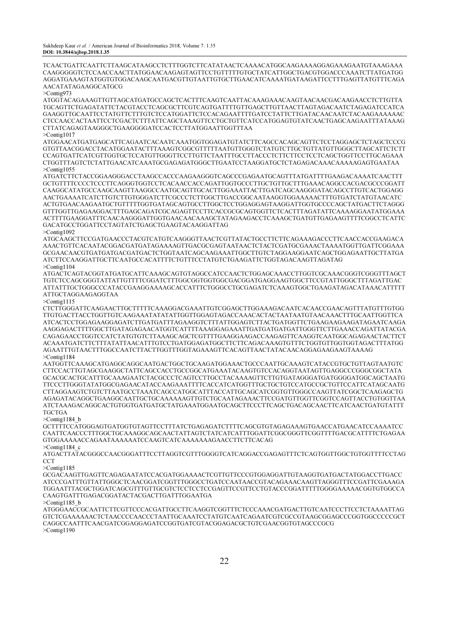TCAACTGATTCAATTCTTAAGCATAAGCCTCTTTGGTCTTCATATAACTCAAAACATGGCAAGAAAAGGAGAAAGAATGTAAAGAAA CAAGGGGGTCTCCAACCAACTTATGGAACAAGAGTAGTTCCTGTTTTTGTGCTATCATTGGCTGACGTGGACCCAAATCTTATGATGG AGGATGAAAGTATGGTGTGGACAAGCAATGACGTTGTAATTGTGCTTGAACATCAAAATGATAAGATTCCTTTGAGTTATGTTTCAGA AACATATAGAAGGCATGCG

>Contig973

ATGGTACAGAAAGTTGTTAGCATGATGCCAGCTCACTTTCAAGTCAATTACAAAGAAACAAGTAACAACGACAAGAACCTCTTGTTA TGCAGTTCTGAGATATTCTACGTACCTCAGCGCTTCGTCAGTGATTTTGTTGAGCTTGTTAACTTAGTAGACAATCTAGAGATCCATCA GAAGGTTGCAATTCCTATGTTCTTTGTCTCCATGGATTCTCCACAGAATTTTGATCCTATTCTTGATACAACAATCTACAAGAAAAAAC CTCCAACCACTAATTCCTCGACTCTTTATTCAGCTAAAGTTCCTGCTGTTCATCCATGGAGTGTATCAACTGAGCAAGAATTTATAAAG CTTATCAGAGTAAGGGCTGAAGGGGATCCACTCCTTATGGAATTGGTTTAA >Contig1017

ATGGAACATGATGAGCATTCAGAATCACAATCAAATGGTGGAGATGTATCTTCAGCCACAGCAGTTCTCCTAGGAGCTCTAGCTCCCG GTGTTAACGGACCTACATGGAATACTTTAAAGTCGGCGTTTTTAATGTTGGGTCTATGTCTTGCTGTTATGTTGGGCTTAGCATTCTCTT CCAGTGATTCATCGTTGGTGCTCCATGTTGGGTTCCTTGTTCTAATTTGCCTTACCCTCTTCTTCCTCCTCAGCTGGTTCCTTGCAGAAA CTGGTTTAGTCTCTATTGAACATCAAATGCGAGAGATGGGCTTGAATCCTAAGGATGCTCTAGAGACAAACAAAAAGAGTGAATAA >Contig1055

ATGATCTTCTACCGGAAGGGACCTAAGCCACCCAAGAAGGGTCAGCCCGAGAATGCAGTTTATGATTTTGAAGACAAAATCAACTTT GCTGTTTTCCCCTCCCTTCAGGGTGGTCCTCACAACCACCAGATTGGTGCCCTTGCTGTTGCTTTGAAACAGGCCACGACGCCCGGATT CAAGGCATATGCCAAGCAAGTTAAGGCCAATGCAGTTGCACTTGGAAATTACTTGATCAGCAAGGGATACAGCCTTGTCACTGGAGG AACTGAAAATCATCTTGTCTTGTGGGATCTTCGCCCTCTTGGCTTGACCGGCAATAAGGTGGAAAAACTTTGTGATCTATGTAACATC ACTGTGAACAAGAATGCTGTTTTTGGTGATAGCAGTGCCTTGGCTCCTGGAGGAGTAAGGATTGGTGCCCCAGCTATGACTTCTAGGG GTTTGGTTGAGAAGGACTTTGAGCAGATCGCAGAGTTCCTTCACCGCGCAGTGGTTCTCACTTTAGATATTCAAAAGGAATATGGAAA ACTTTTGAAGGATTTCAACAAGGGATTGGTGAACAACAAAGCTATAGAAGACCTCAAAGCTGATGTTGAGAAGTTTTCGGCCTCATTC GACATGCCTGGATTCCTAGTATCTGAGCTGAAGTACAAGGATTAG >Contig1092

ATGCAAGCTTCCGATGAACCCTACGTCATGTCAAGGGTTAACTCGTTATACTGCCTTCTTCAGAAAGACCCTTCAACCACCGAAGACA AAACTGTTCACAATACGGACGATGATAGAAAAGTTGACGCGAGTAATAACTCTACTCGATGCGAAACTAAAATGGTTGATTCGGAAA GCGAACAACGTGATGATGACGATGACTCTGGTAATCAGCAAGAAATTGGCTTGTCTAGGAAGGAATCAGCTGGAGAATTGCTTATGA ATCTTCCAAGGATTGCTTCAATGCCACATTTTCTGTTTCCTATGTCTGAAGATTCTGGTAGACAAGTTAGATAG >Contig1104

ATGACTCAGTACGGTATGATGCATTCAAAGCAGTGTAGGCCATCCAACTCTGGAGCAAACCTTGGTCGCAAACGGGTCGGGTTTAGCT TGTCTCCAGCGGGTATTATTGTTTTCGGATCTTTGGCGGTGGTGGCGACGGATGAGGAAGTGGCTTCCGTATTGGGCTTTAGATTGAC ATTATTTGCTGGGCCCATACCGAAGGAAAAGCACCATTTCTGGGCCTGCGAGATCTCAAAGTGGCTGAAGATAGACATAAACATTTTT ATTGCTAGGAAGAGGTAA

 $>$ Contig1115

CTCTTGGGATTCAAGAACTTGCTTTTTCAAAGGACGAAATTGTCGGAGCTTGGAAAGACAATCACAACCGAACAGTTTATGTTTGTGG TTGTGACTTACCTGGTTGTCAAGAAATATATATTGGTTGGAGTAGACCAAACACTACTAATAATGTAACAAACTTTGCAATTGGTTCA ATCACTCCTGGAGAAGGAGATCTTGATGATTTAGAAGGTCTTTATTGGAGTCTTACTGATGGTTCTGAAGAAGAAGATAGAATCAAGA AAGGAGACTTTTGGCTTGATAGAGAACATGGTCATTTTAAAGGAGAAATTGATGATGATGATTGGGTTCTTGAAACCAGATTATACGA CAGAGAACCTGGTCCATCTATGTGTCTTAAAGCAGCTCGTTTTGAAGGAAGACCAAGAGTTCAAGGTCAATGGCAGAGAACTACTTCT ACAAATGATCTTCTTTATATTAACATTTGTCCTGATGGAGATGGCTTCTTCAGACAAAGTGTTTCTGGTGTTGGTGGTAGACTTTATGG AGAATTTGTAACTTTGGCCAATCTTACTTGGTTTGGTAGAAAGTTCACAGTTAACTATACAACAGGAGAAGAAGTAAAAG >Contig1184

AATGGTTCAAAGCATGAGGCAGGCAATGACTGGCTGCAAGATGGAAACTGCCCAATTGCAAAGTCATACCGTGCTGTTAGTAATGTC CTTCCACTTGTAGCGAAGGCTATTCAGCCACCTGCCGGCATGAAATACAAGTGTCCACAGGTAATAGTTGAGGCCCGGGCGGCTATA GCACGCACTGCATTTGCAAAGAATCTACGCCCTCAGTCCTTGCCTACAAAAGTTCTTGTGATAGGGATGATGGGGATGGCAGCTAATG TTCCCTTGGGTATATGGCGAGAACATACCAAGAAATTTTCACCATCATGGTTTGCTGCTGTCCATGCCGCTGTTCCATTCATAGCAATG CTTAGGAAGTCTGTCTTAATGCCTAAATCAGCCATGGCATTTACCATTGCAGCATCGGTGTTGGGCCAAGTTATCGGCTCAAGAGCTG AGAGATACAGGCTGAAGGCAATTGCTGCAAAAAAGTTGTCTGCAATAGAAACTTCCGATGTTGGTTCGGTCCAGTTACCTGTGGTTAA ATCTAAAGACAGGCACTGTGGTGATGATGCTATGAAATGGAATGCAGCTTCCCTTCAGCTGACAGCAACTTCATCAACTGATGTATTT **TGCTGA** 

>Contig1184\_b

GCTTTTCCATGGGAGTGATGGTGTAGTTCCTTTATCTGAGAGATCTTTTCAGCGTGTAGAGAAAGTGAACCATGAACATCCAAAATCC CAATTCAACCCTTTGGCTGCAAAGGCAGCAACTATTAGTCTATCATCATTTGGATTCGGCGGGTTCGGTTTTGACGCATTTTCTGAGAA GTGGAAAAACCAGAATAAAAAATCCAAGTCATCAAAAAAAGAACCTTCTTCACAG >Contig1184\_c

ATGACTTATACGGGCCAACGGGATTTCCTTAGGTCGTTTGGGGTCATCAGGACCGAGAGTTTCTCAGTGGTTGGCTGTGGTTTTCCTAG **CCT** 

>Contig1185

GCGACAAGTTGAGTTCAGAGAATATCCACGATGGAAAACTCGTTGTTCCCGTGGAGGATTGTAAGGTGATGACTATGGACCTTGACC ATCCCGATTTGTTATTGGGCTCAACGGATCGGTTTGGGCCTGATCCAATAACCGTACAGAAACAAGTTAGGGTTTCCGATTCGAAAGA TGGAATTTACGCTGGATCAGCGTTTGTTGCGTCTCCTCCTCCGAGTTCCGTTCCTGTACCCGGATTTTTGGGGAAAAACGGTGTGGCCA CAAGTGATTTGAGACGGATACTACGACTTGATTTGGAATGA

 $\ge$ Contig1185 b

ATGGGAACCGCAATTCTTCGTTCCCACGATTGCCTTCAAGGTCGGTTTCTCCCAAACGATGACTTGTCAATCCCTTCCTCTAAAATTAG GTCTCGAAAAAACTCTAACCCCAACCCTAATTGCAAATCCTATGTCAATCAGAATCGTCGCCGTAAGCGGAGCCCGGTGGCCCCCGCT CAGGCCAATTTCAACGATCGGAGGAGATCCGGTGATCGTACGGAGACGCTGTCGAACGGTGTAGCCCGCG >Contig1190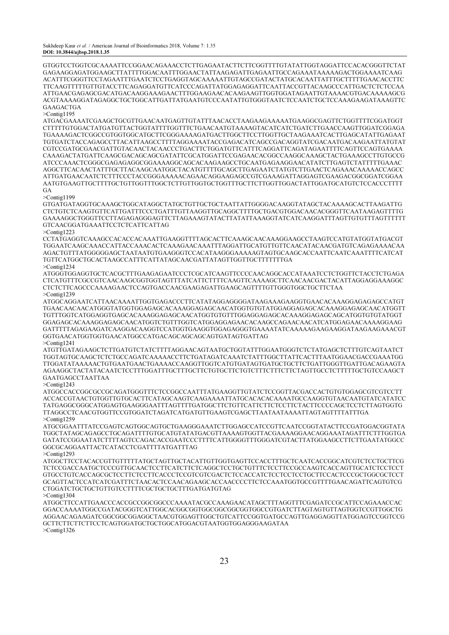GTGGTCCTGGTCGCAAAATTCCGGAACAGAAACCTCTTGAGAATACTTCTTCGGTTTTGTATATTGGTAGGATTCCACACGGGTTCTAT GAGAAGGAGATGGAAGCTTATTTTGGACAATTTGGAACTATTAAGAGATTGAGAATTGCCAGAAATAAAAAGACTGGAAAATCAAG ACATTTCGGGTTCCTAGAATTTGAATCTCCTGAGGTAGCAAAAATTGTAGCCGATACTATGCACAATTATTTGCTTTTTGAACACCTTC TTCAAGTTTTTGTTGTACCTTCAGAGGATGTTCATCCCAGATTATGGAGAGGATTCAATTACCGTTACAAGCCCATTGACTCTCTCCAA ATTGAACGAGAGCGACATGACAAGGAAAGAACTTTGGAAGAACACAAGAAGTTGGTGGATAGAATTGTAAAACGTGACAAAAAGCG ACGTAAAAGGATAGAGGCTGCTGGCATTGATTATGAATGTCCCAATATTGTGGGTAATCTCCAATCTGCTCCAAAGAAGATAAAGTTC GAAGACTGA

>Contig1195

ATGACGAAAATCGAAGCTGCGTTGAACAATGAGTTGTATTTAACACCTAAGAAGAAAAATGAAGGCGAGTTCTGGTTTTCGGATGGT CTTTTTGTGGACTATGATGTTACTGGTATTTTGGTTTCTGAACAATGTAAAAGTACATCATCTGATCTTGAACCAAGTTGGATCGGAGA TGAAAAGACTCGGCCGTGGTGGCATGCTTCGGGAAAAGATGACTTGGCTTCCTTGGTTGCTAAGAAATCACTTGAGCATATTGAGAAT TGTGATCTACCAGAGCCTTACATTAAGCCTTTTAGGAAAATACCGAGACATCAGCCGACAGGTATCGACAATGACAAGAATTATGTAT CGTCCGATGCGAACGATTGTACAACTACAACCCTGACTTCTGGATGTTCATTTCAGGATTCAGATAGAATTTTCAGTTCCAGTGAAAA CAAAGACTATGATTCAAGCGACAGCAGCGATATTCGCATGGATTCCGAGAACACGGCCAAGGCAAAGCTACTGAAAGCCTTGTGCCG ATCCCAAACTCGGGCGAGAGAGGCGGAAAAGGCAGCACAAGAAGCCTGCAATGAGAAGGAACATATCTTGAGTCTATTTTTGAAAC AGGCTTCACAACTATTTGCTTACAAGCAATGGCTACATGTTTTGCAGCTTGAGAATCTATGTCTTGAACTCAGAAACAAAAACCAGCC ATTGATGAACAATCTCTTTCCCTACCGGGAAAAACAGAACAGGAAGAGCCGTCGAAAGATTAGGAGTCGAAGACGGCGGATCGGAA AATGTGAAGTTGCTTTTGCTGTTGGTTTGGCTCTTGTTGGTGCTGGTTTGCTTCTTGGTTGGACTATTGGATGCATGTCTCCACCCTTTT **GA** 

>Contig1199

GTGATGATAGGTGCAAAGCTGGCATAGGCTATGCTGTTGCTGCTAATTATTGGGGACAAGGTATAGCTACAAAAGCACTTAAGATTG CTCTGTCTCAAGTGTTCATTGATTTCCCTGATTTGTTAAGGTTGCAGGCTTTTGCTGACGTGGACAACACGGGTTCAATAAGAGTTTTG GAAAAGGCTGGGTTCCTTAGAGAGGGAGTTCTTAGAAAGTATACTTATATTAAAGGTATCATCAAGGATTTAGTTGTGTTTAGTTTTTT GTCAACGGATGAAATTCCTCTCATTCATTAG

>Contig1223

CCTATGAGGTCAAAGCCACACCACAAATTGAAGGTTTTAGCACTTCAAAGCAACAAAGGAAGCCTAAGTCCATGTATGGTATGACGT TGGAATCAAGCAAACCATTACCAAACACTCAAAGAACAAATTTAGGATTGCATGTTGTTCAACATACAACGATGTCAGAGAAAACAA AGACTGTTTATGGGGGAGCTAATAATGTGAAGGGTCCACATAAGGGAAAAAGTAGTGCAAGCACCAATTCAATCAAATTTTCATCAT TGTTCATGGCTGCACTAAGCCATTTCATTATAGCAACGATTATAGTTGGTTGCTTTTTTTGA

>Contig1234

ATGGGTGGAGGTGCTCACGCTTTGAAGAGAATCCCTCGCATCAAGTTCCCCAACAGGCACCATAAATCCTCTGGTTCTACCTCTGAGA CTCATGTTTCGCCGTCAACAAGCGGTGGTAGTTTATCATTCTTTTCAAGTTCAAAAGCTTCAACAACGACTACATTAGGAGGAAAGGC CTCTCTTCAGCCCAAAAGAACTCCAGTGACCAACGAAGAGATTGAAGCAGTTTTGTTGGGTGGCTGCTTCTAA >Contig1239

ATGGCAGGAATCATTAACAAAATTGGTGAGACCCTTCATATAGGAGGGGATAAGAAAGAAGGTGAACACAAAGGAGAGAGCCATGT TGAACAACAACATGGGTATGGTGGAGAGCACAAAGGAGAGCAACATGGTGTGTATGGAGGAGAGCACAAAGGAGAGCAACATGGTT TGTTTGGTCATGGAGGTGAGCACAAAGGAGAGCAACATGGTGTGTTTGGAGGAGAGCACAAAGGAGAGCAGCATGGTGTGTATGGT GGAGAGCACAAAGGAGAGCAACATGGTCTGTTTGGTCATGGAGGAGAACACAAGCCAGAACAACATCATGGAGAACAAAAGGAAG GATTTTTAGAGAAGATCAAGGACAAGGTCCATGGTGAAGGTGGAGAGGGTGAAAATATCAAAAAGAAGAAGGATAAGAAGAAACGT GGTGAACATGGTGGTGAACATGGCCATGACAGCAGCAGCAGTGATAGTGATTAG >Contig1241

ATGTTGATAGAAGCTCTTGATGTCTATCTTTTAGGAACAGTAATGCTGGTATTTGGAATGGGTCTCTATGAGCTCTTTGTCAGTAATCT TGGTAGTGCAAGCTCTCTGCCAGATCAAAAACCTTCTGATAGATCAAATCTATTTGGCTTATTCACTTTAATGGAACGACCGAAATGG TTGGATATAAAAACTGTGAATGAACTGAAAACCAAGGTTGGTCATGTGATAGTGATGCTGCTTCTGATTGGGTTGATTGACAGAAGTA AGAAGGCTACTATACAATCTCCTTTGGATTTGCTTTGCTTCTGTGCTTCTGTCTTTCTTTCTTCTAGTTGCCTCTTTTTGCTGTCCAAGCT GAATGAGCCTAATTAA

>Contig1243

ATGGCCACCGGCGCCGCAGATGGGTTTCTCCGGCCAATTTATGAAGGTTGTATCTCCGGTTACGACCACTGTGTGGAGCGTCGTCCTT ACCACCGTAACTGTGGTTGTGCACTTCATAGCAAGTCAAGAAAATTATGCACACACAAAATGCCAAGGTGTAACAATGTATCATATCC TATGAGGCGGGCATGGAGTGAAGGGAATTTAGTTTTGATGGCTTCTGTTCATTCTTCTCCTTCTACTTCCCCAGCTCCTCTTAGTGGTG TTAGGCCTCAACGTGGTTCCGTGGATCTAGATCATGATGTTGAAGTCGAGCTTAATAATAAAATTAGTAGTTTTATTTGA >Contig1259

ATGCGGAATTTATCCGAGTCAGTGGCAGTGCTGAAGGGAAATCTTGGAGCCATCCGTTCAATCCGGTATACTTCCGATGGACGGTATA TGGCTATAGCAGAGCCTGCAGATTTTGTGCATGTATATGACGTTAAAAGTGGTTACGAAAAGGAACAGGAAATAGATTTCTTTGGTGA GATATCCGGAATATCTTTTAGTCCAGACACCGAATCCCTTTTCATTGGGGTTTGGGATCGTACTTATGGAAGCCTTCTTGAATATGGCC GGCGCAGGAATTACTCATACCTCGATTTTATGATTTAG

>Contig1293

ATGGCTTCCTACACCGTTGTTTTTATGCTAGTTGCTACATTGTTGGTGAGTTCCACCTTTGCTCAATCACCGGCATCGTCTCCTGCTTCG TCTCCGACCAATGCTCCCGTTGCAACTCCTTCATCTTCTCAGGCTCCTGCTGTTTCTCCTTCCGCCAAGTCACCAGTTGCATCTCCTCCT GTGCCTGTCACCAGCGCTCCTTCTCCTTCACCCTCCGTCGTCGACTCTCCACCATCTCCTCCTCCTGCTTCCACTCCCGCTGGCGCTCCT GCAGTTACTCCATCATCGATTTCTAACACTCCAACAGAAGCACCAACCCCTTCTCCAAATGGTGCCGTTTTGAACAGATTCAGTGTCG CTGGATCTGCTGCTGTTGTCCTTTTCGCTGCTGCTTTGATGATGTAG >Contig1304

ATGGCTTCCATTGAACCCACCGCCGGCGGCCCAAAATACGCCAAAGAACATAGCTTTAGGTTTCGAGATCCGCATTCCAGAAACCAC GGACCAAAATGGCCGATACGGGTCATTGGCACGGCGGTGGCGGCGGCGGTGGCCGTGATCTTAGTAGTGTTAGTGGTCCGTTGGCTG AGGAACAGAAGATCGGCGGCGGAGGCTAACGTGGAGTTGGCTGTCATTCCGGTGATGCCAGTTGAGGAGGTTATGGAGTCCGGTCCG GCTTCTTCTTCTTCCTCAGTGGATGCTGCTGGCATGGACGTAATGGTGGAGGGAAGATAA >Contig1326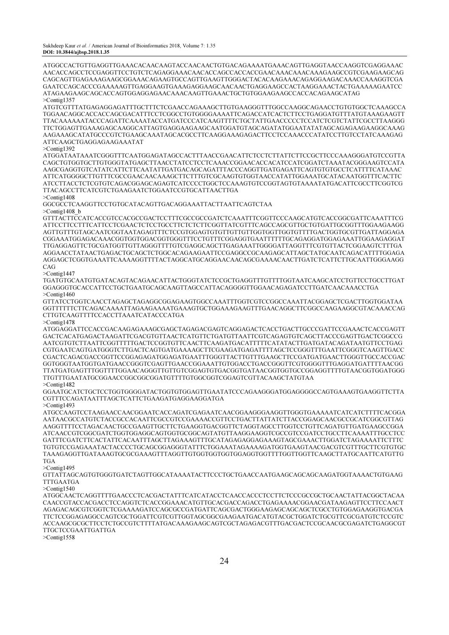ATGGCCACTGTTGAGGTTGAAACACAACAAGTACCAACAACTGTGACAGAAAATGAAACAGTTGAGGTAACCAAGGTCGAGGAAAC AACACCAGCCTCCGAGGTTCCTGTCTCAGAGGAAACAACACCAGCCACCACCGAACAAACAAACAAAGAAGCCGTCGAAGAAGCAG CAGCAGTTGAGAAAGAAGCGGAAACAGAAGTGCCAGTTGAAGTTGGGACTACACAAGAAACAGAGGAAGACAAACCAAAGGTCGA GAATCCAGCACCCGAAAAAGTTGAGGAAGTGAAAGAGGAAGCAACAACTGAGGAAGCCACTAAGGAAACTACTGAAAAAGAATCC ATAGAAGAAGCAGCACCAGTGGAGGAGAACAAACAAGTTGAAACTGCTGTGGAAGAAGCCACCACAGAAGCATAG  $>$ Contig1357

ATGTCGTTTATGAGAGGAGATTTGCTTTCTCGAACCAGAAAGCTTGTGAAGGGTTTGGCCAAGGCAGAACCTGTGTGGCTCAAAGCCA TGGAACAGGCACCACCAGCGACATTTCCTCGGCCTGTGGGGAAAATTCAGACCATCACTCTTCCTGAGGATGTTTATGTAAAGAAGTT TTACAAAAAATACCCAGATTCAAAATACCATGATCCCATCAAGTTTTCTGCTATTGAACCCCCTCCATCTCGTCTATTCGCCTTAAGGG TTCTGGAGTTGAAAGAGCAAGGCATTAGTGAGGAAGAAGCAATGGATGTAGCAGATATGGAATATATAGCAGAGAAGAAGGCAAAG AAGAAAGCATATGCCCGTCTGAAGCAAATAGCACGCCTTCAAGGAAAGAGACTTCCTCCAAACCCATATCCTTGTCCTATCAAAGAG ATTCAAGCTGAGGAGAAGAAATAT

>Contig1392

ATGGATAATAAATCGGGTTTCAATGGAGATAGCCACTTTAACCGAACATTCTCCTCTTATTCTTCCGCTTCCCAAAGGGATGTCCGTTA CAGCTGTGGTGCTTGTGGGTATGAGCTTAACCTATCCTCCTCAAACCGGAACACCACATCCATCGGATCTAAATACGGGAAGTCCATA AAGCGAGGTGTCATATCATTCTTCAATATTGATGACAGCAGATTTACCCAGGTTGATGAGATTCAGTGTGTGCCTCATTTTCATAAAC ATTCATGGGGCTTGTTTCGCCGAACAACAAAGCTTCTTTGTCGCAAGTGTGGTAACCATATTGGAAATGCATACAATGGTTTCACTTC ATCCTTACCTCTCGTGTCAGACGGAGCAGAGTCATCCCCTGGCTCCAAAGTGTCCGGTAGTGTAAAATATGACATTCGCCTTCGGTCG TTACAGCCTTCATCGTCTGAAGAATCTGGAATCCGTGCATTAACTTGA

>Contig1408

GGCGCCTCAAGGTTCCTGTGCATACAGTTGACAGGAAATTACTTAATTCAGTCTAA

>Contig1408\_b

GTTTACTTCCATCACCGTCCACGCCGACTCCTTTCGCCGCCGATCTCAAATTTCGGTTCCCAAGCATGTCACCGGCGATTCAAATTTCG ATTCCTTCCTTTCATTCCTCGAACTCTCCTGCCTTCTCTCTTCGGTTATCGTTTCAGCCAGCGTTGCTGTGATTGCGGTTTGGAAGAAGG AGTTGTTTGTAGCAATCGGTAATAGAGTTTCTCCGTGGAGTGTGTTGTTGTTGGTGGTTGGTGTTTTGACTGGTGCGTTGATTAGGAGA CGGAAATGGAGACAAACGGTGGTGGACGGTGGGTTTCCTGTTTCGGAGGTGAATTTTTTGCAGAGGATGGAGAAATTGGAAGAGGAT TTGAGGAGTTCTGCGATGGTTGTTAGGGTTTTGTCGAGGCAGCTTGAGAAATTGGGGATTAGGTTTCGTGTTACTCGGAAGTCTTTGA AGGAACCTATAACTGAGACTGCAGCTCTGGCACAGAAGAATTCCGAGGCCGCAAGAGCATTAGCTATGCAATCAGACATTTTGGAGA AGGAGCTCGGTGAAATTCAAAAGGTTTTACTAGGCATGCAGGAACAACAGCGAAAACAACTTGATCTCATTCTTGCAATTGGGAAGG CAG

 $>$ Contig1447

TGATGTGCAATGTGATACAGTACAGAACATTACTGGGTATCTCCGCTGAGGTTTGTTTTGGTAATCAAGCATCCTGTTCCTGCCTTGAT GGAGGGTGCACCATTCCTGCTGAATGCAGCAAGTTAGCCATTACAGGGGTTGGAACAGAGATCCTTGATCAACAAACCTGA >Contig1460

GTTATCCTGGTCAACCTAGAGCTAGAGGCGGAGAAGTGGCCAAATTTGGTCGTCCGGCCAAATTACGGAGCTCGACTTGGTGGATAA GGTTTTTTCTTCAGACAAAATTAGAAGAAAATGAAAGTGCTGGAAAGAAGTTTGAACAGGCTTCGGCCAAGAAGGCGTACAAACCAG CTTGTCAAGTTTTCCACCTTAAATCATACCCATGA

>Contig1478

ATGGAGGATTCCACCGACAAGAGAAAGCGAGCTAGAGACGAGTCAGGAGACTCACCTGACTTGCCCGATTCCGAAACTCACCGAGTT GACTCACATGAGACTAAGATTCGACGTGTTAACTCATGTTCTGATGTTAATTCGTCAGAGTGTCAGCTTACCCGAGTTGACTCGGCCG AATCGTGTCTTAATTCGGTTTTTGACTCCGGTGTTCAACTTCAAGATGACATTTTTCATATACTTGATGATACAGATAATGTTCCTGAG CGTGAATCAGTGATGGGTCTTGACTCAGTGATGAAAAGCTTCGAAGATGAGATTTTAGCTCCGGGTTTGAATTCGGGTCAAGTTGACC CGACTCAGACGACCGGTTCCGGAGAGATGGAGATGAATTTGGGTTACTTGTTTGAAGCTTCCGATGATGAACTTGGGTTGCCACCGAC GGTGGGTAATGGTGATGAACCGGGTCGAGTTGAACCGGAAATTGTGGACCTGACCGGGTTCGTGGGGTTTGAGGATGATTTTAACGG TTATGATGAGTTTGGTTTTGGAACAGGGTTGTTGTCGGAGTGTGACGGTGATAACGGTGGTGCCGGAGGTTTTGTAACGGTGGATGGG TTGTTTGAATATGCGGAACCGGCGGCGGATGTTTTGTGGCGGTCGGAGTCGTTACAAGCTATGTAA >Contig1482

GGAATGCATCTGCTCCTGGTGGGGATACTGGTGTGGAGTTGAATATCCCAGAAGGGATGGAGGGGCCAGTGAAAGTGAAGGTTCTTA CGTTTCCAGATAATTTAGCTCATTCTGAAGATGAGGAAGGATGA

>Contig1493

ATGCCAAGTCCTAAGAACCAACGGAATCACCAGATCGAGAATCAACGGAAGGGAAGGTTGGGTGAAAAATCATCATCTTTTCACGGA AATAACGCCATGTCTACCGCCACAATTCGCCGTCCGAAAACCGTTCCTGACTTATTATCTTACCGGAGCAACGCCGCATCGGCGTTAG AAGGTTTTCCTAGACAACTGCCGAAGTTGCTTCTGAAGGTGACGGTTCTAGGTAGCCTTGGTCCTGTTCAGATGTTGATGAAGCCGGA ATCAACCGTCGGCGATCTGGTGGAGGCAGTGGTGCGGCAGTATGTTAAGGAAGGTCGCCGTCCGATCCTGCCTTCAAAATTTGCCTCC GATTTCGATCTTCACTATTCACAATTTAGCTTAGAAAGTTTGCATAGAGAGGAGAAAGTAGCGAAACTTGGATCTAGAAAATTCTTTC TGTGTCCGAGAAATACTACCCCTGCAGCGGAGGGTATTTCTGGAAATAGAAAAGATGGTGAAGTAACGACGTCGTTTGCTTCGTGTGC TAAAGAGGTTGATAAAGTGCGCGAAAGTTTAGGTTGTGGTGGTGGTGGAGGTGGTTTTGGTTGGTTCAAGCTTATGCAATTCATGTTG TGA

>Contig1495

GTTATTAGCAGTGTGGGTGATCTAGTTGGCATAAAATACTTCCCTGCTGAACCAATGAAGCAGCAGCAAGATGGTAAAACTGTGAAG TTTGAATGA

>Contig1540

ATGGCAACTCAGGTTTTGAACCCTCACGACTATTTCATCATACCTCAACCACCCTCCTTCTCCCGCCGCTGCAACTATTACGGCTACAA CAACCGTACCACGACCTCCAGGTCTCACCGGAAACATGTTGCACGACCAGACCTGAGAAAACGGAACGATAAGAGTTCCTTCCAACT AGAGACAGCGTCGGTCTCGAAAAGATCCAGCGCCGATGATTCAGCGACTGGGAAGAGCAGCAGCTCGCCTGTGGAGAAGGTGACGA TTCTCCGGAGAGGCCAGTCGCTGGATTCGTCGTTGGTAGCGGCGAAGAATGACATGTACGCTGGATCTGCGTTCGCGATGTCTCCGTC ACCAAGCGCGCTTCCTCTGCCGTCTTTTATGACAAAGAAGCAGTCGCTAGAGACGTTTGACGACTCCGCAACGCGAGATCTGAGGCGT TTGCTCCGAATTGATTGA

>Contig1558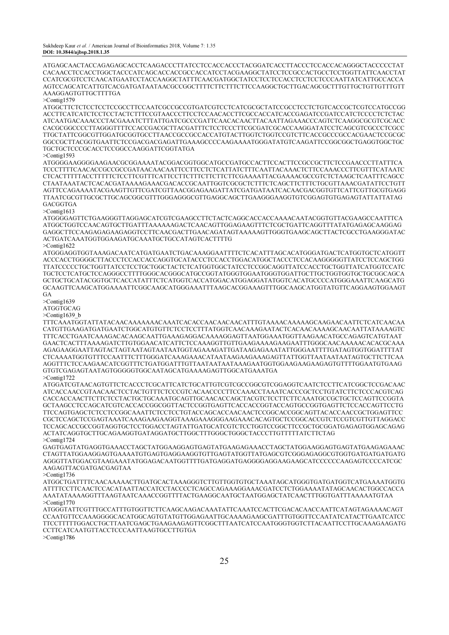ATGAGCAACTACCAGAGAGCACCTCAAGACCCTTATCCTCCACCACCCTACGGATCACCTTACCCTCCACCACAGGGCTACCCCCTAT CACAACCTCCACCTGGCTACCCATCAGCACCACCGCCACCATCCTACGAAGGCTATCCTCCGCCACTGCCTCCTGGTTATTCAACCTAT CCATCGCGTCCTCAACATGAATCCTACCAAGGCTATTTCAACGATGGCTATCCTCCTCCACCTCCTCCTCCCAATTATCATTGCCACCA AGTCCAGCATCATTGTCACGATGATAATAACGCCGGCTTTTCTTCTTTCTTCCAAGGCTGCTTGACAGCGCTTTGTTGCTGTTGTTTGTT AAAGGAGTGTTGCTTTTGA

#### >Contig1579

ATGGCTTCTCTCCTCCTCCGCCTTCCAATCGCCGCCGTGATCGTCCTCATCGCGCTATCCGCCTCCTCTGTCACCGCTCGTCCATGCCGG ACCTTCATCATCTCCTCCTACTCTTTCCGTAACCCTTCCTCCAACACCTTCGCCACCATCACCGAGATCCGATCCATCTCCCCTCTCTAC ATCAATGACAAACCCTACGAAATCTTTATTGATCGCCCGATTCAACACAACTTACAATTAGAAACCCAGTCTCAAGGCGCGTCGCACC CACGCGGCCCCTTAGGGTTTTCCACCGACGCTTACGATTTCTCCTCCCTTCGCGATCGCACCAAGGATATCCTCAGCGTCGCCCTCGCC TTGCTATTCGGCGTTGGATGCGGTGCCTTAACCGCCGCCACCATGTACTTGGTCTGGTCCGTCTTCACCGCCCGCCACGAACTCCGCGC GGCCGCTTACGGTGAATTCTCCGACGACGAGATTGAAAGCCCCAAGAAAATGGGATATGTCAAGATTCCGGCGGCTGAGGTGGCTGC TGCTGCTCCCGCACCTCCGGCCAAGGATTCGGTATGA

>Contig1593

ATGGGGAAGGGGAAGAACGCGGAAAATACGGACGGTGGCATGCCGATGCCACTTCCACTTCCGCCGCTTCTCCGAACCCTTATTTCA TCCCTTTTCAACACCGCCGCCGATAACAACAATTCCTTCCTCTCATTATCTTTCAATTACAAACTCTTCCAAACCCTTCGTTTCATAATC CTCACTTTTTACCTTTTTCTCCTTCGTTTCATTCCTTCTTTCTTCTTCTTCGAAAATTACGAAAACGCCGTCTCTAAGCTCAATTTCAGCC CTAATAAATACTCACACGATAAAAGAAACGACACCGCAATTGGTCGCGCTCTTTCTCAGCTTCTTTCTGCGTTAAACGATATTCCTGTT AGTTCCAGAAAATACGAAGTTGTTCGATCGTTAACGGAGAAGATTATCGATGATAATCACAACGACGGTGTTCATTCGTTGCGTGAGG TTAATCGCGTTGCGCTTGCAGCGGCGTTTGGGAGGGCGTTGAGGCAGCTTGAAGGGAAGGTGTCGGAGTGTGAGAGTATTATTATAG GACGGTGA

>Contig1613

ATGGGGAGTTCTGAAGGGTTAGGAGCATCGTCGAAGCCTTCTACTCAGGCACCACCAAAACAATACGGTGTTACGAAGCCAATTTCA ATGGCTGGTCCAACAGTGCTTGATTTAAAAAAGACTCAACAGTTGGAGAAGTTTCTCGCTGATTCAGGTTTATATGAGAGCAAGGAG GAGGCTTCCAAGAGAGAAGAGGTCCTTCAACGACTTGAACAGATAGTAAAAAGTTGGGTGAAGCAGCTTACTCGCCTGAAGGGATAC ACTGATCAAATGGTGGAAGATGCAAATGCTGCCATAGTCACTTTTG

>Contig1622

ATGGGAGGTGGTAAAGACAATCATGATGAATCTGACAAAGGAATTTTCTCACATTTAGCACATGGGATGACTCATGGTGCTCATGGTT ACCCACCTGGGGCTTACCCTCCACCACCAGGTGCATACCCTCCACCTGGACATGGCTACCCTCCACAAGGGGGTTATCCTCCAGCTGG TTATCCCCCTGCTGGTTATCCTCCTGCTGGCTACTCTCATGGTGGCTATCCTCCGGCAGGTTATCCACCTGCTGGTTATCATGGTCCATC TGCTCCTCATGCTCCAGGGCCTTTTGGGCACGGGCATGCCGGTATGGGTGGAATGGGTGGATTGCTTGCTGGTGGTGCTGCGGCAGCA GCTGCTGCATACGGTGCTCACCATATTTCTCATGGTCACCATGGACATGGAGGATATGGTCACATGCCCCATGGGAAATTCAAGCATG GCAAGTTCAAGCATGGAAAATTCGGCAAGCATGGGAAATTTAAGCACGGAAAGTTTGGCAAGCATGGTATGTTCAGGAAGTGGAAGT GA

>Contig1639 ATGGTGCAG

>Contig1639\_b

TTTCAAATGGTATTATACAACAAAAAAACAAATCACACCAACAACAACATTTGTAAAACAAAAAGCAAGAACAATTCTCATCAACAA CATGTTGAAGATGATGAATCTGGCATGTGTTCTCCTCCTTTATGGTCAACAAAGAATACTCACAACAAAAGCAACAATTATAAAAGTC TTTCACCTGAATCAAAGACACAAGCAATTGAAAGAGGACAAAAGGAGTTAATGGAAATGGTTAAGAACATGCCAGAGTCATGTAAT GAACTCACTTTAAAAGATCTTGTGGAACATCATTCTCCAAAGGTTGTTGAAGAAAAGAAGAATTTGGGCAACAAAAACACACGCAAA AGAGAAGGAATTAGTACTAGTAATAGTAATAATGGTAGAAAGATTGATAAGAGAAATATTGGGAATTTTGATAGTGGTGGATTTTAT CTCAAAATGGTGTTTCCAATTTCTTTGGGATCAAAGAAACATAATAAGAAGAAAGAGTTATTGGTTAATAATAATAGTGCTTCTTCAA AGGTTTCTCCAAGAACATCGGTTTCTGATGGATTTGTTAATAATAATAAAGAATGGTGGAAGAAGAAGAGTGTTTTGGAATGTGAAG GTGTCGAGAGTAATAGTGGGGGTGGCAATAGCATGAAAAGAGTTGGCATGAAATGA  $>$ Contig1722

ATGGATCGTAACAGTGTTCTCACCCTCGCATTCATCTGCATTGTCGTCGCCGGCGTCGGAGGTCAATCTCCTTCATCGGCTCCGACAAC ATCACCAACCGTAACAACTCCTACTGTTTCTCCCGTCACAACCCCTTCCAAACCTAAATCACCCGCTCCTGTATCTTCTCCCACGTCAG CACCACCAACTTCTTCTCCTACTGCTGCAAATGCAGTTGCAACACCAGCTACGTCTCCTTCTTCAAATGCCGCTGCTCCAGTTCCGGTA GCTAAGCCTCCAGCATCGTCACCACCGGCGGTTACTCCGGTGAGTTCACCACCGGTACCAGTGCCGGTGAGTTCTCCACCAGTTCCTG TTCCAGTGAGCTCTCCTCCGGCAAATTCTCCTCCTGTACCAGCACCAACAACTCCGGCACCGGCAGTTACACCAACCGCTGGAGTTCC CGCTCCAGCTCCGAGTAAATCAAAGAAGAAGGTAAAGAAAGGGAAGAAACACAGTGCTCCGGCACCGTCTCCGTCGTTGTTAGGACC TCCAGCACCGCCGGTAGGTGCTCCTGGACCTAGTATTGATGCATCGTCTCCTGGTCCGGCTTCCGCTGCGGATGAGAGTGGAGCAGAG ACTATCAGGTGCTTGCAGAAGGTGATAGGATGCTTGGCTTTGGGCTGGGCTACCCTTGTTTTTATCTTCTAG >Contig1724

GAGTGAGTATGAGGTGAAACCTAGCTATGGAAGGAGTGAGTATGAAGAGAAACCTAGCTATGGAAGGAGTGAGTATGAAGAGAAAC CTAGTTATGGAAGGAGTGAAAATGTGAGTGAGGAAGGTGTTGAGTATGGTTATGAGCGTCGGGAGAGGCGTGGTGATGATGATGATG AGGGTTATGGACGTAAGAAATATGGAGACAATGGTTTTGATGAGGATGAGGGGAGGAAGAAGCATCCCCCCAAGAGTCCCCATCGC AAGAGTTACGATGACGAGTAA

>Contig1736

ATGGCTGATTTTCAACAAAAACTTGATGCACTAAAGGGTCTTGTTGGTGTGCTAAATAGCATGGGTGATGATGGTCATGAAAATGGTG ATTTTCCTTCAACTCCACATAATTACCATCCTACCCCTCAGCCAGAAAGGAAACGATCCTCTGGAAAATATAGCAACACTGGCCACCA AAATATAAAAGGTTTAAGTAATCAAACCGGTTTTACTGAAGGCAATGCTAATGGAGCTATCAACTTTGGTGATTTAAAAATGTAA  $>$ Contig1770

ATGGGTATTCGTTTGCCATTTGTGGTTCTTCAAGCAAGACAAATATTCAAATCCACTTCGACACAACCAATTCATAGTAGAAAACAGT CCAATGTTCCAAAGGGGCACATGGCAGTGTATGTTGGAGAATTGCAAAAGAAGCGATTTGTGGTTCCAATATCATACTTGAATCATCC TTCCTTTTTGGACCTGCTTAATCGAGCTGAAGAAGAGTTCGGCTTTAATCATCCAATGGGTGGTCTTACAATTCCTTGCAAAGAAGATG CCTTCATCAATGTTACCTCCCAATTAAGTGCCTTGTGA

>Contig1786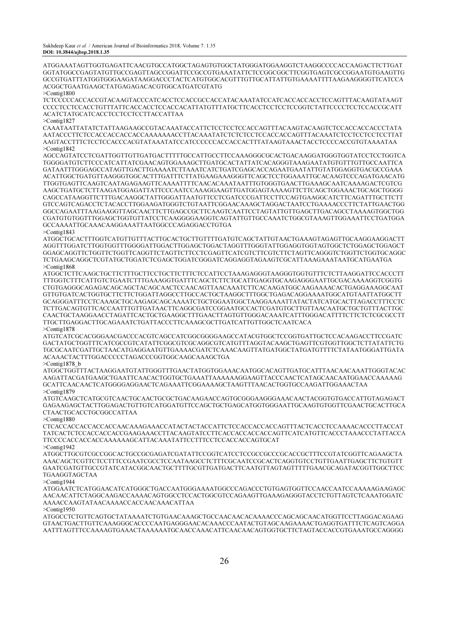ATGGAAATAGTTGGTGAGATTCAACGTGCCATGGCTAGAGTGTGGCTATGGGATGGAAGGTCTAAGGCCCCACCAAGACTTCTTGAT GGTATGGCCGAGTATGTTGCCGAGTTAGCCGGATTCCGCCGTGAAATATTCTCCGGCGGCTTCGGTGAGTCGCCGGAATGTGAAGTTG GCCGTGATTTATGGTGGGAAGATAAGGACCCTACTCATGTGGCACGTTTGTTGCATTATTGTGAAAATTTTAAGAAGGGGTTCATCCA ACGGCTGAATGAAGCTATGAGAGACACGTGGCATGATCGTATG >Contig1800

TCTCCCCCACCACCGTACAAGTACCCATCACCTCCACCGCCACCATACAAATATCCATCACCACCACCTCCAGTTTACAAGTATAAGT CCCCTCCTCCACCTGTTTATTCACCACCTCCACCACATTATGTTTATGCTTCACCTCCTCCTCCGGTCTATTCCCCTCCTCCACCGCATT ACATCTATGCATCACCTCCTCCTCCTTACCATTAA >Contig1827

CAAATAATTATATCTATTAAGAAGCCGTACAAATACCATTCTCCTCCTCCACCAGTTTACAAGTACAAGTCTCCACCACCACCCTATA AATACCCTTCTCCACCACCACCACCAAAAAAACCTTACAAATATCTCTCTCCTCCACCACCAGTTTACAAATCTCCTCCTCCTCCTTAT AAGTACCTTTCTCCTCCACCCACGTATAAATATCCATCCCCCCACCACCACTTTATAAGTAAACTACCTCCCCACCGTGTAAAATAA >Contig1842

AGCCAGTATCCTCGATTGGTTGTTGATGACTTTTTGCCATTGCCTTCCAAAGGGCGCACTGACAAGGATGGGTGGTATCCTCCTGGTCA TGGGGATGTCTTCCCATCATTATCGAACAGTGGAAAGCTTGATGCACTATTATCACAGGGTAAAGAATATGTGTTTGTTGCCAATTCA GATAATTTGGGAGCCATAGTTGACTTGAAAATCTTAAATCATCTGATCGAGCACCAGAATGAATATTGTATGGAGGTGACGCCGAAA ACATTGGCTGATGTTAAGGGTGGCACTTTGATTTCTTATGAAGAAAGGGTTCAGCTCCTGGAAATTGCACAAGTCCCAGATGAACATG TTGGTGAGTTCAAGTCAATAGAGAAGTTCAAAATTTTCAACACAAATAATTTGTGGGTGAACTTGAAAGCAATCAAAAGACTCGTCG AAGCTGATGCTCTTAAGATGGAGATTATTCCCAATCCAAAGGAAGTTGATGGAGTAAAAGTTCTTCAGCTGGAAACTGCAGCTGGGG CAGCCATAAGGTTCTTTGACAAGGCTATTGGGATTAATGTTCCTCGATCCCGATTCCTTCCAGTGAAGGCATCTTCAGATTTGCTTCTT GTCCAGTCAGACCTCTACACCTTGGAAGATGGGTCTGTAATTCGGAACAAAGCTAGGACTAATCCTGAAAACCCTTCTATTGAACTGG GGCCAGAATTTAAGAAGGTTAGCAACTTCTTGAGCCGCTTCAAGTCAATTCCTAGTATTGTTGAGCTTGACAGCCTAAAAGTGGCTGG CGATGTGTGGTTTGGAGCTGGTGTTATCCTCAAGGGGAAGGTCAGTATTGTTGCCAAATCTGGCGTAAAGTTGGAAATTCCTGATGGA GCCAAAATTGCAAACAAGGAAATTAATGGCCCAGAGGACCTGTGA >Contig1843

ATGGCTGCACTTTGGTCATGTTGTTTACTTGCACTGCTTGTTTTGATGTCAGCTATTGTAACTGAAAGTAGAGTTGCAAGGAAGGACTT AGGTTTGGATCTTGGTGGTTTGGGGATTGGACTTGGAGCTGGACTAGGTTTGGGTATTGGAGGTGGTAGTGGCTCTGGAGCTGGAGCT GGAGCAGGTTCTGGTTCTGGTTCAGGTTCTAGTTCTTCCTCGAGTTCATCGTCTTCGTCTTCTAGTTCAGGGTCTGGTTCTGGTGCAGGC TCTGAAGCAGGCTCGTATGCTGGATCTCGAGCTGGATCGGGATCAGGAGGTAGAAGTCGCATTAAAGAAATAATGCATGAATGA >Contig1868

ATGGCTCTTCAAGCTGCTTCTTTGCTTCCTGCTTCTTTCTCCATTCCTAAAGAGGGTAAGGGTGGTGTTTCTCTTAAGGATTCCACCCTT TTTGGTCTTTCATTGTCTGAATCTTTGAAAGGTGATTTCAGCTCTTCTGCATTGAGGTGCAAGAGGGAATTGCGACAAAAGGTCGGTG CTGTGAGGGCAGAGACAGCAGCTACAGCAACTCCAACAGTTAACAAATCTTCACAAGATGGCAAGAAAACACTGAGGAAAGGCAAT GTTGTGATCACTGGTGCTTCTTCTGGATTAGGCCTTGCCACTGCTAAGGCTTTGGCTGAGACAGGAAAATGGCATGTAATTATGGCTT GCAGGGATTTCCTCAAAGCTGCAAGAGCAGCAAAATCTGCTGGAATGGCTAAGGAAAATTATACTATCATGCACTTAGACCTTTCCTC TCTTGACAGTGTTCACCAATTTGTTGATAACTTCAGGCGATCCGGAATGCCACTCGATGTGCTTGTTAACAATGCTGCTGTTTACTTGC CAACTGCTAAGGAACCTAGATTCACTGCTGAAGGCTTTGAACTTAGTGTTGGGACAAATCATTTGGGACATTTTCTTCTCTCGCGCCTT TTGCTTGAGGACTTGCAGAAATCTGATTACCCTTCAAAGCGCTTGATCATTGTTGGCTCAATCACA >Contig1878

ATGTCATCGCACGGGAACGACCCACGTCAGCCATCGGCGGGGAAGCCATACGTGGCTCCGGTGATTGCTCCACAAGACCTTCCGATC GACTATGCTGGTTTCATCGCCGTCATATTCGGCGTCGCAGGCGTCATGTTTAGGTACAAGCTGAGTTCGTGGTTGGCTCTTATATTCTG TGCGCAATCGATTGCTAACATGAGGAATGTTGAAAACGATCTCAAACAAGTTATGATGGCTATGATGTTTTCTATAATGGGATTGATA ACAAACTACTTTGGACCCCCTAGACCCGGTGGCAAGCAAAGCTGA

>Contig1878\_b

ATGGCTGGTTTACTAAGGAATGTATTGGGTTTGAACTATGGTGGAAACAATGGCACAGTTGATGCATTTAACAACAAATTGGGTACAC AAGATTACGATGAAGCTGAATTCAACACTGGTGCTGAAATTAAAAAAGGAAGTTACCCAACTCATAGCAACAATGGAACCAAAAAG GCATTCAACAACTCATGGGGAGGAACTCAGAAATTCGGAAAAGCTAAGTTTAACACTGGTGCCAAGATTGGAAACTAA >Contig1879

ATGTCAAGCTCATGCGTCAACTGCAACTGCGCTGACAAGAACCAGTGCGGGAAGGGAAACAACTACGGTGTGACCATTGTAGAGACT GAGAAGAGCTACTTGGAGACTGTTGTCATGGATGTTCCAGCTGCTGAGCATGGTGGGAATTGCAAGTGTGGTTCGAACTGCACTTGCA CTAACTGCACCTGCGGCCATTAA

>Contig1880

CTCACCACCACCACCACCAACAAAGAAACCATACTACTACCATTCTCCACCACCACCAGTTTACTCACCTCCAAAACACCCTTACCAT TATCACTCTCCACCACCACCGAAGAAACCTTACAAGTATCCTTCACCACCACCACCAGTTCATCATGTTCACCCTAAACCCTATTACCA TTCCCCACCACCACCAAAAAAGCATTACAAATATTCCTTTCCTCCACCACCAGTGCAT >Contig1942

ATGGCTTGCGTCGCCGGCACTGCCGCGAGATCGATATTCCGGTCATCCTCCGCCGCCCGCACCGCTTTCCGTATCGGTTCAGAAGCTA AAACAGCTCGTTCTCCTTTCCGAATCGCCTCCAATAAGCCTCTTTCGCAATCCGCACTCAGGTGTCCTGTTGAATTGAGCTTCTGTGTT GAATCGATGTTGCCGTATCATACGGCAACTGCTTTTGCGTTGATGACTTCAATGTTAGTAGTTTTTGAACGCAGATACGGTTGGCTTCC TGAAGGTAGCTAA

>Contig1944

ATGGAATCTCATGGAACATCATGGGCTGACCAATGGGAAAATGGCCCAGACCCTGTGAGTGGTTCCAACCAATCCAAAAAGAAGAGC AACAACATTCTAGGCAAGACCAAAACAGTGGCCTCCACTGGCGTCCAGAAGTTGAAAGAGGGTACCTCTGTTAGTCTCAAATGGATC AAAACCAAGTATAACAAAACCACCAACAAACATTAA

>Contig1950

ATGGCCTCTGTTCAGTGCTATAAAATCTGTGAACAAAGCTGCCAACAACACAAAACCCAGCAGCAACATGGTTCCTTAGGACAGAAG GTAACTGACTTGTTCAAAGGGCACCCCAATGAGGGAACACAAACCCAATACTGTAGCAAGAAAACTGAGGTGATTTCTCAGTCAGGA AATTTAGTTTCCAAAAGTGAAACTAAAAAATGCAACCAAACATTCAACAACAGTGGTGCTTCTAGTACCACCGTGAAATGCCAGGGG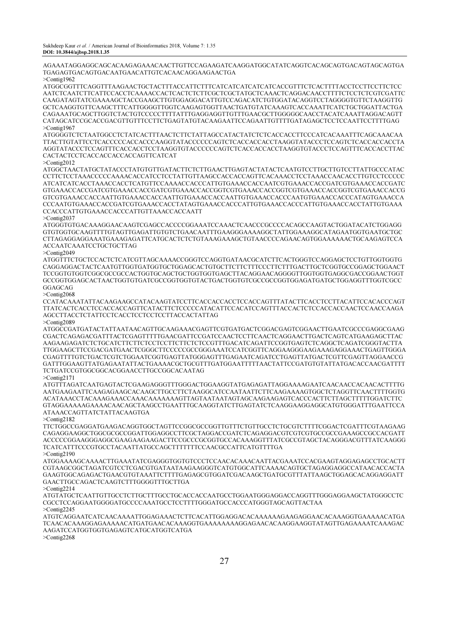AGAAATAGGAGGCAGCACAAGAGAAACAACTTGTTCCAGAAGATCAAGGATGGCATATCAGGTCACAGCAGTGACAGTAGCAGTGA TGAGAGTGACAGTGACAATGAACATTGTCACAACAGGAAGAACTGA

>Contig1962

ATGGCGGTTTCAGGTTTAAGAACTGCTACTTTACCATTCTTTCATCATCATCATCATCACCGTTTCTCACTTTTACCTCCTTCCTTCTCC AATCTCAATCTTCATTCCACCTCAAAACCACTCACTCTCTTCGCTCGCTATGCTCAAACTCAGGACAACCTTTTCTCCTCTCGTCGATTC CAAGATAGTATCGAAAAGCTACCGAAGCTTGTGGAGGACATTGTCCAGACATCTGTGGATACAGGTCCTAGGGGTGTTCTAAGGTTG GCTCAAGGTGTTCAAGCTTTCATTGGGGTTGGTCAAGAGTGGTTAACTGATGTATCAAAGTCACCAAATTCATCTGCTGGATTACTGA CAGAAATGCAGCTTGGTCTACTGTCCCCCTTTTATTTGAGGAGGTTGTTTGAACGCTTGGGGGCAACCTACATCAAATTAGGACAGTT CATAGCATCCGCACCGACGTTGTTTCCTTCTGAGTATGTACAAGAATTCCAGAATTGTTTTGATAGAGCTCCTCCAATTCCTTTTGAG >Contig1967

ATGGGGTCTCTAATGGCCTCTATCACTTTAACTCTTCTATTAGCCATACTATCTCTCACCACCTTCCCATCACAAATTTCAGCAAACAA TTACTTGTATTCCTCACCCCCACCACCCAAGGTATACCCCCCAGTCTCACCACCACCTAAGGTATACCCTCCAGTCTCACCACCACCTA AGGTATACCCTCCAGTTTCACCACCTCCTAAGGTGTACCCCCCAGTCTCACCACCACCTAAGGTGTACCCTCCAGTTTCACCACCTTAC CACTACTCCTCACCACCACCACCAGTTCATCAT

>Contig2012

ATGGCTAACTATGCTATACCCTATGTGTTGATACTTCTCTTGAACTTGAGTACTATACTCAATGTCCTTGCTTGTCCTTATTGCCCATAC CCTTCTCCTAAACCCCCAAAACACCATCCTCCTATTGTTAAGCCACCACCAGTTCACAAACCTCCTAAACCAACACCTTGTCCTCCCCC ATCATCATCACCTAAACCACCTCATGTTCCAAAACCACCCATTGTGAAACCACCAATCGTGAAACCACCGATCGTGAAACCACCGATC GTGAAACCACCGATCGTGAAACCACCGATCGTGAAACCACCGGTCGTGAAACCACCGGTCGTGAAACCACCGGTCGTGAAACCACCG GTCGTGAAACCACCAATTGTGAAACCACCAATTGTGAAACCACCAATTGTGAAACCACCCAATGTGAAACCACCCATAGTGAAACCA CCCAATGTGAAACCACCGATCGTGAAACCACCTATAGTGAAACCACCCATTGTGAAACCACCCATTGTGAAACCACCTATTGTGAAA CCACCCATTGTGAAACCACCCATTGTTAAACCACCAATT

>Contig2037

ATGGGTGTGACAAAGGAACAAGTCGAGCCACCCCGGAAATCCAAACTCAACCCGCCCCACAGCCAAGTACTGGATACATCTGGAGG GTGTGGTGCAAGTTTTGTAGTTGAGATTGTGTCTGAACAATTTGAAGGGAAAAGGCTATTGGAAAGGCATAGAATGGTGAATGCTGC CTTAGAGGAGGAAATGAAAGAGATTCATGCACTCTCTGTAAAGAAAGCTGTAACCCCAGAACAGTGGAAAAAACTGCAAGAGTCCA ACCAATCAAATCCTGCTGCTTAG

>Contig2049

ATGGTTTCTGCTCCACTCTCATCGTTAGCAAAACCGGGTCCAGGTGATAACGCATCTTCACTGGGTCCAGGAGCTCCTGTTGGTGGTG CAGGAGGACTACTCAATGTTGGTGATGGTGCTGGAGCACTGTGCTTCTTCTTTCCCTTCTTTGACTTGCTCGGTGCCGGAGCTGGAACT TCCGGTGTGGTCGGCGCCGCCACTGGTGCAGCTGCTGGTGGTGAGCTTACAGGAACAGGGGTTGGTGGTGAGGCGACCGGAACTGGT GCCGGTGGAGCACTAACTGGTGTGATCGCCGGTGGTGTACTGACTGGTGTCGCCGCCGGTGGAGATGATGCTGGAGGTTTGGTCGCC GGAGCAG

>Contig2068

CCATACAAATATTACAAGAAGCCATACAAGTATCCTTCACCACCACCTCCACCAGTTTATACTTCACCTCCTTACATTCCACACCCAGT TTATCACTCACCTCCACCACCAGTTCATACTTCTCCCCCATACATTCCACATCCAGTTTACCACTCTCCACCACCAACTCCAACCAAGA AGCCTTACCTCTATTCCTCACCTCCTCCTCCTTACCACTATTAG

>Contig2089

ATGGCCGATGATACTATTAATAACAGTTGCAAGAAACGAGTTCGTGATGACTCGGACGAGTCGGAACTTGAATCGCCCGAGGCGAAG CGACTCAGAGACGATTTACTCGAGTTTTTGAACGATTCCGATCCAACTCCTTCAACTCAGGAACTTGACTCAGTCATGAAGAGCTTAC AAGAAGAGATCTCTGCATCTTCTTCTCCTCCTTCTTCTCTCCGTTTGACATCAGATTCCGGTGAGTCTCAGGCTCAGATCGGGTACTTA TTGGAAGCTTCCGACGATGAACTCGGGCTTCCCCCGCCGGGAAATCCATCGGTTCAGGAAGGGAAGAAAGAGGAAACTGAGTTGGGA CGAGTTTTGTCTGACTCGTCTGGAATCGGTGAGTTATGGGAGTTTGAGAATCAGATCCTGAGTTATGACTCGTTCGAGTTAGGAACCG GATTTGGAAGTTATGAGAATATTACTGAAAACGCTGCGTTTGATGGAATTTTTAACTATTCCGATGTGTATTATGACACCAACGATTTT TCTGATCCGTGGCGGCACGGAACCTTGCCGGCACAATAG

 $>Conti\sigma$ <sup>2</sup>171

ATGTTTAGATCAATGAGTACTCGAAGAGGGTTTGGGACTGGAAGGTATGAGAGATTAGGAAAAGAATCAACAACCACAACACTTTTG AATGAAGAATTCAAGAGAAGCACAAGCTTGCCTTCTAAGGCATCCAATAATTCTTCAAGAAAAGTGGCTCTAGGTTCAACTTTTGGTG ACATAAACCTACAAAGAAACCAAACAAAAAAAGTTAGTAATAATAGTAGCAAGAAGAGTCACCCACTTCTTAGCTTTTTGGATCTTC GTAGGAAAAAGAAAACAACAGCTAAGCCTGAATTTGCAAGGTATCTTGAGTATCTCAAGGAAGGAGGCATGTGGGATTTGAATTCCA ATAAACCAGTTATCTATTACAAGTGA

>Contig2182

TTCTGGCCGAGGATGAAGACAGGTGGCTAGTTCCGGCGCCGGTTGTTTCTGTTGCCTCTGCGTCTTTTCGGACTCGATTTCGTAAGAAG CAGAGGAAGGCTGGCGCGCCGGATTGGAGGCCTTCGCTAGGACCGATCTCAGAGGACGTCGTCGTGCCGCCGAAAGCCGCCACGATT ACCCCCGGAAGGGAGGCGAAGAAGAAGACTTCCGCCCGCGGTGCCACAAAGGTTTATCGCCGTAGCTACAGGGACGTTTATCAAGGG TCATCATTTCCCGTGCCTACAATTATGCCAGCTTTTTTTCCAACGCCATTCATGTTTTGA >Contig2190

ATGGAAAAGCAAAACTTGAAATATCGAGGGTGGTGTCCCTCCAACACAAACAATTACGAAATCCACGAAGTAGGAGAGCCTGCACTT CGTAAGCGGCTAGATCGTCCTCGACGTGATAATAAGAAGGGTCATGTGGCATTCAAAACAGTGCTAGAGGAGGCCATAACACCACTA GAAGTGGCAGAGACTGAACGTGTAAATTCTTTTGAGAGCGTGGATCGACAAGCTGATGCGTTTATTAAGCTGGAGCACAGGAGGATT GAACTTGCCAGACTCAAGTCTTTGGGGTTTGCTTGA

>Contig2214

ATGTATGCTCAATTGTTGCCTCTTGCTTTGCCTGCACCACCAATGCCTGGAATGGGAGGACCAGGTTTGGGAGGAAGCTATGGGCCTC CGCCTCCAGGAATGGGGATGCCCCAAATGCCTCCTTTTGGGATGCCACCCATGGGTAGCAGTTACTAA

>Contig2245

ATGTCAGGAATCATCAACAAAATTGGAGAAACTCTTCACATTGGAGGACACAAAAAAGAAGAGGAACACAAAGGTGAAAAACATGA TCAACACAAAGGAGAAAAACATGATGAACACAAAGGTGAAAAAAAAGGAGAACACAAGGAAGGTATAGTTGAGAAAATCAAAGAC AAGATCCATGGTGGTGAGAGTCATGCATGGTCATGA

>Contig2268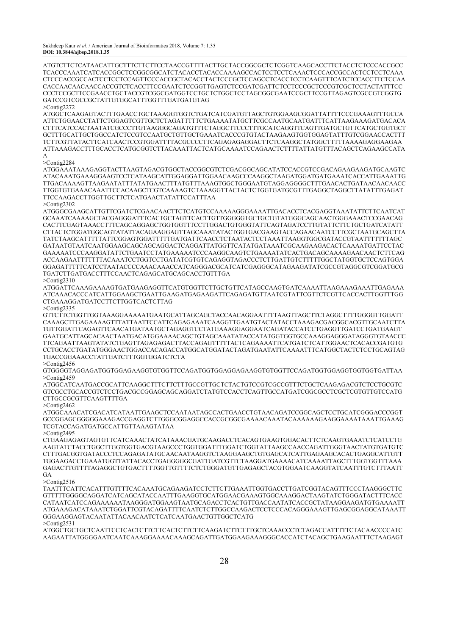ATGTCTTCTCATAACATTGCTTTCTTCTTCCTAACCGTTTTACTTGCTACCGGCGCTCTCGGTCAAGCACCTTCTACCTCTCCCACCGCC TCACCCAAATCATCACCGGCTCCGGCGGCATCTACACCTACACCAAAAGCCACTCCTCCTCAAACTCCCACCGCCACTCCTCCTCAAA CTCCCACCGCCACTCCTCCTCCAGTTCCCACCGCTACACCTACTCCCGCTCCAGCCTCACCTCCTCAAGTTTCATCTCCACCTTCTCCAA CACCAACAACAACCACCGTCTCACCTTCCGAATCTCCGGTTGAGTCTCCGATCGATTCTCCTCCCGCTCCCGTCGCTCCTACTATTTCC CCCTCCGCTTCCGAACCTGCTACCGTCGGCGATGGTCCTGCTCTGGCTCCTAGCGGCGAATCCGCTTCCGTTAGAGTCGCCGTCGGTG GATCCGTCGCCGCTATTGTGGCATTTGGTTTGATGATGTAG >Contig2272

ATGGCTCAAGAGTACTTTGAACCTGCTAAAGGTGGTCTGATCATCGATGTTAGCTGTGGAAGCGGATTATTTTCCCGAAAGTTTGCCA ATTCTGGAACCTATTCTGGAGTCGTTGCTCTAGATTTTTCTGAAAATATGCTTCGCCAATGCAATGATTTCATTAAGAAAGATGACACA CTTTCATCCACTAATATCGCCCTTGTAAGGGCAGATGTTTCTAGGCTTCCCTTTGCATCAGGTTCAGTTGATGCTGTTCATGCTGGTGCT GCTTTGCATTGCTGGCCATCTCCGTCCAATGCTGTTGCTGAAATCACCCGTGTACTAAGAAGTGGTGGAGTATTTGTCGGAACCACTTT TCTTCGTTATACTTCATCAACTCCGTGGATTTTACGCCCCTTCAGAGAGAGGACTTCTCAAGGCTATGGCTTTTTAAAAGAGGAAGAA ATTAAAGACCTTTGCACCTCATGCGGTCTTACAAATTACTCATGCAAAATCCAGAACTCTTTTATTATGTTTACAGCTCAGAAGCCATA A

#### >Contig2284

ATGGAAATAAAGAGGTACTTAAGTAGACGTGGCTACCGGCGTCTCGACGGCAGCATATCCACCGTCCGACAGAAGAAGATGCAAGTC ATACAAATGAAAGGAAGTCCTCATAAGCATTGGAGGATTGGAACAAGCCCAAGGCTAAGATGGATGATGAAATCACCATTGAAATTG TTGACAAAAGTTAAGAATATTTATATGAACTTTATGTTTAAAGTGGCTGGGAATGTAGGAGGGGCTTTGAACACTGATAACAACAACC TTGGTGTGAAACAAATTCCACAAGCTCGTCAAAAGTCTAAAGGTTACTACTCTGGTGATGCGTTTGAGGCTAGGCTTATATTTGAGAT TTCCAAGACCTTGGTTGCTTCTCATGAACTATATTCCATTTAA  $>Conti\sigma$  2302

ATGGGCGAAGCATTGTTCGATCTCGAACAACTTCTCATGTCCAAAAAGGGAAAATTGACACCTCACGAGGTAAATATTCTTCAATCAT GCAAATCAAAAGCTACGAGGGATTTCACTGCTAGTTCACTTGTTGGGGGTGCTGCTGTATGGGCAGCAACTGGGAAACTCCGAACAG CACTTCGAGTAAACCTTTCAGCAGGAGCTGGTGGTTTCCTTGGACTGTGGGTATTCAGTAGATCCTTGTATTCTTCTGCTGATCATATT CTTACTCTGGATGGCAGTATATTACAGAAGGAGTTAGCAAATATACTGGTGACGAAGTACCAGAACAATCCTTCGCTAATGCAGCTTA TATCTAAGCATTTTTATTCGGAGTGGATTTTTGATGATTCAACCTCTAATACTCCTAAATTAAGGTGGCGATACCGTAATTTTTTTAGC GATAATGTAATCAATGGAAGCAGCAGCAGGACTCAGGATTATGGTTCATATGATAAATCGCAAGAAGACACTCAAAATGATTCCTAC GAAAAATCCCAAGGATATTCTGAATCCTATGAAAAATCCCAAGGCAAGTCTGAAAATATCACTGACAGCAAAAGAACAACTCTTCAG ACCAAGAATTTTTTTACAAATCCTGGTCCTGATATCGTGTCAGAGGTAGACCCTCTTGATTGTCTTTTTGGCTATGGTGCTCCAGTGGA GGAGATTTTTCATCCTAATACCCCAAACAAACCATCAGGGACGCATCATCGAGGGCATAGAAGATATCGCCGTAGGCGTCGGATGCG TGATCTTGATGACCTTTCCAACTCAGAGCATGCAGCACCTGTTTGA >Contig2310

ATGGATTCAAAGAAAAGTGATGAAGAGGTTCATGTGGTTCTTGCTGTTCATAGCCAAGTGATCAAAATTAAGAAAGAAATTGAGAAA ATCAAACACCCATCATTGGAAGCTGAATTGAAGATGAGAAGATTCAGAGATGTTAATCGTATTCGTTCTCGTTCACCACTTGGTTTGG CTGAAAGGATGATCCTTCTTGGTCACTCTTAG

>Contig2335

GTTCTTCTGGTTGGTAAAGGAAAAATGAATGCATTAGCAGCTACCAACAGGAATTTTAAGTTAGCTTCTAGGCTTTTGGGGTTGGATT CAAAGCTTGAGAAAAGTTTATTAATTCCATTCAGAGAAATCAAGGTTGAATGTACTATACCTAAAGACGACGGCACGTTGCAATCTTA TGTTGGATTCAGAGTTCAACATGATAATGCTAGAGGTCCTATGAAAGGAGGAATCAGATACCATCCTGAGGTTGATCCTGATGAAGT GAATGCATTAGCACAACTAATGACATGGAAAACAGCTGTAGCAAATATACCATATGGTGGTGCCAAAGGAGGGATAGGGTGTAACCC TTCAGAATTAAGTATATCTGAGTTAGAGAGACTTACCAGAGTTTTTACTCAGAAAATTCATGATCTCATTGGAACTCACACCGATGTG CCTGCACCTGATATGGGAACTGGACCACAGACCATGGCATGGATACTAGATGAATATTCAAAATTTCATGGCTACTCTCCTGCAGTAG TGACCGGAAACCTATTGATCTTTGGTGGATCTCTA

>Contig2456

GTGGGGTAGGAGATGGTGGAGAAGGTGTGGTTCCAGATGGTGGAGGAGAAGGTGTGGTTCCAGATGGTGGAGGTGGTGGTGATTAA >Contig2459

ATGGCATCAATGACCGCATTCAAGGCTTTCTTCTTTGCCGTTGCTCTACTGTCCGTCGCCGTTTCTGCTCAAGAGACGTCTCCTGCGTC GTCGCCTGCACCGTCTCCTGACGCCGGAGCAGCAGGATCTATGTCCACCTCAGTTGCCATGATCGGCGCCTCGCTCGTGTTGTCCATG CTTGCCGCGTTCAAGTTTTGA

>Contig2462

ATGGCAAACATCGACATCATAATTGAAGCTCCAATAATAGCCACTGAACCTGTAACAGATCCGGCAGCTCCTGCATCGGGACCCGGT GCCGGAGCGGGGGAAAGACCGAGGTCTTGGGCGGAGGCCACCGCGGCGAAAACAAATACAAAAAAGAAGGAAAATAAATTGAAAG TCGTACCAGATGATGCCATTGTTAAAGTATAA

>Contig2495

CTGAAGAGAGTAGTGTTCATCAAACTATCATAAACGATGCAAGACCTCACAGTGAAGTGGACACTTCTCAAGTGAAATCTCATCCTG AAGTATCTACCTGGCTTGGTGGTGACGTAAGCCCTGGTGGATTTGGATCTGGTATTAAGCCAACCAGATTGGGTAACTATGTGATGTC CTTTGACGGTGATACCCTCCAGAGATATGCAACAATAAGGTCTAAGGAAGCTGTGAGCATCATTGAGAAGCACACTGAGGCATTGTT TGGAAGACCTGAAATGGTTATTACACCTGAGGGGGCGATTGATCGTTCTAAGGATGAAAACATCAAAATTAGCTTTGGTGGTTTAAA GAGACTTGTTTTAGAGGCTGTGACTTTTGGTTGTTTTCTCTGGGATGTTGAGAGCTACGTGGAATCAAGGTATCAATTTGTCTTTAATT GA

>Contig2516

TAATTTCATTCACATTTGTTTTCACAAATGCAGAAGATCCTCTTCTTGAAATTGGTGACCTTGATCGGTACAGTTTCCCTAAGGGCTTC GTTTTTGGGGCAGGATCATCAGCATACCAATTTGAAGGTGCATGGAACGAAAGTGGCAAAGGACTAAGTATCTGGGATACTTTCACC CATAATCATCCAGAAAAAATAAGGGATGGAAGTAATGCAGACCTCACTGTTGACCAATATCACCGCTATAAGGAAGATGTGAAAATT ATGAAAGACATAAATCTGGATTCGTACAGATTTTCAATCTCTTGGCCAAGACTCCTCCCACAGGGAAAGTTGAGCGGAGGCATAAATT GGGAAGGAGTACAATATTACAACAATCTCATCAATGAACTGTTGGCTCATG >Contig2531

ATGGCTGCTGCTCAATTCCTCACTCTTCTTCACTCTTCTTCAAGATCTTCTTTGCTCAAACCCTCTAGACCATTTTTCTACAACCCCATC AAGAATTATGGGGAATCAATCAAAGGAAAACAAAGCAGATTGATGGAAGAAAGGGCACCATCTACAGCTGAAGAATTTCTAAGAGT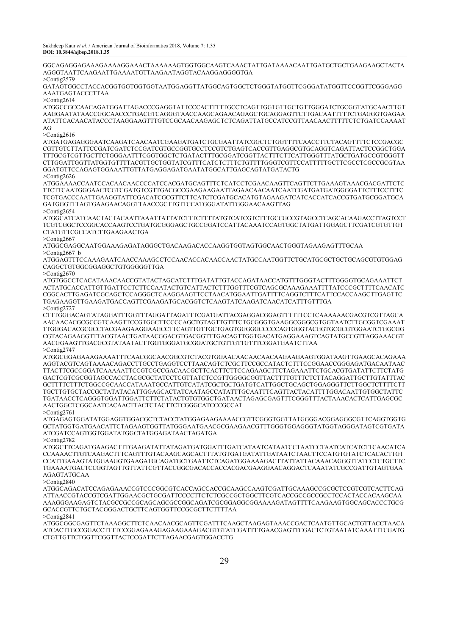GGCAGAGGAGAAAGAAAAGGAAACTAAAAAAGTGGTGGCAAGTCAAACTATTGATAAAACAATTGATGCTGCTGAAGAAGCTACTA AGGGTAATTCAAGAATTGAAAATGTTAAGAATAGGTACAAGGAGGGGTGA

>Contig2579

GATAGTGGCCTACCACGGTGGTGGTGGTAATGGAGGTTATGGCAGTGGCTCTGGGTATGGTTCGGGATATGGTTCCGGTTCGGGAGG AAATGAGTACCCTTAA

 $>$ Contig $2614$ 

ATGGCCGCCAACAGATGGATTAGACCCGAGGTATTCCCACTTTTTGCCTCAGTTGGTGTTGCTGTTGGGATCTGCGGTATGCAACTTGT AAGGAATATAACCGGCAACCCTGACGTCAGGGTAACCAAGCAGAACAGAGCTGCAGGAGTTCTTGACAATTTTTCTGAGGGTGAGAA ATATTCACAACATACCCTAAGGAAGTTTGTCCGCAACAAGAGCTCTCAGATTATGCCATCCGTTAACAACTTTTTCTCTGATCCAAAAT AG

>Contig2616

ATGATGAGAGGGAATCAAGATCAACAATCGAAGATGATCTGCGAATTATCGGCTCTGGTTTTCAACCTTCTACAGTTTTCTCCGACGC CGTTGTCTTATTCCGATCGATCTCCGATCGTGCCGGTGCCTCCGTCTGAGTCACCGTTGAGGCGTGCAGGTCAGATTACTCCGGCTGGA TTTGCGTCGTTGCTTCTGGGAATTTCGGTGGCTCTGATACTTTGCGGATCGGTTACTTTCTTCATTGGGTTTATGCTGATGCCGTGGGTT CTTGGATTGGTTATGGTGTTTTACGTTGCTGGTATCGTTTCATCTCTTTCTGTTTTGGGTCGTTCCATTTTTGCTTCGCCTCGCCGCGTAA GGATGTTCCAGAGTGGAAATTGTTATGAGGAGATGAATATGGCATTGAGCAGTATGATACTG >Contig2626

ATGGAAAACCAATCCACAACAACCCCATCCACGATGCAGTTTCTCATCCTCGAACAAGTTCAGTTCTTGAAAGTAAACGACGATTCTC TTCTTCAATGGGAACTCGTCGATGTCGTTGACGCCGAAGAAGAATTAGAACAACAATCAATCGATGATGATGGGGATTCTTTCCTTTC TCGTGACCCAATTGAAGGTATTCGACATCGCGTTCTTCATCTCGATGCACATGTAGAAGATCATCACCATCACCGTGATGCGGATGCA GATGGGTTTAGTGAAGAACAGGTTAACCGCTTGTTCCATGGGATATTGGGAACAAGTTAG >Contig2654

ATGGCATCATCAACTACTACAATTAAATTATTATCTTTCTTTTATGTCATCGTCTTTGCCGCCGTAGCCTCAGCACAAGACCTTAGTCCT TCGTCGGCTCCGGCACCAAGTCCTGATGCGGGAGCTGCCGGATCCATTACAAATCCAGTGGCTATGATTGGAGCTTCGATCGTGTTGT CTATGTTCGCCATCTTGAAGAACTGA

>Contig2667

ATGGCGAGGCAATGGAAAGAGATAGGGCTGACAAGACACCAAGGTGGTAGTGGCAACTGGGTAGAAGAGTTTGCAA >Contig2667\_b

ATGGAGTTTCCAAAGAATCAACCAAAGCCTCCAACACCACAACCAACTATGCCAATGGTTCTGCATGCGCTGCTGCAGCGTGTGGAG CAGGCTGTGGCGGAGGCTGTGGGGGTTGA

 $>Conti\sigma$ 2670

ATGTGGCCTCACATAAACAACCGTATACTAGCATCTTTGATATTGTACCAGATAACCATGTTTGGGTACTTTGGGGTGCAGAAATTCT ACTATGCACCATTGTTGATTCCTCTTCCAATACTGTCATTACTCTTTGGTTTCGTCAGCGCAAAGAAATTTTATCCCGCTTTTCAACATC CGGCACTTGAGATCGCAGCTCCAGGGCTCAAGGAAGTTCCTAACATGGAATTGATTTTCAGGTCTTTCATTCCACCAAGCTTGAGTTC TGAGAAGGTTGAAGATGACCAGTTCGAAGATGCACGGTCTCAAGTATCAAGATCAACATCATTTGTTTGA >Contig2727

CTTTGGGACAGTATAGGATTTGGTTTAGGATTAGATTTCGATGATTACGAGGACGGAGTTTTTTCCTCAAAAAACGACGTCGTTAGCA AACAACACGCGCCGTCAAGTTCCGTGGCTTCCCCAGCTGTAGTTGTTTCTGCGGGTGAAGGCGGGCGTGGTAATCTTGCGGTCGAAAT TTGGGACACGCGCCTACGAAGAAGGAAGCCTTCAGTTGTTGCTGAGTGGGGGCCCCCAGTGGGTACGGTGCGCGTGGAATCTGGCGG CGTACAGAAGGTTTACGTAACTGATAACGGACGTGACGGTTTGACAGTTGGTGACATGAGGAAAGTCAGTATGCCGTTAGGAAACGT AACGGAAGTTGACGCGTATAATACTTGGTGGGATGCGGATGCTGTTGTTGTTTCGGATGAATCTTAA >Contig2747

ATGGCGGAGAAAGAAAATTTCAACGGCAACGGCGTCTACGTGGAACAACAACAACAAGAAGAAGTGGATAAGTTGAAGCACAGAAA AGGTACGTCAGTAAAACAGACCTTGCCTGAGGTCCTTAACAGTCTCGCTTCCGCCATACTCTTTCCGGAACCGGGAGATGACAATAAC TTACTTCGCCGGATCAAAAATTCCGTCGCCGACAACGCTTCACTTCTTCCAGAAGCTTCTAGAAATTCTGCACGTGATATTCTTCTATG GACTCGTCGCGGTAGCCACCTACGCGCTATCCTCGTTATCTCCGTTGGGGCGGTTACTTTTGTTTCTCTTACAGGATTGCTTGTATTTAC GCTTTTCTTTCTGGCCGCAACCATAAATGCCATTGTCATATCGCTGCTGATGTCATTGGCTGCAGCTGGAGGGTTCTTGGCTCTTTTCTT TGCTTGTGCTACCGCTATATACATTGGAGCACTATCAATAGCCATATTTGCAATTTCAGTTACTACATTTTGGACAATTGTGGCTATTC TGATAACCTCAGGGTGGATTGGATTCTTCTATACTGTGTGGCTGATAACTAGAGCGAGTTTCGGGTTTACTAAACACTCATTGAGCGC AACTGGCTCGGCAATCACAACTTACTCTACTTCTCGGGCATCCCGCCAT >Contig2761

ATGAGAGTGGATATGGAGGTGGACGCTCTACCTATGGAGAAGAAAACCGTTCGGGTGGTTATGGGGACGGAGGGCGTTCAGGTGGTG GCTATGGTGATGAACATTCTAGAAGTGGTTATGGGAATGAACGCGAAGAACGTTTGGGTGGAGGGTATGGTAGGGATAGTCGTGATA ATCGATCCAGTGGTGGATATGGCTATGGAGATAACTAGATGA >Contig2782

ATGGCTTCAGATGAAGACTTTGAAGATATTATAGATGATGGATTTGATCATAATCATAATCCTAATCCTAATCATCATCTTCAACATCA CCAAAACTTGTCAAGACTTTCAGTTTGTACAAGCAGCACTTTATGTGATGATATTGATAATCTAACTTCCATGTGTATCTCACACTTGT CCATTGAAAGTATGGAAGGTGAAGATGCAGATGCTGAATTCTCAGATGGAAAAGACTTATTATTACAAACAGGGTTATCCTCTGCTTC TGAAAATGACTCCGGTAGTTGTTATTCGTTACCGGCGACACCACCACGACGAAGGAACAGGACTCAAATATCGCCGATTGTAGTGAA AGAGTATGCAA

>Contig2840

ATGGCAGACATCCAGAGAAACCGTCCCGGCGTCACCAGCCACCGCAAGCCAAGTCGATTGCAAAGCCGCGCTCCGTCGTCACTTCAG ATTAACCGTACCGTCGATTGGAACGCTGCGATTCCCCTTCTCTCGCCGCTGGCTTCGTCACCGCCGCCGCCTCCACTACCACAAGCAA AAAGGGAAGAGTCTACGCCGCCGCAGCAGCGCCGGCAGATCGCGGAGGCGGAAAAGATAGTTTTCAAGAAGTGGCAGCACCCTGCG GCACCGTTCTGCTACGGGACTGCTTCAGTGGTTCCGCGCTTCTTTTAA >Contig2841

ATGGCGGCGAGTTCTAAAGGCTTCTCAACAACGCAGTTCGATTTCAAGCTAAGAGTAAACCGACTCAATGTTGCACTGTTACCTAACA ATCACTTGCCGGACCTTTTCCGGAGAAAGAGAAGAAAGACGTGTATCGATTTTGAACGAGTTCGACTCTGTAATATCAAATTTCGATG CTGTTGTTCTGGTTCGGTTACTCCGATTCTTAGAACGAGTGGACCTG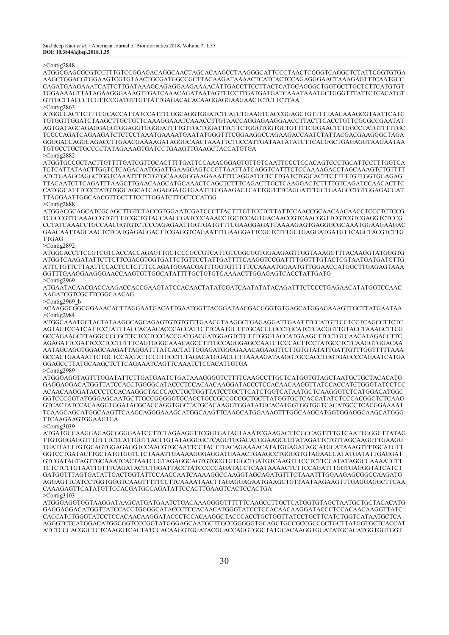#### >Contig2848

ATGGCGAGCGCGTCCTTTGTCCGGAGACAGGCAACTAGCACAAGCCTAAGGGCATTCCCTAACTCGGGTCAGGCTCTATTCGGTGTGA AAGCTGGACGTGGAAGTCGTGTAACTGCGATGGCCGCTTACAAGATAAAACTCATCACTCCAGAGGGAACTAAAGAGTTTCAATGCC CAGATGAAGAAATCATTCTTGATAAAGCAGAGGAAGAAAACATTGACCTTCCTTACTCATGCAGGGCTGGTGCTTGCTCTTCATGTGT TGGAAAAGTTATAGAAGGGAAAGTTGATCAAACAGATAATAGTTTCCTTGATGATGATCAAATAAATGCTGGGTTTATTCTCACATGT GTTGCTTACCCTCGTTCCGATGTTGTTATTGAGACACACAAGGAGGAAGAACTCTCTTCTTAA >Contig2863

ATGGCCACTTCTTTCGCACCATTATCCATTTCGGCAGGTGGATCTCATCTGAAGTCACCGGAGCTGTTTTTAACAAAGCGTAATTCATC TGTGGTTGGATCTAAGCTTGCTGTTCAAAGGAAATCAAACCTTGTAACCAGGAGAAGGAACCTTACTTCACCTGTTCGCGCCGAATAT AGTGATAGCAGAGGAGGTGGAGGTGGGGATTTTGTTGCTGGATTTCTTCTGGGTGGTGCTGTTTTCGGAACTCTGGCCTATGTTTTTGC TCCCCAGATCAGAAGATCTCTCCTAAATGAAAATGAATATGGGTTTCGGAAGGCCAGAAGACCAATCTATTACGACGAAGGGCTAGA GGGGACCAGGCAGACCTTGAACGAAAAGATAGGGCAACTAAATTCTGCCATTGATAATATATCTTCACGGCTGAGAGGTAAGAATAA TGTGCCTGCTGCCCCTATAGAAAGTGATCCTGAAGTTGAAGCTACCATGTGA

 $>Conti\sigma$ 282

ATGGTGCCGCTACTTGTTTTGATCGTTGCACTTTTGATTCCAAACGGAGTGTTGTCAATTCCCTCCACAGTCCCTGCATTCCTTTGGTCA TCTCATTATAACTTGGTCTCAGACAATGGATTGAAGGAGTCCGTTAATTATCAGGTCATTTCTCCAAAAGACCTAGCAAAGTCTGTTTT ATCTGAAGCAGGCTGGTCAAATTTTCTGTGCAAAGGGAAGAAATTTCAGGATCCTCTTGATCTGGCACTTCTTTTTGTTGGTGGAGAG TTACAATCTTCAGATTTAAGCTTGAACAAGCATGCAAACTCAGCTCTTTCAGACTTGCTCAAGGACTCTTTTGTCAGATCCAACACTTC CATGGCATTTCCCTATGTGGCAGCATCAGAGGATGTGAATTTGGAAGACTCATTGGTTTCAGGATTTGCTGAAGCCTGTGGAGACGAT TTAGGAATTGGCAACGTTGCTTTCCTTGGATCTTGCTCCATGG

>Contig2888

ATGGACGCAGCATCGCAGCTTGTCTACCGTGGAATCGATCCCTTACTTTGTTCCTCTTATTCCAACCGCAACAACAACCTCCCTCTCCG TCGCCGTTCAAACCGTGTTTTCGCTGTAGCAACCGATCCCAAACCTGCTCCAGTGACAACCGTCAACGGTTCGTCGTCGAGGTCTCCG CCTATCAAACCTGCCAACGGTGTCTCCCAGAGAATTGGTGATGTTTCGAAGGAGATTAAAAGAGTGAGGGCGCAAATGGAAGAAGAC GAACAATTAGCAACTCTCATGAGAGGACTTCGAGGTCAGAATTTGAAGGATTCGCTCTTTGCTGAGGATGATGTTCAGCTACGTCTTG TTGAG

>Contig2892

ATGGCACCTTCCGTCGTCACCACCAGAGTTGCTCCCGCCGTCATTGTCGGCGGTGGAAGAGTTGGTAAAGCTTTACAAGGTATGGGTG ATGGTCAAGATATTCTTCTTCGACGTGGTGATTCTGTTCCTATTGATTTTCAAGGTCCGATTTTGGTTTGTACTCGTAATGATGATCTTG ATTCTGTTCTTAATTCCACTCCTCTTTCCAGATGGAACGATTTGGTGTTTTTCCAAAATGGAATGTTGGAACCATGGCTTGAGAGTAAA GGTTTGAAGGAAGGGAACCAAGTGTTGGCATATTTTGCTGTGTCAAAACTTGGAGAGTCACCTATTGATG >Contig2969

ATGAATACAACGACCAAGACCACCGAAGTATCCACAACTATATCGATCAATATATACAGATTTCTCCCTGAGAACATATGGTCCAAC AAGATCGTCGCTTCGGCAACAG

>Contig2969\_b

ACAAGGCGGCGGAAACACTTAGGAATGACATTGAATGGTTACGGATAACGACGGGTGTGAGCATGGAGAAAGTTGCTTATGAATAA >Contig2984

ATGGCAAATGCTACTATAAGGCAGCAGAGTGTGTGTTTGAACGTAAGGCTGAGAGGATTGAATTTCCATGTTCCTCCTCAGCCTTCTC AGTACTCCATCATTCCTATTTACCACAACACCCACCATTCTTCAATGCTTTGCACCCGCCTGCATCTCACGGTTGTACCTAAAGCTTCG GCCAGAAGCTTAGGCCCCGCTTCTCCTCCCACCGATGACGATGGAGTCTCTTTGGGTACCATGAAGCTTCCTGTCAACATAGACCTTC AGAGATTCGATTCCCTCCTGTTTCAGTGGGCAAACAGCCTTTGCCAGGGAGCCAATCTCCCACTTCCTATGCCTCTCAAGGTGGACAA AATAGCAGGTGGAGCAAGATTAGGATTTATCACTATTGGAGATGGGGAAACAGAAGTTCTTGTGTATATTGATTGTTTGGTTTTTAAA GCCACTGAAAATTCTGCTCCAATATTCCGTGCCTCTAGACATGGACCCTTAAAAGATAAGGTGCCACCTGGTGAGCCCAGAATCATGA GGAGCCTTATGCAAGCTCTTCAGAAATCAGTTCAAATCTCCACATTGTGA >Contig2989

ATGGGAGGTAGTTTGGATATTCTTGATGAATCTGATAAAGGGGTCTTTTCAAGCCTTGCTCATGGTGTAGCTAATGCTGCTACACATG GAGGAGGACATGGTTATCCACCTGGGGCATACCCTCCACAACAAGGATACCCTCCACAACAAGGTTATCCACCATCTGGGTATCCTCC ACAACAAGGATACCCTCCACAAGGCTACCCACCTGCTGGTTATCCTGCTTCATCTGGTCATAATGCTCAAGGGTCTCATGGACATGGC GGTCCCGGTATGGGAGCAATGCTTGCCGGGGGTGCAGCTGCCGCCGCCGCTGCTTATGGTGCTCACCATATCTCCCACGGCTCTCAAG GTCACTATCCACAAGGTGGATACGCACCAGGTGGCTATGCACAAGGTGGATATGCACATGGTGGTGGTCACATGCCTCACGGAAAAT TCAAGCAGCATGGCAAGTTCAAGCAGGGAAAGCATGGCAAGTTCAAGCATGGAAAGTTTGGCAAGCATGGTGGAGGCAAGCATGGG TTCAAGAAGTGGAAGTGA

>Contig3039

ATGATGCCAAGGAGAGCGGGGAATCCTTCTAGAAGGTTCGGTGATAGTAAATCGAAGACTTCGCCAGTTTTGTCAATTGGGCTTATAG TTGTGGGAGGTTTGTTTCTCATTGGTTACTTGTATAGGGGCTCAGGTGGACATGGAAGCCGTATAGATTCTGTTAGCAAGGTTGAAGG TGATTATTTGTGCAGTGGAGAGGTCCAACGTGCAATTCCTACTTTACAGAAAACATATGGAGATAGCATGCATAAAGTTTTGCATGTT GGTCCTGATACTTGCTATGTGGTCTCTAAATTGAAAAGGGAGGATGAAACTGAAGCCTGGGGTGTAGAACCATATGATATTGAGGAT GTCGATAGTAGTTGCAAATCACTAATCCGTAGAGGCAGTGTGCGTGTGGCTGATGTCAAGTTTCCTCTTCCATATAGGCCAAAATCTT TCTCTCTTGTAATTGTTTCAGATACTCTGGATTACCTATCCCCCAGATACCTCAATAAAACTCTTCCAGATTTGGTGAGGGTATCATCT GATGGTTTAGTGATATTCACTGGTATTCCAACCAATCAAAAGGCCAAGGTAGCAGATGTTTCTAAATTTGGAAGAGCGGCCAAGATG AGGAGTTCATCCTGGTGGGTCAAGTTTTTCCTTCAAAATAACTTAGAGGAGAATGAAGCTGTTAATAAGAAGTTTGAGGAGGCTTCAA CAAAGAGTTCATATGTTCCACGATGCCAGATATTCCACTTGAAGTCACTCCACTGA >Contig3103

ATGGGAGGTGGTAAGGATAAGCATGATGAATCTGACAAAGGGGTTTTTTCAAGCCTTGCTCATGGTGTAGCTAATGCTGCTACACATG GAGGAGGACATGGTTATCCACCTGGGGCATACCCTCCACAACATGGGTATCCTCCACAACAAGGATACCCTCCACAACAAGGTTATC CACCATCTGGGTATCCTCCACAACAAGGATACCCTCCACAAGGCTACCCACCTGCTGGTTATCCTGCTTCATCTGGTCATAATGCTCA AGGGTCTCATGGACATGGCGGTCCCGGTATGGGAGCAATGCTTGCCGGGGGTGCAGCTGCCGCCGCCGCTGCTTATGGTGCTCACCAT ATCTCCCACGGCTCTCAAGGTCACTATCCACAAGGTGGATACGCACCAGGTGGCTATGCACAAGGTGGATATGCACATGGTGGTGGT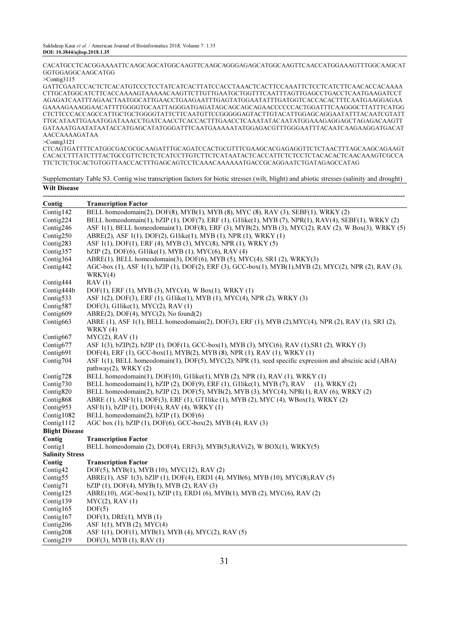CACATGCCTCACGGAAAATTCAAGCAGCATGGCAAGTTCAAGCAGGGAGAGCATGGCAAGTTCAACCATGGAAAGTTTGGCAAGCAT GGTGGAGGCAAGCATGG

>Contig3115

GATTCGAATCCACTCTCACATGTCCCTCCTATCATCACTTATCCACCTAAACTCACTTCCAAATTCTCCTCATCTTCAACACCACAAAA CTTGCATGGCATCTTCACCAAAAGTAAAAACAAGTTCTTGTTGAATGCTGGTTTCAATTTAGTTGAGCCTGACCTCAATGAAGATCCT AGAGATCAATTTAGAACTAATGGCATTGAACCTGAAGAATTTGAGTATGGAATATTTGATGGTCACCACACTTTCAATGAAGGAGAA GAAAAGAAAGGAACATTTTGGGGTGCAATTAGGGATGAGATAGCAGCAGCAGAACCCCCCACTGGATTTCAAGGGCTTATTTCATGG CTCTTCCCACCAGCCATTGCTGCTGGGGTATTCTTCAATGTTCCGGGGGAGTACTTGTACATTGGAGCAGGAATATTTACAATCGTATT TTGCATAATTGAAATGGATAAACCTGATCAACCTCACCACTTTGAACCTCAAATATACAATATGGAAAGAGGAGCTAGAGACAAGTT GATAAATGAATATAATACCATGAGCATATGGGATTTCAATGAAAAATATGGAGACGTTTGGGAATTTACAATCAAGAAGGATGACAT AACCAAAAGATAA

>Contig3121

CTCAGTGATTTTCATGGCGACGCGCAAGATTTGCAGATCCACTGCGTTTCGAAGCACGAGAGGTTCTCTAACTTTAGCAAGCAGAAGT CACACCTTTATCTTTACTGCCGTTCTCTCTCATCCTTGTCTTCTCATAATACTCACCATTCTCTCCTCTACACACTCAACAAAGTCGCCA TTCTCTCTGCACTGTGGTTAACCACTTTGAGCAGTCCTCAAACAAAAAATGACCGCAGGAATCTGATAGAGCCATAG

Supplementary Table S3. Contig wise transcription factors for biotic stresses (wilt, blight) and abiotic stresses (salinity and drought) Wilt Disease

| Contig                 | <b>Transcription Factor</b>                                                                                                            |
|------------------------|----------------------------------------------------------------------------------------------------------------------------------------|
| Contig142              | BELL homeodomain(2), DOF(8), MYB(1), MYB (8), MYC (8), RAV (3), SEBF(1), WRKY (2)                                                      |
| Contig224              | BELL homeodomain(1), bZIP (1), DOF(7), ERF (1), G1like(1), MYB (7), NPR(1), RAV(4), SEBF(1), WRKY (2)                                  |
| Contig246              | ASF 1(1), BELL homeodomain(1), DOF(8), ERF (3), MYB(2), MYB (3), MYC(2), RAV (2), W Box(3), WRKY (5)                                   |
| Contig250              | ABRE(2), ASF 1(1), DOF(2), G1like(1), MYB (1), NPR (1), WRKY (1)                                                                       |
| Contig283              | ASF 1(1), DOF(1), ERF (4), MYB (3), MYC(8), NPR (1), WRKY (5)                                                                          |
| Contig357              | bZIP (2), DOF(6), G1like(1), MYB (1), MYC(6), RAV (4)                                                                                  |
| Contig364              | ABRE(1), BELL homeodomain(3), DOF(6), MYB (5), MYC(4), SR1 (2), WRKY(3)                                                                |
| Contig442              | AGC-box (1), ASF 1(1), bZIP (1), DOF(2), ERF (3), GCC-box(1), MYB(1), MYB (2), MYC(2), NPR (2), RAV (3),<br>WRKY(4)                    |
| Contig444              | RAV(1)                                                                                                                                 |
| Contig444b             | DOF(1), ERF (1), MYB (3), MYC(4), W Box(1), WRKY (1)                                                                                   |
| Contig533              | ASF 1(2), DOF(3), ERF (1), G1like(1), MYB (1), MYC(4), NPR (2), WRKY (3)                                                               |
| Contig587              | DOF(3), G1like(1), MYC(2), RAV (1)                                                                                                     |
| Contig609              | $ABRE(2)$ , DOF(4), MYC(2), No found(2)                                                                                                |
| Contig663              | ABRE (1), ASF 1(1), BELL homeodomain(2), DOF(3), ERF (1), MYB (2), MYC(4), NPR (2), RAV (1), SR1 (2),<br>WRKY (4)                      |
| Contig667              | $MYC(2)$ , RAV $(1)$                                                                                                                   |
| Contig677              | ASF 1(3), bZIP(2), bZIP (1), DOF(1), GCC-box(1), MYB (3), MYC(6), RAV (1), SR1 (2), WRKY (3)                                           |
| Contig691              | DOF(4), ERF (1), GCC-box(1), MYB(2), MYB (8), NPR (1), RAV (1), WRKY (1)                                                               |
| Contig704              | ASF 1(1), BELL homeodomain(1), DOF(5), MYC(2), NPR (1), seed specific expression and abscisic acid (ABA)<br>pathway $(2)$ , WRKY $(2)$ |
| Contig728              | BELL homeodomain(1), $DOF(10)$ , $G1$ like(1), MYB (2), NPR (1), RAV (1), WRKY (1)                                                     |
| Contig730              | BELL homeodomain(1), bZIP (2), DOF(9), ERF (1), G1like(1), MYB (7), RAV<br>$(1)$ , WRKY $(2)$                                          |
| Contig820              | BELL homeodomain(2), bZIP (2), DOF(5), MYB(2), MYB (3), MYC(4), NPR(1), RAV (6), WRKY (2)                                              |
| Contig868              | ABRE (1), ASF1(1), DOF(3), ERF (1), GT1like (1), MYB (2), MYC (4), WBox(1), WRKY (2)                                                   |
| Contig953              | $AST1(1), bZIP(1), DOF(4), RAV(4), WRKY(1)$                                                                                            |
| Contig1082             | BELL homeodomain(2), bZIP (1), DOF(6)                                                                                                  |
| Contig1112             | AGC box (1), bZIP (1), DOF(6), GCC-box(2), MYB (4), RAV (3)                                                                            |
| <b>Blight Disease</b>  |                                                                                                                                        |
| Contig                 | <b>Transcription Factor</b>                                                                                                            |
| Contig1                | BELL homeodomain $(2)$ , DOF $(4)$ , ERF $(3)$ , MYB $(5)$ , RAV $(2)$ , WBOX $(1)$ , WRKY $(5)$                                       |
| <b>Salinity Stress</b> |                                                                                                                                        |
| Contig                 | <b>Transcription Factor</b>                                                                                                            |
| Contig42               | DOF(5), MYB(1), MYB (10), MYC(12), RAV (2)                                                                                             |
| Contig55               | ABRE(1), ASF 1(3), bZIP (1), DOF(4), ERD1 (4), MYB(6), MYB (10), MYC(8), RAV (5)                                                       |
| Contig71               | $bZIP$ (1), DOF(4), MYB(1), MYB (2), RAV (3)                                                                                           |
| Contig125              | ABRE(10), AGC-box(1), bZIP(1), ERD1(6), MYB(1), MYB(2), MYC(6), RAV(2)                                                                 |
| Contig139              | $MYC(2)$ , RAV $(1)$                                                                                                                   |
| Contig165              | DOF(5)                                                                                                                                 |
| Contig167              | DOF(1), DRE(1), MYB(1)                                                                                                                 |
| Contig206              | ASF 1(1), MYB (2), MYC(4)                                                                                                              |
| Contig208              | ASF 1(1), DOF(1), MYB(1), MYB (4), MYC(2), RAV (5)                                                                                     |
| Contig219              | DOF(3), MYB (1), RAV (1)                                                                                                               |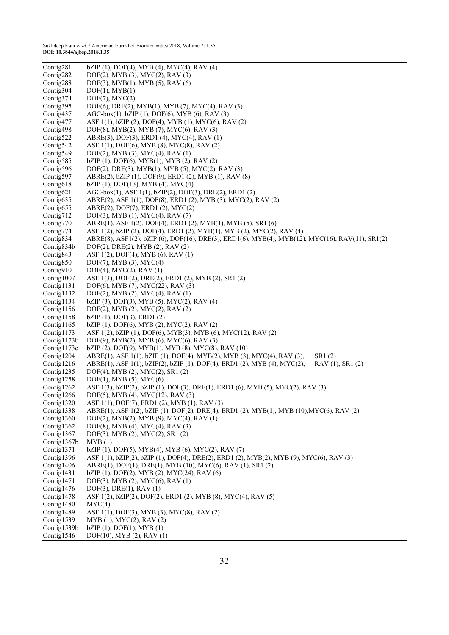Sukhdeep Kaur et al. / American Journal of Bioinformatics 2018, Volume 7: 1.35 DOI: 10.3844/ajbsp.2018.1.35

| Contig281                 | $bZIP$ (1), DOF(4), MYB (4), MYC(4), RAV (4)                                                    |
|---------------------------|-------------------------------------------------------------------------------------------------|
| Contig282                 | DOF(2), MYB (3), MYC(2), RAV (3)                                                                |
| Contig288                 | DOF(3), MYB(1), MYB (5), RAV (6)                                                                |
| Contig304                 | DOF(1), MYB(1)                                                                                  |
| Contig374                 | $DOF(7)$ , $MYC(2)$                                                                             |
| Contig395                 | DOF(6), DRE(2), MYB(1), MYB (7), MYC(4), RAV (3)                                                |
|                           |                                                                                                 |
| Contig437                 | AGC-box(1), bZIP (1), DOF(6), MYB (6), RAV (3)                                                  |
| Contig477                 | ASF 1(1), bZIP (2), DOF(4), MYB (1), MYC(6), RAV (2)                                            |
| Contig498                 | DOF(8), MYB(2), MYB (7), MYC(6), RAV (3)                                                        |
| Contig522                 | ABRE(3), DOF(3), ERD1 (4), MYC(4), RAV (1)                                                      |
| Contig542                 | ASF 1(1), DOF(6), MYB (8), MYC(8), RAV (2)                                                      |
| Contig549                 | $DOF(2)$ , MYB (3), MYC(4), RAV (1)                                                             |
| Contig585                 | $bZIP$ (1), DOF(6), MYB(1), MYB (2), RAV (2)                                                    |
| Contig596                 | DOF(2), DRE(3), MYB(1), MYB (5), MYC(2), RAV (3)                                                |
| Contig597                 | ABRE(2), bZIP (1), DOF(9), ERD1 (2), MYB (1), RAV (8)                                           |
| Contig618                 | $bZIP$ (1), DOF(13), MYB (4), MYC(4)                                                            |
| Contig621                 | AGC-box(1), ASF 1(1), bZIP(2), DOF(3), DRE(2), ERD1(2)                                          |
| Contig635                 | ABRE(2), ASF 1(1), DOF(8), ERD1 (2), MYB (3), MYC(2), RAV (2)                                   |
| Contig655                 | ABRE(2), DOF(7), ERD1 (2), MYC(2)                                                               |
| Contig712                 | DOF(3), MYB (1), MYC(4), RAV (7)                                                                |
| Contig770                 | ABRE(1), ASF 1(2), DOF(4), ERD1 (2), MYB(1), MYB (5), SR1 (6)                                   |
| Contig774                 | ASF 1(2), bZIP (2), DOF(4), ERD1 (2), MYB(1), MYB (2), MYC(2), RAV (4)                          |
| Contig <sub>834</sub>     | ABRE(8), ASF1(2), bZIP (6), DOF(16), DRE(3), ERD1(6), MYB(4), MYB(12), MYC(16), RAV(11), SR1(2) |
| Contig834b                | DOF(2), DRE(2), MYB (2), RAV (2)                                                                |
| Contig <sub>843</sub>     | ASF 1(2), DOF(4), MYB (6), RAV (1)                                                              |
| Contig850                 | $DOF(7)$ , MYB $(3)$ , MYC $(4)$                                                                |
| Contig910                 | $DOF(4)$ , $MYC(2)$ , RAV $(1)$                                                                 |
| Contig1007                | ASF 1(3), DOF(2), DRE(2), ERD1 (2), MYB (2), SR1 (2)                                            |
| Contig1131                | DOF(6), MYB (7), MYC(22), RAV (3)                                                               |
| Contig1132                | DOF(2), MYB (2), MYC(4), RAV (1)                                                                |
| Contig1134                | $bZIP$ (3), DOF(3), MYB (5), MYC(2), RAV (4)                                                    |
| Contig1156                | DOF(2), MYB (2), MYC(2), RAV (2)                                                                |
| Contig1158                | bZIP(1), DOF(3), ERD1(2)                                                                        |
| Contig1165                | $bZIP(1)$ , DOF $(6)$ , MYB $(2)$ , MYC $(2)$ , RAV $(2)$                                       |
| Contig1173                | ASF 1(2), bZIP (1), DOF(6), MYB(3), MYB (6), MYC(12), RAV (2)                                   |
| Contig1173b               | DOF(9), MYB(2), MYB(6), MYC(6), RAV(3)                                                          |
| Contig1173c               | $bZIP$ (2), DOF(9), MYB(1), MYB (8), MYC(8), RAV (10)                                           |
| Contig1204                | ABRE(1), ASF 1(1), bZIP (1), DOF(4), MYB(2), MYB (3), MYC(4), RAV (3),<br>SR1(2)                |
| Contig1216                | ABRE(1), ASF 1(1), bZIP(2), bZIP (1), DOF(4), ERD1 (2), MYB (4), MYC(2),<br>RAV (1), SR1 (2)    |
| Contig1235                | DOF(4), MYB (2), MYC(2), SR1 (2)                                                                |
| Contig1258                | $DOF(1)$ , MYB $(5)$ , MYC $(6)$                                                                |
| Contig1262                | ASF 1(3), bZIP(2), bZIP (1), DOF(3), DRE(1), ERD1 (6), MYB (5), MYC(2), RAV (3)                 |
| Contig1266                | DOF(5), MYB (4), MYC(12), RAV (3)                                                               |
| Contig1320                | ASF 1(1), DOF(7), ERD1 (2), MYB (1), RAV (3)                                                    |
| Contig1338                | ABRE(1), ASF 1(2), bZIP (1), DOF(2), DRE(4), ERD1 (2), MYB(1), MYB (10), MYC(6), RAV (2)        |
| Contig1360                | DOF(2), MYB(2), MYB (9), MYC(4), RAV (1)                                                        |
| Contig1362                | DOF(8), MYB (4), MYC(4), RAV (3)                                                                |
| Contig1367                | DOF(3), MYB (2), MYC(2), SR1 (2)                                                                |
| Contig1367b               | MYB(1)                                                                                          |
| Contig1371                | $bZIP$ (1), DOF(5), MYB(4), MYB (6), MYC(2), RAV (7)                                            |
| Contig1396                | ASF 1(1), bZIP(2), bZIP (1), DOF(4), DRE(2), ERD1 (2), MYB(2), MYB (9), MYC(6), RAV (3)         |
| Contig1406                | ABRE(1), DOF(1), DRE(1), MYB (10), MYC(6), RAV (1), SR1 (2)                                     |
| Contig1431                | bZIP (1), DOF(2), MYB (2), MYC(24), RAV (6)                                                     |
| Contig1471                | DOF(3), MYB (2), MYC(6), RAV (1)                                                                |
| Contig1476                | $DOF(3)$ , $DRE(1)$ , $RAV(1)$                                                                  |
| Contig1478                | ASF 1(2), bZIP(2), DOF(2), ERD1 (2), MYB (8), MYC(4), RAV (5)                                   |
| Contig1480                | MYC(4)                                                                                          |
| Contig1489                | ASF 1(1), DOF(3), MYB (3), MYC(8), RAV (2)                                                      |
|                           |                                                                                                 |
| Contig1539<br>Contig1539b | MYB (1), MYC(2), RAV (2)<br>$bZIP(1)$ , DOF $(1)$ , MYB $(1)$                                   |
|                           |                                                                                                 |
| Contig1546                | DOF(10), MYB (2), RAV (1)                                                                       |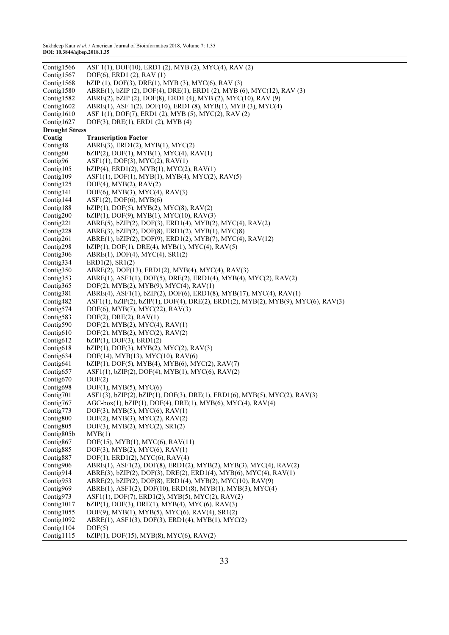Sukhdeep Kaur et al. / American Journal of Bioinformatics 2018, Volume 7: 1.35 DOI: 10.3844/ajbsp.2018.1.35

| DOF(6), ERD1 (2), RAV (1)<br>bZIP (1), DOF(3), DRE(1), MYB (3), MYC(6), RAV (3)<br>Contig1568<br>ABRE(1), bZIP (2), DOF(4), DRE(1), ERD1 (2), MYB (6), MYC(12), RAV (3)<br>Contig1580<br>Contig1582<br>ABRE(2), bZIP (2), DOF(8), ERD1 (4), MYB (2), MYC(10), RAV (9)<br>ABRE(1), ASF 1(2), DOF(10), ERD1 (8), MYB(1), MYB (3), MYC(4)<br>Contig $1602$<br>Contig1610<br>ASF 1(1), DOF(7), ERD1 (2), MYB (5), MYC(2), RAV (2)<br>Contig1627<br>DOF(3), DRE(1), ERD1 (2), MYB (4)<br><b>Drought Stress</b><br>Contig<br><b>Transcription Factor</b><br>Contig48<br>$ABRE(3)$ , $ERD1(2)$ , $MYB(1)$ , $MYC(2)$<br>$bZIP(2)$ , DOF(1), MYB(1), MYC(4), RAV(1)<br>Contig <sub>60</sub><br>Contig96<br>AST1(1), DOF(3), MYC(2), RAV(1)<br>Contig105<br>$bZIP(4)$ , ERD1(2), MYB(1), MYC(2), RAV(1)<br>Contig109<br>$AST1(1), DOF(1), MYB(1), MYB(4), MYC(2), RAV(5)$<br>Contig125<br>$DOF(4)$ , $MYB(2)$ , $RAV(2)$<br>Contig141<br>$DOF(6)$ , MYB $(3)$ , MYC $(4)$ , RAV $(3)$<br>Contig144<br>AST1(2), DOF(6), MYB(6)<br>Contig188<br>$bZIP(1)$ , DOF(5), MYB(2), MYC(8), RAV(2)<br>Contig200<br>$bZIP(1)$ , DOF(9), MYB(1), MYC(10), RAV(3)<br>Contig221<br>ABRE(5), bZIP(2), DOF(3), ERD1(4), MYB(2), MYC(4), RAV(2)<br>ABRE(3), bZIP(2), DOF(8), ERD1(2), MYB(1), MYC(8)<br>Contig228<br>Contig261<br>ABRE(1), bZIP(2), DOF(9), ERD1(2), MYB(7), MYC(4), RAV(12)<br>$bZIP(1)$ , DOF(1), DRE(4), MYB(1), MYC(4), RAV(5)<br>Contig298<br>Contig306<br>ABRE(1), DOF(4), MYC(4), SR1(2)<br>Contig334<br>ERD1(2), SR1(2)<br>ABRE(2), DOF(13), ERD1(2), MYB(4), MYC(4), RAV(3)<br>Contig350<br>Contig353<br>ABRE(1), ASF1(1), DOF(5), DRE(2), ERD1(4), MYB(4), MYC(2), RAV(2)<br>Contig365<br>DOF(2), MYB(2), MYB(9), MYC(4), RAV(1)<br>ABRE(4), ASF1(1), bZIP(2), DOF(6), ERD1(8), MYB(17), MYC(4), RAV(1)<br>Contig381<br>ASF1(1), bZIP(2), bZIP(1), DOF(4), DRE(2), ERD1(2), MYB(2), MYB(9), MYC(6), RAV(3)<br>Contig482<br>Contig574<br>$DOF(6)$ , MYB $(7)$ , MYC $(22)$ , RAV $(3)$<br>Contig583<br>$DOF(2)$ , $DRE(2)$ , $RAV(1)$<br>Contig590<br>$DOF(2)$ , $MYB(2)$ , $MYC(4)$ , $RAV(1)$<br>Contig <sub>610</sub><br>$DOF(2)$ , $MYB(2)$ , $MYC(2)$ , $RAV(2)$<br>Contig612<br>$bZIP(1)$ , DOF $(3)$ , ERD $1(2)$<br>bZIP(1), DOF(3), MYB(2), MYC(2), RAV(3)<br>Contig618<br>Contig634<br>DOF(14), MYB(13), MYC(10), RAV(6)<br>Contig641<br>$bZIP(1)$ , DOF(5), MYB(4), MYB(6), MYC(2), RAV(7)<br>Contig657<br>ASF1(1), bZIP(2), DOF(4), MYB(1), MYC(6), RAV(2)<br>Contig670<br>DOF(2)<br>Contig698<br>$DOF(1)$ , $MYB(5)$ , $MYC(6)$<br>ASF1(3), bZIP(2), bZIP(1), DOF(3), DRE(1), ERD1(6), MYB(5), MYC(2), RAV(3)<br>Contig701<br>$AGC-box(1), bZIP(1), DOF(4), DRE(1), MYB(6), MYC(4), RAV(4)$<br>Contig <sub>767</sub><br>$DOF(3)$ , MYB $(5)$ , MYC $(6)$ , RAV $(1)$<br>Contig773<br>Contig800<br>$DOF(2)$ , MYB $(3)$ , MYC $(2)$ , RAV $(2)$<br>Contig <sub>805</sub><br>DOF(3), MYB(2), MYC(2), SR1(2)<br>Contig805b<br>MYB(1)<br>Contig867<br>DOF(15), MYB(1), MYC(6), RAV(11)<br>Contig885<br>DOF(3), MYB(2), MYC(6), RAV(1)<br>Contig <sub>887</sub><br>$DOF(1)$ , $ERD1(2)$ , $MYC(6)$ , $RAV(4)$<br>Contig906<br>ABRE(1), ASF1(2), DOF(8), ERD1(2), MYB(2), MYB(3), MYC(4), RAV(2)<br>Contig914<br>ABRE(3), bZIP(2), DOF(3), DRE(2), ERD1(4), MYB(6), MYC(4), RAV(1)<br>ABRE(2), bZIP(2), DOF(8), ERD1(4), MYB(2), MYC(10), RAV(9)<br>Contig953<br>Contig969<br>ABRE(1), ASF1(2), DOF(10), ERD1(8), MYB(1), MYB(3), MYC(4)<br>Contig973<br>ASF1(1), DOF(7), ERD1(2), MYB(5), MYC(2), RAV(2)<br>$bZIP(1)$ , DOF(3), DRE(1), MYB(4), MYC(6), RAV(3)<br>Contig1017<br>Contig1055<br>$DOF(9)$ , MYB(1), MYB(5), MYC(6), RAV(4), SR1(2)<br>Contig1092<br>ABRE(1), ASF1(3), DOF(3), ERD1(4), MYB(1), MYC(2)<br>Contig1104<br>DOF(5) | Contig1566 | ASF 1(1), DOF(10), ERD1 (2), MYB (2), MYC(4), RAV (2) |
|---------------------------------------------------------------------------------------------------------------------------------------------------------------------------------------------------------------------------------------------------------------------------------------------------------------------------------------------------------------------------------------------------------------------------------------------------------------------------------------------------------------------------------------------------------------------------------------------------------------------------------------------------------------------------------------------------------------------------------------------------------------------------------------------------------------------------------------------------------------------------------------------------------------------------------------------------------------------------------------------------------------------------------------------------------------------------------------------------------------------------------------------------------------------------------------------------------------------------------------------------------------------------------------------------------------------------------------------------------------------------------------------------------------------------------------------------------------------------------------------------------------------------------------------------------------------------------------------------------------------------------------------------------------------------------------------------------------------------------------------------------------------------------------------------------------------------------------------------------------------------------------------------------------------------------------------------------------------------------------------------------------------------------------------------------------------------------------------------------------------------------------------------------------------------------------------------------------------------------------------------------------------------------------------------------------------------------------------------------------------------------------------------------------------------------------------------------------------------------------------------------------------------------------------------------------------------------------------------------------------------------------------------------------------------------------------------------------------------------------------------------------------------------------------------------------------------------------------------------------------------------------------------------------------------------------------------------------------------------------------------------------------------------------------------------------------------------------------------------------------------------------------------------------------------------------------------------------------------------------------------------------------------------------------------------------------------------------------------------------------------------------------------------------------------------------------------------------------------------------------------------------------------------------------------------------------------------------------------------------------------------------------------------------------------------------------------------------------------------------------------|------------|-------------------------------------------------------|
|                                                                                                                                                                                                                                                                                                                                                                                                                                                                                                                                                                                                                                                                                                                                                                                                                                                                                                                                                                                                                                                                                                                                                                                                                                                                                                                                                                                                                                                                                                                                                                                                                                                                                                                                                                                                                                                                                                                                                                                                                                                                                                                                                                                                                                                                                                                                                                                                                                                                                                                                                                                                                                                                                                                                                                                                                                                                                                                                                                                                                                                                                                                                                                                                                                                                                                                                                                                                                                                                                                                                                                                                                                                                                                                                                   | Contig1567 |                                                       |
|                                                                                                                                                                                                                                                                                                                                                                                                                                                                                                                                                                                                                                                                                                                                                                                                                                                                                                                                                                                                                                                                                                                                                                                                                                                                                                                                                                                                                                                                                                                                                                                                                                                                                                                                                                                                                                                                                                                                                                                                                                                                                                                                                                                                                                                                                                                                                                                                                                                                                                                                                                                                                                                                                                                                                                                                                                                                                                                                                                                                                                                                                                                                                                                                                                                                                                                                                                                                                                                                                                                                                                                                                                                                                                                                                   |            |                                                       |
|                                                                                                                                                                                                                                                                                                                                                                                                                                                                                                                                                                                                                                                                                                                                                                                                                                                                                                                                                                                                                                                                                                                                                                                                                                                                                                                                                                                                                                                                                                                                                                                                                                                                                                                                                                                                                                                                                                                                                                                                                                                                                                                                                                                                                                                                                                                                                                                                                                                                                                                                                                                                                                                                                                                                                                                                                                                                                                                                                                                                                                                                                                                                                                                                                                                                                                                                                                                                                                                                                                                                                                                                                                                                                                                                                   |            |                                                       |
|                                                                                                                                                                                                                                                                                                                                                                                                                                                                                                                                                                                                                                                                                                                                                                                                                                                                                                                                                                                                                                                                                                                                                                                                                                                                                                                                                                                                                                                                                                                                                                                                                                                                                                                                                                                                                                                                                                                                                                                                                                                                                                                                                                                                                                                                                                                                                                                                                                                                                                                                                                                                                                                                                                                                                                                                                                                                                                                                                                                                                                                                                                                                                                                                                                                                                                                                                                                                                                                                                                                                                                                                                                                                                                                                                   |            |                                                       |
|                                                                                                                                                                                                                                                                                                                                                                                                                                                                                                                                                                                                                                                                                                                                                                                                                                                                                                                                                                                                                                                                                                                                                                                                                                                                                                                                                                                                                                                                                                                                                                                                                                                                                                                                                                                                                                                                                                                                                                                                                                                                                                                                                                                                                                                                                                                                                                                                                                                                                                                                                                                                                                                                                                                                                                                                                                                                                                                                                                                                                                                                                                                                                                                                                                                                                                                                                                                                                                                                                                                                                                                                                                                                                                                                                   |            |                                                       |
|                                                                                                                                                                                                                                                                                                                                                                                                                                                                                                                                                                                                                                                                                                                                                                                                                                                                                                                                                                                                                                                                                                                                                                                                                                                                                                                                                                                                                                                                                                                                                                                                                                                                                                                                                                                                                                                                                                                                                                                                                                                                                                                                                                                                                                                                                                                                                                                                                                                                                                                                                                                                                                                                                                                                                                                                                                                                                                                                                                                                                                                                                                                                                                                                                                                                                                                                                                                                                                                                                                                                                                                                                                                                                                                                                   |            |                                                       |
|                                                                                                                                                                                                                                                                                                                                                                                                                                                                                                                                                                                                                                                                                                                                                                                                                                                                                                                                                                                                                                                                                                                                                                                                                                                                                                                                                                                                                                                                                                                                                                                                                                                                                                                                                                                                                                                                                                                                                                                                                                                                                                                                                                                                                                                                                                                                                                                                                                                                                                                                                                                                                                                                                                                                                                                                                                                                                                                                                                                                                                                                                                                                                                                                                                                                                                                                                                                                                                                                                                                                                                                                                                                                                                                                                   |            |                                                       |
|                                                                                                                                                                                                                                                                                                                                                                                                                                                                                                                                                                                                                                                                                                                                                                                                                                                                                                                                                                                                                                                                                                                                                                                                                                                                                                                                                                                                                                                                                                                                                                                                                                                                                                                                                                                                                                                                                                                                                                                                                                                                                                                                                                                                                                                                                                                                                                                                                                                                                                                                                                                                                                                                                                                                                                                                                                                                                                                                                                                                                                                                                                                                                                                                                                                                                                                                                                                                                                                                                                                                                                                                                                                                                                                                                   |            |                                                       |
|                                                                                                                                                                                                                                                                                                                                                                                                                                                                                                                                                                                                                                                                                                                                                                                                                                                                                                                                                                                                                                                                                                                                                                                                                                                                                                                                                                                                                                                                                                                                                                                                                                                                                                                                                                                                                                                                                                                                                                                                                                                                                                                                                                                                                                                                                                                                                                                                                                                                                                                                                                                                                                                                                                                                                                                                                                                                                                                                                                                                                                                                                                                                                                                                                                                                                                                                                                                                                                                                                                                                                                                                                                                                                                                                                   |            |                                                       |
|                                                                                                                                                                                                                                                                                                                                                                                                                                                                                                                                                                                                                                                                                                                                                                                                                                                                                                                                                                                                                                                                                                                                                                                                                                                                                                                                                                                                                                                                                                                                                                                                                                                                                                                                                                                                                                                                                                                                                                                                                                                                                                                                                                                                                                                                                                                                                                                                                                                                                                                                                                                                                                                                                                                                                                                                                                                                                                                                                                                                                                                                                                                                                                                                                                                                                                                                                                                                                                                                                                                                                                                                                                                                                                                                                   |            |                                                       |
|                                                                                                                                                                                                                                                                                                                                                                                                                                                                                                                                                                                                                                                                                                                                                                                                                                                                                                                                                                                                                                                                                                                                                                                                                                                                                                                                                                                                                                                                                                                                                                                                                                                                                                                                                                                                                                                                                                                                                                                                                                                                                                                                                                                                                                                                                                                                                                                                                                                                                                                                                                                                                                                                                                                                                                                                                                                                                                                                                                                                                                                                                                                                                                                                                                                                                                                                                                                                                                                                                                                                                                                                                                                                                                                                                   |            |                                                       |
|                                                                                                                                                                                                                                                                                                                                                                                                                                                                                                                                                                                                                                                                                                                                                                                                                                                                                                                                                                                                                                                                                                                                                                                                                                                                                                                                                                                                                                                                                                                                                                                                                                                                                                                                                                                                                                                                                                                                                                                                                                                                                                                                                                                                                                                                                                                                                                                                                                                                                                                                                                                                                                                                                                                                                                                                                                                                                                                                                                                                                                                                                                                                                                                                                                                                                                                                                                                                                                                                                                                                                                                                                                                                                                                                                   |            |                                                       |
|                                                                                                                                                                                                                                                                                                                                                                                                                                                                                                                                                                                                                                                                                                                                                                                                                                                                                                                                                                                                                                                                                                                                                                                                                                                                                                                                                                                                                                                                                                                                                                                                                                                                                                                                                                                                                                                                                                                                                                                                                                                                                                                                                                                                                                                                                                                                                                                                                                                                                                                                                                                                                                                                                                                                                                                                                                                                                                                                                                                                                                                                                                                                                                                                                                                                                                                                                                                                                                                                                                                                                                                                                                                                                                                                                   |            |                                                       |
|                                                                                                                                                                                                                                                                                                                                                                                                                                                                                                                                                                                                                                                                                                                                                                                                                                                                                                                                                                                                                                                                                                                                                                                                                                                                                                                                                                                                                                                                                                                                                                                                                                                                                                                                                                                                                                                                                                                                                                                                                                                                                                                                                                                                                                                                                                                                                                                                                                                                                                                                                                                                                                                                                                                                                                                                                                                                                                                                                                                                                                                                                                                                                                                                                                                                                                                                                                                                                                                                                                                                                                                                                                                                                                                                                   |            |                                                       |
|                                                                                                                                                                                                                                                                                                                                                                                                                                                                                                                                                                                                                                                                                                                                                                                                                                                                                                                                                                                                                                                                                                                                                                                                                                                                                                                                                                                                                                                                                                                                                                                                                                                                                                                                                                                                                                                                                                                                                                                                                                                                                                                                                                                                                                                                                                                                                                                                                                                                                                                                                                                                                                                                                                                                                                                                                                                                                                                                                                                                                                                                                                                                                                                                                                                                                                                                                                                                                                                                                                                                                                                                                                                                                                                                                   |            |                                                       |
|                                                                                                                                                                                                                                                                                                                                                                                                                                                                                                                                                                                                                                                                                                                                                                                                                                                                                                                                                                                                                                                                                                                                                                                                                                                                                                                                                                                                                                                                                                                                                                                                                                                                                                                                                                                                                                                                                                                                                                                                                                                                                                                                                                                                                                                                                                                                                                                                                                                                                                                                                                                                                                                                                                                                                                                                                                                                                                                                                                                                                                                                                                                                                                                                                                                                                                                                                                                                                                                                                                                                                                                                                                                                                                                                                   |            |                                                       |
|                                                                                                                                                                                                                                                                                                                                                                                                                                                                                                                                                                                                                                                                                                                                                                                                                                                                                                                                                                                                                                                                                                                                                                                                                                                                                                                                                                                                                                                                                                                                                                                                                                                                                                                                                                                                                                                                                                                                                                                                                                                                                                                                                                                                                                                                                                                                                                                                                                                                                                                                                                                                                                                                                                                                                                                                                                                                                                                                                                                                                                                                                                                                                                                                                                                                                                                                                                                                                                                                                                                                                                                                                                                                                                                                                   |            |                                                       |
|                                                                                                                                                                                                                                                                                                                                                                                                                                                                                                                                                                                                                                                                                                                                                                                                                                                                                                                                                                                                                                                                                                                                                                                                                                                                                                                                                                                                                                                                                                                                                                                                                                                                                                                                                                                                                                                                                                                                                                                                                                                                                                                                                                                                                                                                                                                                                                                                                                                                                                                                                                                                                                                                                                                                                                                                                                                                                                                                                                                                                                                                                                                                                                                                                                                                                                                                                                                                                                                                                                                                                                                                                                                                                                                                                   |            |                                                       |
|                                                                                                                                                                                                                                                                                                                                                                                                                                                                                                                                                                                                                                                                                                                                                                                                                                                                                                                                                                                                                                                                                                                                                                                                                                                                                                                                                                                                                                                                                                                                                                                                                                                                                                                                                                                                                                                                                                                                                                                                                                                                                                                                                                                                                                                                                                                                                                                                                                                                                                                                                                                                                                                                                                                                                                                                                                                                                                                                                                                                                                                                                                                                                                                                                                                                                                                                                                                                                                                                                                                                                                                                                                                                                                                                                   |            |                                                       |
|                                                                                                                                                                                                                                                                                                                                                                                                                                                                                                                                                                                                                                                                                                                                                                                                                                                                                                                                                                                                                                                                                                                                                                                                                                                                                                                                                                                                                                                                                                                                                                                                                                                                                                                                                                                                                                                                                                                                                                                                                                                                                                                                                                                                                                                                                                                                                                                                                                                                                                                                                                                                                                                                                                                                                                                                                                                                                                                                                                                                                                                                                                                                                                                                                                                                                                                                                                                                                                                                                                                                                                                                                                                                                                                                                   |            |                                                       |
|                                                                                                                                                                                                                                                                                                                                                                                                                                                                                                                                                                                                                                                                                                                                                                                                                                                                                                                                                                                                                                                                                                                                                                                                                                                                                                                                                                                                                                                                                                                                                                                                                                                                                                                                                                                                                                                                                                                                                                                                                                                                                                                                                                                                                                                                                                                                                                                                                                                                                                                                                                                                                                                                                                                                                                                                                                                                                                                                                                                                                                                                                                                                                                                                                                                                                                                                                                                                                                                                                                                                                                                                                                                                                                                                                   |            |                                                       |
|                                                                                                                                                                                                                                                                                                                                                                                                                                                                                                                                                                                                                                                                                                                                                                                                                                                                                                                                                                                                                                                                                                                                                                                                                                                                                                                                                                                                                                                                                                                                                                                                                                                                                                                                                                                                                                                                                                                                                                                                                                                                                                                                                                                                                                                                                                                                                                                                                                                                                                                                                                                                                                                                                                                                                                                                                                                                                                                                                                                                                                                                                                                                                                                                                                                                                                                                                                                                                                                                                                                                                                                                                                                                                                                                                   |            |                                                       |
|                                                                                                                                                                                                                                                                                                                                                                                                                                                                                                                                                                                                                                                                                                                                                                                                                                                                                                                                                                                                                                                                                                                                                                                                                                                                                                                                                                                                                                                                                                                                                                                                                                                                                                                                                                                                                                                                                                                                                                                                                                                                                                                                                                                                                                                                                                                                                                                                                                                                                                                                                                                                                                                                                                                                                                                                                                                                                                                                                                                                                                                                                                                                                                                                                                                                                                                                                                                                                                                                                                                                                                                                                                                                                                                                                   |            |                                                       |
|                                                                                                                                                                                                                                                                                                                                                                                                                                                                                                                                                                                                                                                                                                                                                                                                                                                                                                                                                                                                                                                                                                                                                                                                                                                                                                                                                                                                                                                                                                                                                                                                                                                                                                                                                                                                                                                                                                                                                                                                                                                                                                                                                                                                                                                                                                                                                                                                                                                                                                                                                                                                                                                                                                                                                                                                                                                                                                                                                                                                                                                                                                                                                                                                                                                                                                                                                                                                                                                                                                                                                                                                                                                                                                                                                   |            |                                                       |
|                                                                                                                                                                                                                                                                                                                                                                                                                                                                                                                                                                                                                                                                                                                                                                                                                                                                                                                                                                                                                                                                                                                                                                                                                                                                                                                                                                                                                                                                                                                                                                                                                                                                                                                                                                                                                                                                                                                                                                                                                                                                                                                                                                                                                                                                                                                                                                                                                                                                                                                                                                                                                                                                                                                                                                                                                                                                                                                                                                                                                                                                                                                                                                                                                                                                                                                                                                                                                                                                                                                                                                                                                                                                                                                                                   |            |                                                       |
|                                                                                                                                                                                                                                                                                                                                                                                                                                                                                                                                                                                                                                                                                                                                                                                                                                                                                                                                                                                                                                                                                                                                                                                                                                                                                                                                                                                                                                                                                                                                                                                                                                                                                                                                                                                                                                                                                                                                                                                                                                                                                                                                                                                                                                                                                                                                                                                                                                                                                                                                                                                                                                                                                                                                                                                                                                                                                                                                                                                                                                                                                                                                                                                                                                                                                                                                                                                                                                                                                                                                                                                                                                                                                                                                                   |            |                                                       |
|                                                                                                                                                                                                                                                                                                                                                                                                                                                                                                                                                                                                                                                                                                                                                                                                                                                                                                                                                                                                                                                                                                                                                                                                                                                                                                                                                                                                                                                                                                                                                                                                                                                                                                                                                                                                                                                                                                                                                                                                                                                                                                                                                                                                                                                                                                                                                                                                                                                                                                                                                                                                                                                                                                                                                                                                                                                                                                                                                                                                                                                                                                                                                                                                                                                                                                                                                                                                                                                                                                                                                                                                                                                                                                                                                   |            |                                                       |
|                                                                                                                                                                                                                                                                                                                                                                                                                                                                                                                                                                                                                                                                                                                                                                                                                                                                                                                                                                                                                                                                                                                                                                                                                                                                                                                                                                                                                                                                                                                                                                                                                                                                                                                                                                                                                                                                                                                                                                                                                                                                                                                                                                                                                                                                                                                                                                                                                                                                                                                                                                                                                                                                                                                                                                                                                                                                                                                                                                                                                                                                                                                                                                                                                                                                                                                                                                                                                                                                                                                                                                                                                                                                                                                                                   |            |                                                       |
|                                                                                                                                                                                                                                                                                                                                                                                                                                                                                                                                                                                                                                                                                                                                                                                                                                                                                                                                                                                                                                                                                                                                                                                                                                                                                                                                                                                                                                                                                                                                                                                                                                                                                                                                                                                                                                                                                                                                                                                                                                                                                                                                                                                                                                                                                                                                                                                                                                                                                                                                                                                                                                                                                                                                                                                                                                                                                                                                                                                                                                                                                                                                                                                                                                                                                                                                                                                                                                                                                                                                                                                                                                                                                                                                                   |            |                                                       |
|                                                                                                                                                                                                                                                                                                                                                                                                                                                                                                                                                                                                                                                                                                                                                                                                                                                                                                                                                                                                                                                                                                                                                                                                                                                                                                                                                                                                                                                                                                                                                                                                                                                                                                                                                                                                                                                                                                                                                                                                                                                                                                                                                                                                                                                                                                                                                                                                                                                                                                                                                                                                                                                                                                                                                                                                                                                                                                                                                                                                                                                                                                                                                                                                                                                                                                                                                                                                                                                                                                                                                                                                                                                                                                                                                   |            |                                                       |
|                                                                                                                                                                                                                                                                                                                                                                                                                                                                                                                                                                                                                                                                                                                                                                                                                                                                                                                                                                                                                                                                                                                                                                                                                                                                                                                                                                                                                                                                                                                                                                                                                                                                                                                                                                                                                                                                                                                                                                                                                                                                                                                                                                                                                                                                                                                                                                                                                                                                                                                                                                                                                                                                                                                                                                                                                                                                                                                                                                                                                                                                                                                                                                                                                                                                                                                                                                                                                                                                                                                                                                                                                                                                                                                                                   |            |                                                       |
|                                                                                                                                                                                                                                                                                                                                                                                                                                                                                                                                                                                                                                                                                                                                                                                                                                                                                                                                                                                                                                                                                                                                                                                                                                                                                                                                                                                                                                                                                                                                                                                                                                                                                                                                                                                                                                                                                                                                                                                                                                                                                                                                                                                                                                                                                                                                                                                                                                                                                                                                                                                                                                                                                                                                                                                                                                                                                                                                                                                                                                                                                                                                                                                                                                                                                                                                                                                                                                                                                                                                                                                                                                                                                                                                                   |            |                                                       |
|                                                                                                                                                                                                                                                                                                                                                                                                                                                                                                                                                                                                                                                                                                                                                                                                                                                                                                                                                                                                                                                                                                                                                                                                                                                                                                                                                                                                                                                                                                                                                                                                                                                                                                                                                                                                                                                                                                                                                                                                                                                                                                                                                                                                                                                                                                                                                                                                                                                                                                                                                                                                                                                                                                                                                                                                                                                                                                                                                                                                                                                                                                                                                                                                                                                                                                                                                                                                                                                                                                                                                                                                                                                                                                                                                   |            |                                                       |
|                                                                                                                                                                                                                                                                                                                                                                                                                                                                                                                                                                                                                                                                                                                                                                                                                                                                                                                                                                                                                                                                                                                                                                                                                                                                                                                                                                                                                                                                                                                                                                                                                                                                                                                                                                                                                                                                                                                                                                                                                                                                                                                                                                                                                                                                                                                                                                                                                                                                                                                                                                                                                                                                                                                                                                                                                                                                                                                                                                                                                                                                                                                                                                                                                                                                                                                                                                                                                                                                                                                                                                                                                                                                                                                                                   |            |                                                       |
|                                                                                                                                                                                                                                                                                                                                                                                                                                                                                                                                                                                                                                                                                                                                                                                                                                                                                                                                                                                                                                                                                                                                                                                                                                                                                                                                                                                                                                                                                                                                                                                                                                                                                                                                                                                                                                                                                                                                                                                                                                                                                                                                                                                                                                                                                                                                                                                                                                                                                                                                                                                                                                                                                                                                                                                                                                                                                                                                                                                                                                                                                                                                                                                                                                                                                                                                                                                                                                                                                                                                                                                                                                                                                                                                                   |            |                                                       |
|                                                                                                                                                                                                                                                                                                                                                                                                                                                                                                                                                                                                                                                                                                                                                                                                                                                                                                                                                                                                                                                                                                                                                                                                                                                                                                                                                                                                                                                                                                                                                                                                                                                                                                                                                                                                                                                                                                                                                                                                                                                                                                                                                                                                                                                                                                                                                                                                                                                                                                                                                                                                                                                                                                                                                                                                                                                                                                                                                                                                                                                                                                                                                                                                                                                                                                                                                                                                                                                                                                                                                                                                                                                                                                                                                   |            |                                                       |
|                                                                                                                                                                                                                                                                                                                                                                                                                                                                                                                                                                                                                                                                                                                                                                                                                                                                                                                                                                                                                                                                                                                                                                                                                                                                                                                                                                                                                                                                                                                                                                                                                                                                                                                                                                                                                                                                                                                                                                                                                                                                                                                                                                                                                                                                                                                                                                                                                                                                                                                                                                                                                                                                                                                                                                                                                                                                                                                                                                                                                                                                                                                                                                                                                                                                                                                                                                                                                                                                                                                                                                                                                                                                                                                                                   |            |                                                       |
|                                                                                                                                                                                                                                                                                                                                                                                                                                                                                                                                                                                                                                                                                                                                                                                                                                                                                                                                                                                                                                                                                                                                                                                                                                                                                                                                                                                                                                                                                                                                                                                                                                                                                                                                                                                                                                                                                                                                                                                                                                                                                                                                                                                                                                                                                                                                                                                                                                                                                                                                                                                                                                                                                                                                                                                                                                                                                                                                                                                                                                                                                                                                                                                                                                                                                                                                                                                                                                                                                                                                                                                                                                                                                                                                                   |            |                                                       |
|                                                                                                                                                                                                                                                                                                                                                                                                                                                                                                                                                                                                                                                                                                                                                                                                                                                                                                                                                                                                                                                                                                                                                                                                                                                                                                                                                                                                                                                                                                                                                                                                                                                                                                                                                                                                                                                                                                                                                                                                                                                                                                                                                                                                                                                                                                                                                                                                                                                                                                                                                                                                                                                                                                                                                                                                                                                                                                                                                                                                                                                                                                                                                                                                                                                                                                                                                                                                                                                                                                                                                                                                                                                                                                                                                   |            |                                                       |
|                                                                                                                                                                                                                                                                                                                                                                                                                                                                                                                                                                                                                                                                                                                                                                                                                                                                                                                                                                                                                                                                                                                                                                                                                                                                                                                                                                                                                                                                                                                                                                                                                                                                                                                                                                                                                                                                                                                                                                                                                                                                                                                                                                                                                                                                                                                                                                                                                                                                                                                                                                                                                                                                                                                                                                                                                                                                                                                                                                                                                                                                                                                                                                                                                                                                                                                                                                                                                                                                                                                                                                                                                                                                                                                                                   |            |                                                       |
|                                                                                                                                                                                                                                                                                                                                                                                                                                                                                                                                                                                                                                                                                                                                                                                                                                                                                                                                                                                                                                                                                                                                                                                                                                                                                                                                                                                                                                                                                                                                                                                                                                                                                                                                                                                                                                                                                                                                                                                                                                                                                                                                                                                                                                                                                                                                                                                                                                                                                                                                                                                                                                                                                                                                                                                                                                                                                                                                                                                                                                                                                                                                                                                                                                                                                                                                                                                                                                                                                                                                                                                                                                                                                                                                                   |            |                                                       |
|                                                                                                                                                                                                                                                                                                                                                                                                                                                                                                                                                                                                                                                                                                                                                                                                                                                                                                                                                                                                                                                                                                                                                                                                                                                                                                                                                                                                                                                                                                                                                                                                                                                                                                                                                                                                                                                                                                                                                                                                                                                                                                                                                                                                                                                                                                                                                                                                                                                                                                                                                                                                                                                                                                                                                                                                                                                                                                                                                                                                                                                                                                                                                                                                                                                                                                                                                                                                                                                                                                                                                                                                                                                                                                                                                   |            |                                                       |
|                                                                                                                                                                                                                                                                                                                                                                                                                                                                                                                                                                                                                                                                                                                                                                                                                                                                                                                                                                                                                                                                                                                                                                                                                                                                                                                                                                                                                                                                                                                                                                                                                                                                                                                                                                                                                                                                                                                                                                                                                                                                                                                                                                                                                                                                                                                                                                                                                                                                                                                                                                                                                                                                                                                                                                                                                                                                                                                                                                                                                                                                                                                                                                                                                                                                                                                                                                                                                                                                                                                                                                                                                                                                                                                                                   |            |                                                       |
|                                                                                                                                                                                                                                                                                                                                                                                                                                                                                                                                                                                                                                                                                                                                                                                                                                                                                                                                                                                                                                                                                                                                                                                                                                                                                                                                                                                                                                                                                                                                                                                                                                                                                                                                                                                                                                                                                                                                                                                                                                                                                                                                                                                                                                                                                                                                                                                                                                                                                                                                                                                                                                                                                                                                                                                                                                                                                                                                                                                                                                                                                                                                                                                                                                                                                                                                                                                                                                                                                                                                                                                                                                                                                                                                                   |            |                                                       |
|                                                                                                                                                                                                                                                                                                                                                                                                                                                                                                                                                                                                                                                                                                                                                                                                                                                                                                                                                                                                                                                                                                                                                                                                                                                                                                                                                                                                                                                                                                                                                                                                                                                                                                                                                                                                                                                                                                                                                                                                                                                                                                                                                                                                                                                                                                                                                                                                                                                                                                                                                                                                                                                                                                                                                                                                                                                                                                                                                                                                                                                                                                                                                                                                                                                                                                                                                                                                                                                                                                                                                                                                                                                                                                                                                   |            |                                                       |
|                                                                                                                                                                                                                                                                                                                                                                                                                                                                                                                                                                                                                                                                                                                                                                                                                                                                                                                                                                                                                                                                                                                                                                                                                                                                                                                                                                                                                                                                                                                                                                                                                                                                                                                                                                                                                                                                                                                                                                                                                                                                                                                                                                                                                                                                                                                                                                                                                                                                                                                                                                                                                                                                                                                                                                                                                                                                                                                                                                                                                                                                                                                                                                                                                                                                                                                                                                                                                                                                                                                                                                                                                                                                                                                                                   |            |                                                       |
|                                                                                                                                                                                                                                                                                                                                                                                                                                                                                                                                                                                                                                                                                                                                                                                                                                                                                                                                                                                                                                                                                                                                                                                                                                                                                                                                                                                                                                                                                                                                                                                                                                                                                                                                                                                                                                                                                                                                                                                                                                                                                                                                                                                                                                                                                                                                                                                                                                                                                                                                                                                                                                                                                                                                                                                                                                                                                                                                                                                                                                                                                                                                                                                                                                                                                                                                                                                                                                                                                                                                                                                                                                                                                                                                                   |            |                                                       |
|                                                                                                                                                                                                                                                                                                                                                                                                                                                                                                                                                                                                                                                                                                                                                                                                                                                                                                                                                                                                                                                                                                                                                                                                                                                                                                                                                                                                                                                                                                                                                                                                                                                                                                                                                                                                                                                                                                                                                                                                                                                                                                                                                                                                                                                                                                                                                                                                                                                                                                                                                                                                                                                                                                                                                                                                                                                                                                                                                                                                                                                                                                                                                                                                                                                                                                                                                                                                                                                                                                                                                                                                                                                                                                                                                   |            |                                                       |
|                                                                                                                                                                                                                                                                                                                                                                                                                                                                                                                                                                                                                                                                                                                                                                                                                                                                                                                                                                                                                                                                                                                                                                                                                                                                                                                                                                                                                                                                                                                                                                                                                                                                                                                                                                                                                                                                                                                                                                                                                                                                                                                                                                                                                                                                                                                                                                                                                                                                                                                                                                                                                                                                                                                                                                                                                                                                                                                                                                                                                                                                                                                                                                                                                                                                                                                                                                                                                                                                                                                                                                                                                                                                                                                                                   |            |                                                       |
|                                                                                                                                                                                                                                                                                                                                                                                                                                                                                                                                                                                                                                                                                                                                                                                                                                                                                                                                                                                                                                                                                                                                                                                                                                                                                                                                                                                                                                                                                                                                                                                                                                                                                                                                                                                                                                                                                                                                                                                                                                                                                                                                                                                                                                                                                                                                                                                                                                                                                                                                                                                                                                                                                                                                                                                                                                                                                                                                                                                                                                                                                                                                                                                                                                                                                                                                                                                                                                                                                                                                                                                                                                                                                                                                                   |            |                                                       |
|                                                                                                                                                                                                                                                                                                                                                                                                                                                                                                                                                                                                                                                                                                                                                                                                                                                                                                                                                                                                                                                                                                                                                                                                                                                                                                                                                                                                                                                                                                                                                                                                                                                                                                                                                                                                                                                                                                                                                                                                                                                                                                                                                                                                                                                                                                                                                                                                                                                                                                                                                                                                                                                                                                                                                                                                                                                                                                                                                                                                                                                                                                                                                                                                                                                                                                                                                                                                                                                                                                                                                                                                                                                                                                                                                   |            |                                                       |
|                                                                                                                                                                                                                                                                                                                                                                                                                                                                                                                                                                                                                                                                                                                                                                                                                                                                                                                                                                                                                                                                                                                                                                                                                                                                                                                                                                                                                                                                                                                                                                                                                                                                                                                                                                                                                                                                                                                                                                                                                                                                                                                                                                                                                                                                                                                                                                                                                                                                                                                                                                                                                                                                                                                                                                                                                                                                                                                                                                                                                                                                                                                                                                                                                                                                                                                                                                                                                                                                                                                                                                                                                                                                                                                                                   |            |                                                       |
|                                                                                                                                                                                                                                                                                                                                                                                                                                                                                                                                                                                                                                                                                                                                                                                                                                                                                                                                                                                                                                                                                                                                                                                                                                                                                                                                                                                                                                                                                                                                                                                                                                                                                                                                                                                                                                                                                                                                                                                                                                                                                                                                                                                                                                                                                                                                                                                                                                                                                                                                                                                                                                                                                                                                                                                                                                                                                                                                                                                                                                                                                                                                                                                                                                                                                                                                                                                                                                                                                                                                                                                                                                                                                                                                                   |            |                                                       |
|                                                                                                                                                                                                                                                                                                                                                                                                                                                                                                                                                                                                                                                                                                                                                                                                                                                                                                                                                                                                                                                                                                                                                                                                                                                                                                                                                                                                                                                                                                                                                                                                                                                                                                                                                                                                                                                                                                                                                                                                                                                                                                                                                                                                                                                                                                                                                                                                                                                                                                                                                                                                                                                                                                                                                                                                                                                                                                                                                                                                                                                                                                                                                                                                                                                                                                                                                                                                                                                                                                                                                                                                                                                                                                                                                   |            |                                                       |
|                                                                                                                                                                                                                                                                                                                                                                                                                                                                                                                                                                                                                                                                                                                                                                                                                                                                                                                                                                                                                                                                                                                                                                                                                                                                                                                                                                                                                                                                                                                                                                                                                                                                                                                                                                                                                                                                                                                                                                                                                                                                                                                                                                                                                                                                                                                                                                                                                                                                                                                                                                                                                                                                                                                                                                                                                                                                                                                                                                                                                                                                                                                                                                                                                                                                                                                                                                                                                                                                                                                                                                                                                                                                                                                                                   |            |                                                       |
|                                                                                                                                                                                                                                                                                                                                                                                                                                                                                                                                                                                                                                                                                                                                                                                                                                                                                                                                                                                                                                                                                                                                                                                                                                                                                                                                                                                                                                                                                                                                                                                                                                                                                                                                                                                                                                                                                                                                                                                                                                                                                                                                                                                                                                                                                                                                                                                                                                                                                                                                                                                                                                                                                                                                                                                                                                                                                                                                                                                                                                                                                                                                                                                                                                                                                                                                                                                                                                                                                                                                                                                                                                                                                                                                                   |            |                                                       |
|                                                                                                                                                                                                                                                                                                                                                                                                                                                                                                                                                                                                                                                                                                                                                                                                                                                                                                                                                                                                                                                                                                                                                                                                                                                                                                                                                                                                                                                                                                                                                                                                                                                                                                                                                                                                                                                                                                                                                                                                                                                                                                                                                                                                                                                                                                                                                                                                                                                                                                                                                                                                                                                                                                                                                                                                                                                                                                                                                                                                                                                                                                                                                                                                                                                                                                                                                                                                                                                                                                                                                                                                                                                                                                                                                   |            |                                                       |
|                                                                                                                                                                                                                                                                                                                                                                                                                                                                                                                                                                                                                                                                                                                                                                                                                                                                                                                                                                                                                                                                                                                                                                                                                                                                                                                                                                                                                                                                                                                                                                                                                                                                                                                                                                                                                                                                                                                                                                                                                                                                                                                                                                                                                                                                                                                                                                                                                                                                                                                                                                                                                                                                                                                                                                                                                                                                                                                                                                                                                                                                                                                                                                                                                                                                                                                                                                                                                                                                                                                                                                                                                                                                                                                                                   |            |                                                       |
|                                                                                                                                                                                                                                                                                                                                                                                                                                                                                                                                                                                                                                                                                                                                                                                                                                                                                                                                                                                                                                                                                                                                                                                                                                                                                                                                                                                                                                                                                                                                                                                                                                                                                                                                                                                                                                                                                                                                                                                                                                                                                                                                                                                                                                                                                                                                                                                                                                                                                                                                                                                                                                                                                                                                                                                                                                                                                                                                                                                                                                                                                                                                                                                                                                                                                                                                                                                                                                                                                                                                                                                                                                                                                                                                                   |            |                                                       |
|                                                                                                                                                                                                                                                                                                                                                                                                                                                                                                                                                                                                                                                                                                                                                                                                                                                                                                                                                                                                                                                                                                                                                                                                                                                                                                                                                                                                                                                                                                                                                                                                                                                                                                                                                                                                                                                                                                                                                                                                                                                                                                                                                                                                                                                                                                                                                                                                                                                                                                                                                                                                                                                                                                                                                                                                                                                                                                                                                                                                                                                                                                                                                                                                                                                                                                                                                                                                                                                                                                                                                                                                                                                                                                                                                   | Contig1115 | $bZIP(1)$ , DOF(15), MYB(8), MYC(6), RAV(2)           |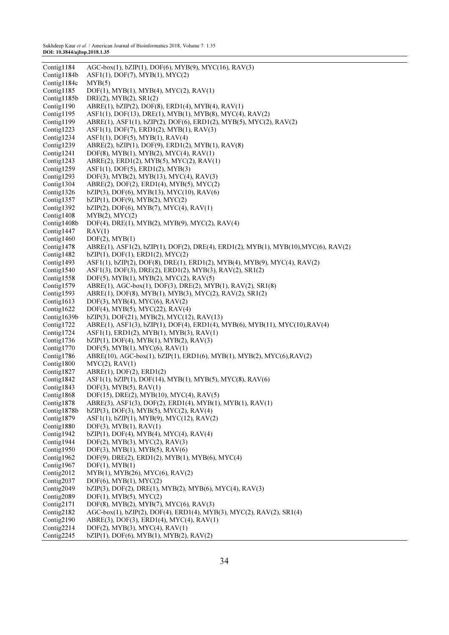| Contig1184    | $AGC-box(1), bZIP(1), DOF(6), MYB(9), MYC(16), RAV(3)$                              |
|---------------|-------------------------------------------------------------------------------------|
| Contig1184b   | ASF1(1), DOF(7), MYB(1), MYC(2)                                                     |
| Contig1184c   | MYB(5)                                                                              |
| Contig1185    | $DOF(1)$ , $MYB(1)$ , $MYB(4)$ , $MYC(2)$ , $RAV(1)$                                |
| Contig1185b   | $DRE(2)$ , $MYB(2)$ , $SR1(2)$                                                      |
| Contig1190    | ABRE(1), bZIP(2), DOF(8), ERD1(4), MYB(4), RAV(1)                                   |
| Contig1195    | ASF1(1), DOF(13), DRE(1), MYB(1), MYB(8), MYC(4), RAV(2)                            |
| Contig1199    | ABRE(1), ASF1(1), bZIP(2), DOF(6), ERD1(2), MYB(5), MYC(2), RAV(2)                  |
| Contig1223    | ASF1(1), DOF(7), ERD1(2), MYB(1), RAV(3)                                            |
| Contig1234    | ASF1(1), DOF(5), MYB(1), RAV(4)                                                     |
| Contig1239    | ABRE(2), bZIP(1), DOF(9), ERD1(2), MYB(1), RAV(8)                                   |
| Contig1241    | DOF(8), MYB(1), MYB(2), MYC(4), RAV(1)                                              |
| Contig1243    | $ABRE(2)$ , $ERD1(2)$ , $MYB(5)$ , $MYC(2)$ , $RAV(1)$                              |
| Contig $1259$ | AST1(1), DOF(5), ERD1(2), MYB(3)                                                    |
| Contig1293    | DOF(3), MYB(2), MYB(13), MYC(4), RAV(3)                                             |
| Contig1304    | $ABRE(2), DOF(2), ERD1(4), MYB(5), MYC(2)$                                          |
| Contig1326    | $bZIP(3)$ , DOF(6), MYB(13), MYC(10), RAV(6)                                        |
| Contig1357    | $bZIP(1)$ , DOF(9), MYB(2), MYC(2)                                                  |
| Contig1392    | bZIP(2), DOF(6), MYB(7), MYC(4), RAV(1)                                             |
| Contig1408    | $MYB(2)$ , $MYC(2)$                                                                 |
| Contig1408b   | DOF(4), DRE(1), MYB(2), MYB(9), MYC(2), RAV(4)                                      |
| Contig1447    | RAV(1)                                                                              |
| Contig1460    | DOF(2), MYB(1)                                                                      |
| Contig1478    | ABRE(1), ASF1(2), bZIP(1), DOF(2), DRE(4), ERD1(2), MYB(1), MYB(10), MYC(6), RAV(2) |
| Contig1482    | $bZIP(1)$ , DOF $(1)$ , ERD $1(2)$ , MYC $(2)$                                      |
| Contig1493    | ASF1(1), bZIP(2), DOF(8), DRE(1), ERD1(2), MYB(4), MYB(9), MYC(4), RAV(2)           |
| Contig1540    | ASF1(3), DOF(3), DRE(2), ERD1(2), MYB(3), RAV(2), SR1(2)                            |
| Contig1558    | $DOF(5)$ , MYB $(1)$ , MYB $(2)$ , MYC $(2)$ , RAV $(5)$                            |
| Contig $1579$ | ABRE(1), AGC-box(1), DOF(3), DRE(2), MYB(1), RAV(2), SR1(8)                         |
| Contig1593    | ABRE(1), DOF(8), MYB(1), MYB(3), MYC(2), RAV(2), SR1(2)                             |
| Contig1613    | $DOF(3)$ , MYB $(4)$ , MYC $(6)$ , RAV $(2)$                                        |
| Contig1622    | DOF(4), MYB(5), MYC(22), RAV(4)                                                     |
| Contig1639b   | $bZIP(3)$ , DOF $(21)$ , MYB $(2)$ , MYC $(12)$ , RAV $(13)$                        |
| Contig1722    | ABRE(1), ASF1(3), bZIP(1), DOF(4), ERD1(4), MYB(6), MYB(11), MYC(10), RAV(4)        |
| Contig1724    | $AST1(1), ERD1(2), MYB(1), MYB(3), RAV(1)$                                          |
| Contig1736    | $bZIP(1)$ , DOF(4), MYB(1), MYB(2), RAV(3)                                          |
| Contig $1770$ | $DOF(5)$ , $MYB(1)$ , $MYC(6)$ , $RAV(1)$                                           |
| Contig1786    | $ABRE(10)$ , AGC-box(1), bZIP(1), ERD1(6), MYB(1), MYB(2), MYC(6), RAV(2)           |
| Contig1800    | MYC(2), RAV(1)                                                                      |
| Contig1827    | ABRE(1), DOF(2), ERD1(2)                                                            |
| Contig1842    | ASF1(1), bZIP(1), DOF(14), MYB(1), MYB(5), MYC(8), RAV(6)                           |
| Contig1843    | $DOF(3)$ , MYB $(5)$ , RAV $(1)$                                                    |
| Contig1868    | DOF(15), DRE(2), MYB(10), MYC(4), RAV(5)                                            |
| Contig1878    | ABRE(3), ASF1(3), DOF(2), ERD1(4), MYB(1), MYB(1), RAV(1)                           |
| Contig1878b   | $bZIP(3)$ , DOF(3), MYB(5), MYC(2), RAV(4)                                          |
| Contig1879    | ASF1(1), bZIP(1), MYB(9), MYC(12), RAV(2)                                           |
| Contig1880    | $DOF(3)$ , MYB $(1)$ , RAV $(1)$                                                    |
| Contig1942    | $bZIP(1)$ , DOF(4), MYB(4), MYC(4), RAV(4)                                          |
| Contig1944    | DOF(2), MYB(3), MYC(2), RAV(3)                                                      |
| Contig1950    | $DOF(3)$ , MYB(1), MYB(5), RAV(6)                                                   |
| Contig1962    | DOF(9), DRE(2), ERD1(2), MYB(1), MYB(6), MYC(4)                                     |
| Contig1967    | DOF(1), MYB(1)                                                                      |
| Contig2012    | MYB(1), MYB(26), MYC(6), RAV(2)                                                     |
| Contig $2037$ | $DOF(6)$ , $MYB(1)$ , $MYC(2)$                                                      |
| Contig2049    | bZIP(3), DOF(2), DRE(1), MYB(2), MYB(6), MYC(4), RAV(3)                             |
| Contig2089    | $DOF(1)$ , $MYB(5)$ , $MYC(2)$                                                      |
| Contig2171    | DOF(8), MYB(2), MYB(7), MYC(6), RAV(3)                                              |
| Contig2182    | AGC-box(1), bZIP(2), DOF(4), ERD1(4), MYB(3), MYC(2), RAV(2), SR1(4)                |
| Contig2190    | ABRE(3), DOF(3), ERD1(4), MYC(4), RAV(1)                                            |
| Contig2214    | $DOF(2)$ , MYB(3), MYC(4), RAV(1)                                                   |
| Contig2245    | $bZIP(1)$ , DOF(6), MYB(1), MYB(2), RAV(2)                                          |
|               |                                                                                     |